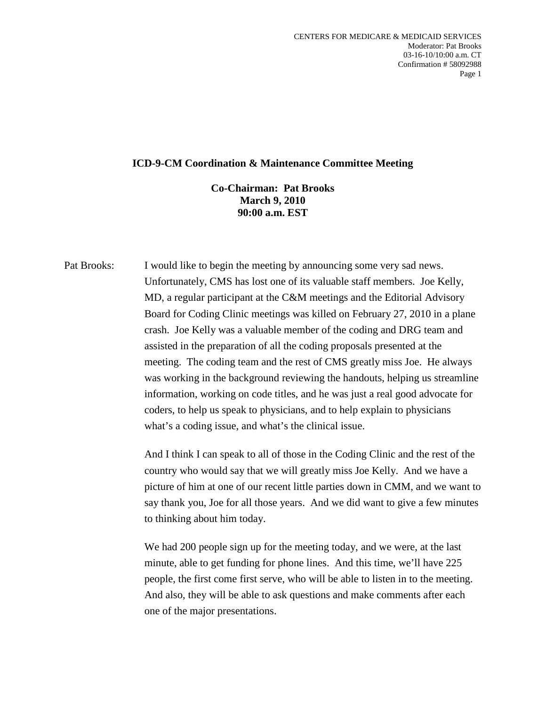## **ICD-9-CM Coordination & Maintenance Committee Meeting**

## **Co-Chairman: Pat Brooks March 9, 2010 90:00 a.m. EST**

Pat Brooks: I would like to begin the meeting by announcing some very sad news. Unfortunately, CMS has lost one of its valuable staff members. Joe Kelly, MD, a regular participant at the C&M meetings and the Editorial Advisory Board for Coding Clinic meetings was killed on February 27, 2010 in a plane crash. Joe Kelly was a valuable member of the coding and DRG team and assisted in the preparation of all the coding proposals presented at the meeting. The coding team and the rest of CMS greatly miss Joe. He always was working in the background reviewing the handouts, helping us streamline information, working on code titles, and he was just a real good advocate for coders, to help us speak to physicians, and to help explain to physicians what's a coding issue, and what's the clinical issue.

> And I think I can speak to all of those in the Coding Clinic and the rest of the country who would say that we will greatly miss Joe Kelly. And we have a picture of him at one of our recent little parties down in CMM, and we want to say thank you, Joe for all those years. And we did want to give a few minutes to thinking about him today.

We had 200 people sign up for the meeting today, and we were, at the last minute, able to get funding for phone lines. And this time, we'll have 225 people, the first come first serve, who will be able to listen in to the meeting. And also, they will be able to ask questions and make comments after each one of the major presentations.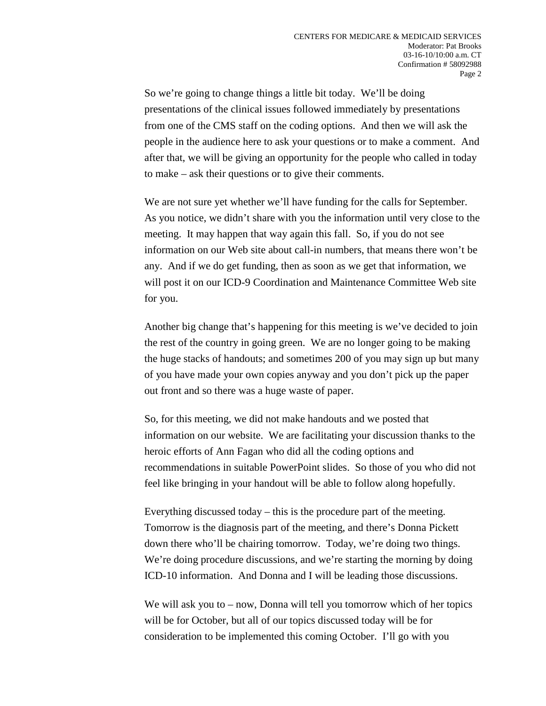So we're going to change things a little bit today. We'll be doing presentations of the clinical issues followed immediately by presentations from one of the CMS staff on the coding options. And then we will ask the people in the audience here to ask your questions or to make a comment. And after that, we will be giving an opportunity for the people who called in today to make – ask their questions or to give their comments.

We are not sure yet whether we'll have funding for the calls for September. As you notice, we didn't share with you the information until very close to the meeting. It may happen that way again this fall. So, if you do not see information on our Web site about call-in numbers, that means there won't be any. And if we do get funding, then as soon as we get that information, we will post it on our ICD-9 Coordination and Maintenance Committee Web site for you.

Another big change that's happening for this meeting is we've decided to join the rest of the country in going green. We are no longer going to be making the huge stacks of handouts; and sometimes 200 of you may sign up but many of you have made your own copies anyway and you don't pick up the paper out front and so there was a huge waste of paper.

So, for this meeting, we did not make handouts and we posted that information on our website. We are facilitating your discussion thanks to the heroic efforts of Ann Fagan who did all the coding options and recommendations in suitable PowerPoint slides. So those of you who did not feel like bringing in your handout will be able to follow along hopefully.

Everything discussed today – this is the procedure part of the meeting. Tomorrow is the diagnosis part of the meeting, and there's Donna Pickett down there who'll be chairing tomorrow. Today, we're doing two things. We're doing procedure discussions, and we're starting the morning by doing ICD-10 information. And Donna and I will be leading those discussions.

We will ask you to – now, Donna will tell you tomorrow which of her topics will be for October, but all of our topics discussed today will be for consideration to be implemented this coming October. I'll go with you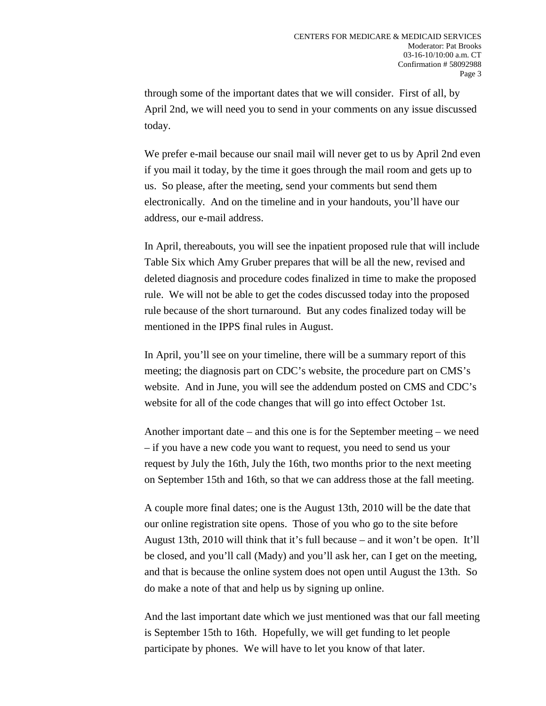through some of the important dates that we will consider. First of all, by April 2nd, we will need you to send in your comments on any issue discussed today.

We prefer e-mail because our snail mail will never get to us by April 2nd even if you mail it today, by the time it goes through the mail room and gets up to us. So please, after the meeting, send your comments but send them electronically. And on the timeline and in your handouts, you'll have our address, our e-mail address.

In April, thereabouts, you will see the inpatient proposed rule that will include Table Six which Amy Gruber prepares that will be all the new, revised and deleted diagnosis and procedure codes finalized in time to make the proposed rule. We will not be able to get the codes discussed today into the proposed rule because of the short turnaround. But any codes finalized today will be mentioned in the IPPS final rules in August.

In April, you'll see on your timeline, there will be a summary report of this meeting; the diagnosis part on CDC's website, the procedure part on CMS's website. And in June, you will see the addendum posted on CMS and CDC's website for all of the code changes that will go into effect October 1st.

Another important date – and this one is for the September meeting – we need – if you have a new code you want to request, you need to send us your request by July the 16th, July the 16th, two months prior to the next meeting on September 15th and 16th, so that we can address those at the fall meeting.

A couple more final dates; one is the August 13th, 2010 will be the date that our online registration site opens. Those of you who go to the site before August 13th, 2010 will think that it's full because – and it won't be open. It'll be closed, and you'll call (Mady) and you'll ask her, can I get on the meeting, and that is because the online system does not open until August the 13th. So do make a note of that and help us by signing up online.

And the last important date which we just mentioned was that our fall meeting is September 15th to 16th. Hopefully, we will get funding to let people participate by phones. We will have to let you know of that later.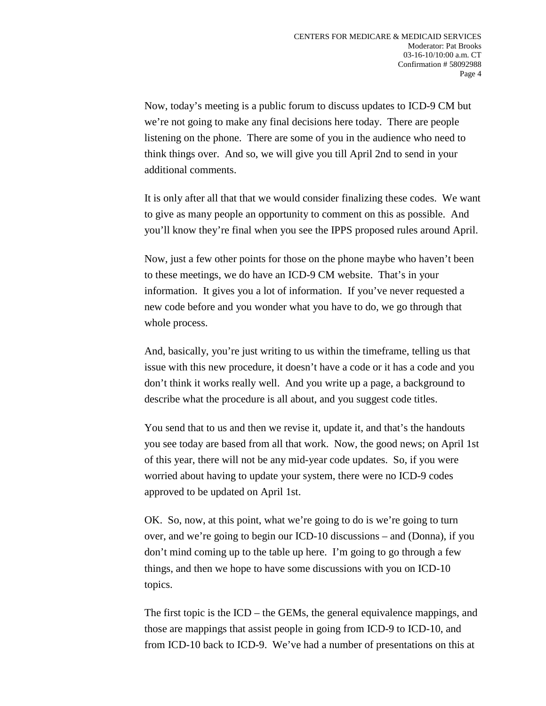Now, today's meeting is a public forum to discuss updates to ICD-9 CM but we're not going to make any final decisions here today. There are people listening on the phone. There are some of you in the audience who need to think things over. And so, we will give you till April 2nd to send in your additional comments.

It is only after all that that we would consider finalizing these codes. We want to give as many people an opportunity to comment on this as possible. And you'll know they're final when you see the IPPS proposed rules around April.

Now, just a few other points for those on the phone maybe who haven't been to these meetings, we do have an ICD-9 CM website. That's in your information. It gives you a lot of information. If you've never requested a new code before and you wonder what you have to do, we go through that whole process.

And, basically, you're just writing to us within the timeframe, telling us that issue with this new procedure, it doesn't have a code or it has a code and you don't think it works really well. And you write up a page, a background to describe what the procedure is all about, and you suggest code titles.

You send that to us and then we revise it, update it, and that's the handouts you see today are based from all that work. Now, the good news; on April 1st of this year, there will not be any mid-year code updates. So, if you were worried about having to update your system, there were no ICD-9 codes approved to be updated on April 1st.

OK. So, now, at this point, what we're going to do is we're going to turn over, and we're going to begin our ICD-10 discussions – and (Donna), if you don't mind coming up to the table up here. I'm going to go through a few things, and then we hope to have some discussions with you on ICD-10 topics.

The first topic is the ICD – the GEMs, the general equivalence mappings, and those are mappings that assist people in going from ICD-9 to ICD-10, and from ICD-10 back to ICD-9. We've had a number of presentations on this at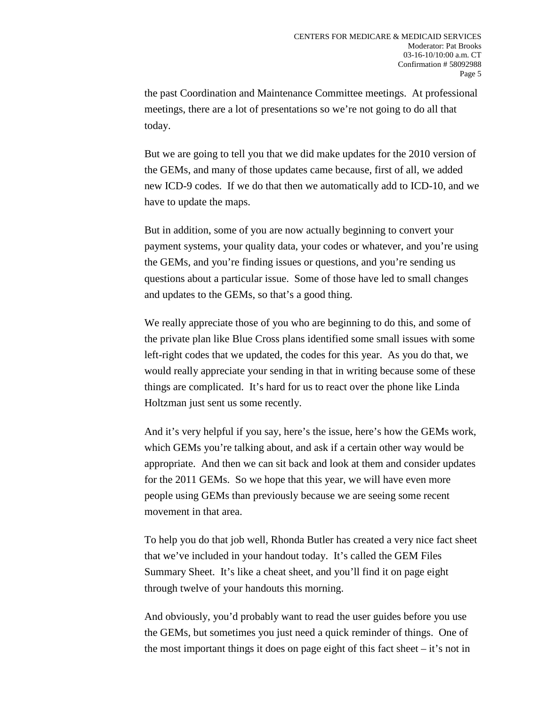the past Coordination and Maintenance Committee meetings. At professional meetings, there are a lot of presentations so we're not going to do all that today.

But we are going to tell you that we did make updates for the 2010 version of the GEMs, and many of those updates came because, first of all, we added new ICD-9 codes. If we do that then we automatically add to ICD-10, and we have to update the maps.

But in addition, some of you are now actually beginning to convert your payment systems, your quality data, your codes or whatever, and you're using the GEMs, and you're finding issues or questions, and you're sending us questions about a particular issue. Some of those have led to small changes and updates to the GEMs, so that's a good thing.

We really appreciate those of you who are beginning to do this, and some of the private plan like Blue Cross plans identified some small issues with some left-right codes that we updated, the codes for this year. As you do that, we would really appreciate your sending in that in writing because some of these things are complicated. It's hard for us to react over the phone like Linda Holtzman just sent us some recently.

And it's very helpful if you say, here's the issue, here's how the GEMs work, which GEMs you're talking about, and ask if a certain other way would be appropriate. And then we can sit back and look at them and consider updates for the 2011 GEMs. So we hope that this year, we will have even more people using GEMs than previously because we are seeing some recent movement in that area.

To help you do that job well, Rhonda Butler has created a very nice fact sheet that we've included in your handout today. It's called the GEM Files Summary Sheet. It's like a cheat sheet, and you'll find it on page eight through twelve of your handouts this morning.

And obviously, you'd probably want to read the user guides before you use the GEMs, but sometimes you just need a quick reminder of things. One of the most important things it does on page eight of this fact sheet – it's not in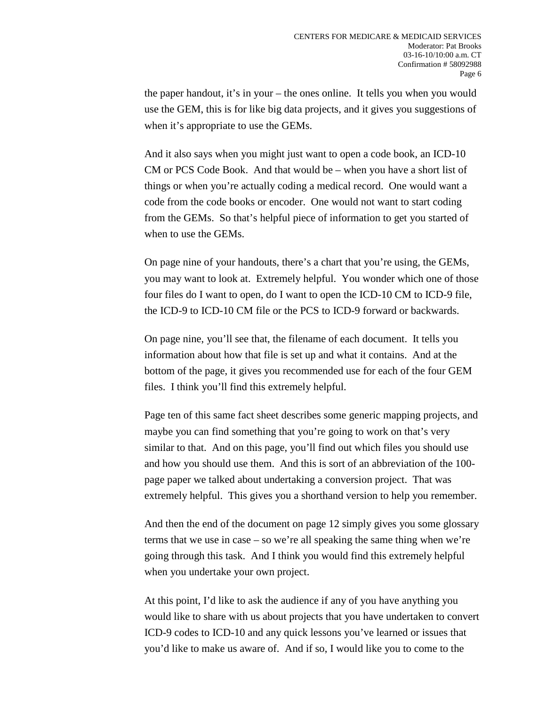the paper handout, it's in your – the ones online. It tells you when you would use the GEM, this is for like big data projects, and it gives you suggestions of when it's appropriate to use the GEMs.

And it also says when you might just want to open a code book, an ICD-10 CM or PCS Code Book. And that would be – when you have a short list of things or when you're actually coding a medical record. One would want a code from the code books or encoder. One would not want to start coding from the GEMs. So that's helpful piece of information to get you started of when to use the GEMs.

On page nine of your handouts, there's a chart that you're using, the GEMs, you may want to look at. Extremely helpful. You wonder which one of those four files do I want to open, do I want to open the ICD-10 CM to ICD-9 file, the ICD-9 to ICD-10 CM file or the PCS to ICD-9 forward or backwards.

On page nine, you'll see that, the filename of each document. It tells you information about how that file is set up and what it contains. And at the bottom of the page, it gives you recommended use for each of the four GEM files. I think you'll find this extremely helpful.

Page ten of this same fact sheet describes some generic mapping projects, and maybe you can find something that you're going to work on that's very similar to that. And on this page, you'll find out which files you should use and how you should use them. And this is sort of an abbreviation of the 100 page paper we talked about undertaking a conversion project. That was extremely helpful. This gives you a shorthand version to help you remember.

And then the end of the document on page 12 simply gives you some glossary terms that we use in case – so we're all speaking the same thing when we're going through this task. And I think you would find this extremely helpful when you undertake your own project.

At this point, I'd like to ask the audience if any of you have anything you would like to share with us about projects that you have undertaken to convert ICD-9 codes to ICD-10 and any quick lessons you've learned or issues that you'd like to make us aware of. And if so, I would like you to come to the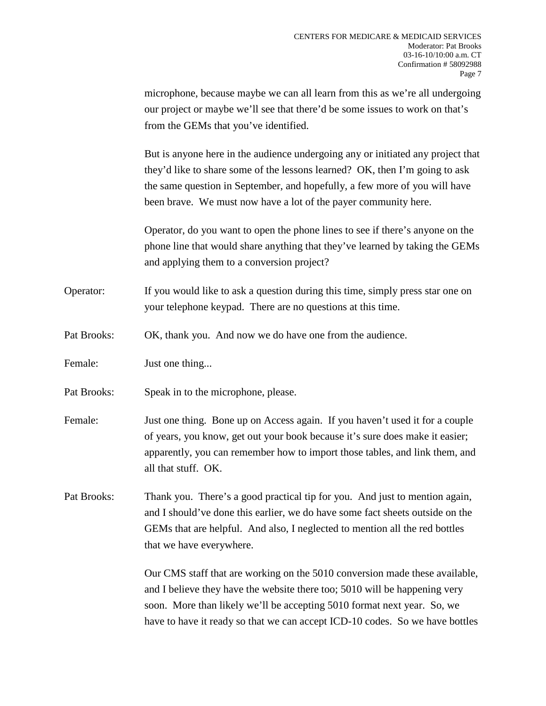microphone, because maybe we can all learn from this as we're all undergoing our project or maybe we'll see that there'd be some issues to work on that's from the GEMs that you've identified.

But is anyone here in the audience undergoing any or initiated any project that they'd like to share some of the lessons learned? OK, then I'm going to ask the same question in September, and hopefully, a few more of you will have been brave. We must now have a lot of the payer community here.

Operator, do you want to open the phone lines to see if there's anyone on the phone line that would share anything that they've learned by taking the GEMs and applying them to a conversion project?

Operator: If you would like to ask a question during this time, simply press star one on your telephone keypad. There are no questions at this time.

- Pat Brooks: OK, thank you. And now we do have one from the audience.
- Female: Just one thing...
- Pat Brooks: Speak in to the microphone, please.
- Female: Just one thing. Bone up on Access again. If you haven't used it for a couple of years, you know, get out your book because it's sure does make it easier; apparently, you can remember how to import those tables, and link them, and all that stuff. OK.

Pat Brooks: Thank you. There's a good practical tip for you. And just to mention again, and I should've done this earlier, we do have some fact sheets outside on the GEMs that are helpful. And also, I neglected to mention all the red bottles that we have everywhere.

> Our CMS staff that are working on the 5010 conversion made these available, and I believe they have the website there too; 5010 will be happening very soon. More than likely we'll be accepting 5010 format next year. So, we have to have it ready so that we can accept ICD-10 codes. So we have bottles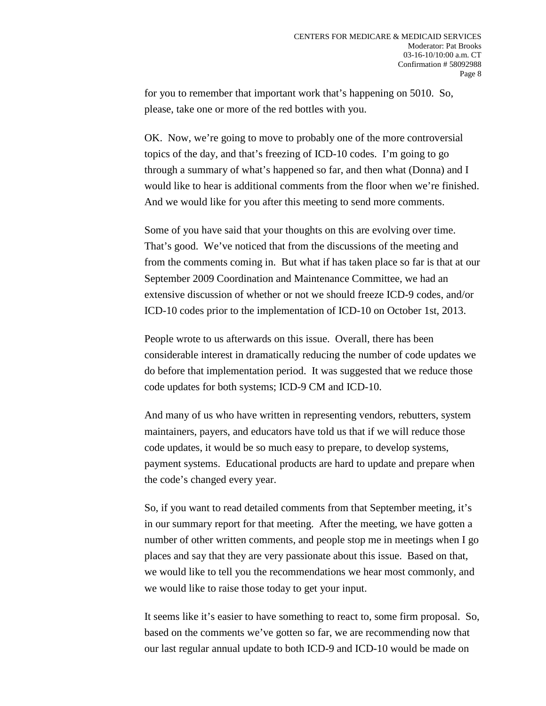for you to remember that important work that's happening on 5010. So, please, take one or more of the red bottles with you.

OK. Now, we're going to move to probably one of the more controversial topics of the day, and that's freezing of ICD-10 codes. I'm going to go through a summary of what's happened so far, and then what (Donna) and I would like to hear is additional comments from the floor when we're finished. And we would like for you after this meeting to send more comments.

Some of you have said that your thoughts on this are evolving over time. That's good. We've noticed that from the discussions of the meeting and from the comments coming in. But what if has taken place so far is that at our September 2009 Coordination and Maintenance Committee, we had an extensive discussion of whether or not we should freeze ICD-9 codes, and/or ICD-10 codes prior to the implementation of ICD-10 on October 1st, 2013.

People wrote to us afterwards on this issue. Overall, there has been considerable interest in dramatically reducing the number of code updates we do before that implementation period. It was suggested that we reduce those code updates for both systems; ICD-9 CM and ICD-10.

And many of us who have written in representing vendors, rebutters, system maintainers, payers, and educators have told us that if we will reduce those code updates, it would be so much easy to prepare, to develop systems, payment systems. Educational products are hard to update and prepare when the code's changed every year.

So, if you want to read detailed comments from that September meeting, it's in our summary report for that meeting. After the meeting, we have gotten a number of other written comments, and people stop me in meetings when I go places and say that they are very passionate about this issue. Based on that, we would like to tell you the recommendations we hear most commonly, and we would like to raise those today to get your input.

It seems like it's easier to have something to react to, some firm proposal. So, based on the comments we've gotten so far, we are recommending now that our last regular annual update to both ICD-9 and ICD-10 would be made on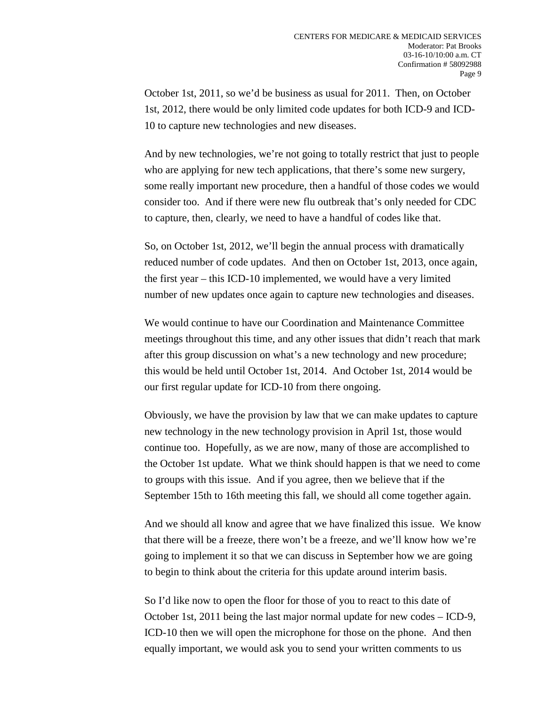October 1st, 2011, so we'd be business as usual for 2011. Then, on October 1st, 2012, there would be only limited code updates for both ICD-9 and ICD-10 to capture new technologies and new diseases.

And by new technologies, we're not going to totally restrict that just to people who are applying for new tech applications, that there's some new surgery, some really important new procedure, then a handful of those codes we would consider too. And if there were new flu outbreak that's only needed for CDC to capture, then, clearly, we need to have a handful of codes like that.

So, on October 1st, 2012, we'll begin the annual process with dramatically reduced number of code updates. And then on October 1st, 2013, once again, the first year – this ICD-10 implemented, we would have a very limited number of new updates once again to capture new technologies and diseases.

We would continue to have our Coordination and Maintenance Committee meetings throughout this time, and any other issues that didn't reach that mark after this group discussion on what's a new technology and new procedure; this would be held until October 1st, 2014. And October 1st, 2014 would be our first regular update for ICD-10 from there ongoing.

Obviously, we have the provision by law that we can make updates to capture new technology in the new technology provision in April 1st, those would continue too. Hopefully, as we are now, many of those are accomplished to the October 1st update. What we think should happen is that we need to come to groups with this issue. And if you agree, then we believe that if the September 15th to 16th meeting this fall, we should all come together again.

And we should all know and agree that we have finalized this issue. We know that there will be a freeze, there won't be a freeze, and we'll know how we're going to implement it so that we can discuss in September how we are going to begin to think about the criteria for this update around interim basis.

So I'd like now to open the floor for those of you to react to this date of October 1st, 2011 being the last major normal update for new codes – ICD-9, ICD-10 then we will open the microphone for those on the phone. And then equally important, we would ask you to send your written comments to us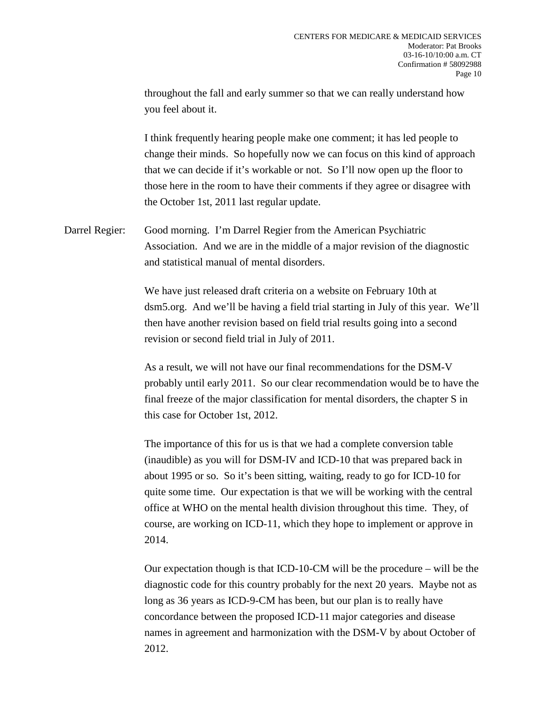throughout the fall and early summer so that we can really understand how you feel about it.

I think frequently hearing people make one comment; it has led people to change their minds. So hopefully now we can focus on this kind of approach that we can decide if it's workable or not. So I'll now open up the floor to those here in the room to have their comments if they agree or disagree with the October 1st, 2011 last regular update.

Darrel Regier: Good morning. I'm Darrel Regier from the American Psychiatric Association. And we are in the middle of a major revision of the diagnostic and statistical manual of mental disorders.

> We have just released draft criteria on a website on February 10th at dsm5.org. And we'll be having a field trial starting in July of this year. We'll then have another revision based on field trial results going into a second revision or second field trial in July of 2011.

> As a result, we will not have our final recommendations for the DSM-V probably until early 2011. So our clear recommendation would be to have the final freeze of the major classification for mental disorders, the chapter S in this case for October 1st, 2012.

The importance of this for us is that we had a complete conversion table (inaudible) as you will for DSM-IV and ICD-10 that was prepared back in about 1995 or so. So it's been sitting, waiting, ready to go for ICD-10 for quite some time. Our expectation is that we will be working with the central office at WHO on the mental health division throughout this time. They, of course, are working on ICD-11, which they hope to implement or approve in 2014.

Our expectation though is that ICD-10-CM will be the procedure – will be the diagnostic code for this country probably for the next 20 years. Maybe not as long as 36 years as ICD-9-CM has been, but our plan is to really have concordance between the proposed ICD-11 major categories and disease names in agreement and harmonization with the DSM-V by about October of 2012.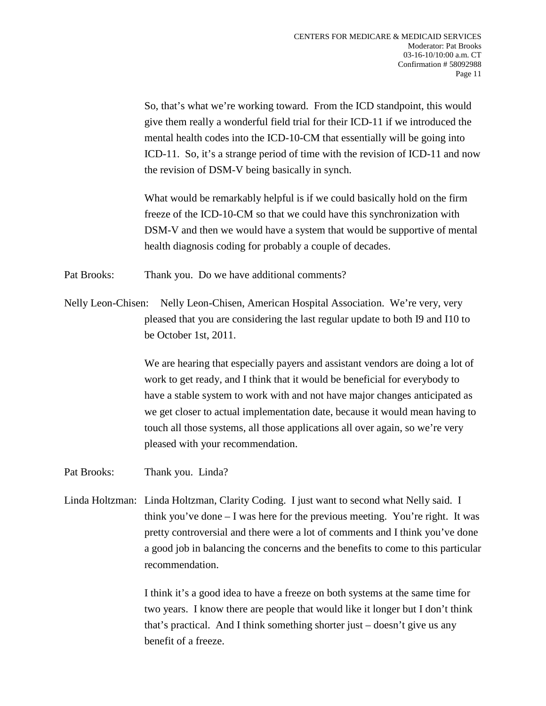So, that's what we're working toward. From the ICD standpoint, this would give them really a wonderful field trial for their ICD-11 if we introduced the mental health codes into the ICD-10-CM that essentially will be going into ICD-11. So, it's a strange period of time with the revision of ICD-11 and now the revision of DSM-V being basically in synch.

What would be remarkably helpful is if we could basically hold on the firm freeze of the ICD-10-CM so that we could have this synchronization with DSM-V and then we would have a system that would be supportive of mental health diagnosis coding for probably a couple of decades.

Pat Brooks: Thank you. Do we have additional comments?

Nelly Leon-Chisen: Nelly Leon-Chisen, American Hospital Association. We're very, very pleased that you are considering the last regular update to both I9 and I10 to be October 1st, 2011.

> We are hearing that especially payers and assistant vendors are doing a lot of work to get ready, and I think that it would be beneficial for everybody to have a stable system to work with and not have major changes anticipated as we get closer to actual implementation date, because it would mean having to touch all those systems, all those applications all over again, so we're very pleased with your recommendation.

- Pat Brooks: Thank you. Linda?
- Linda Holtzman: Linda Holtzman, Clarity Coding. I just want to second what Nelly said. I think you've done  $-1$  was here for the previous meeting. You're right. It was pretty controversial and there were a lot of comments and I think you've done a good job in balancing the concerns and the benefits to come to this particular recommendation.

I think it's a good idea to have a freeze on both systems at the same time for two years. I know there are people that would like it longer but I don't think that's practical. And I think something shorter just – doesn't give us any benefit of a freeze.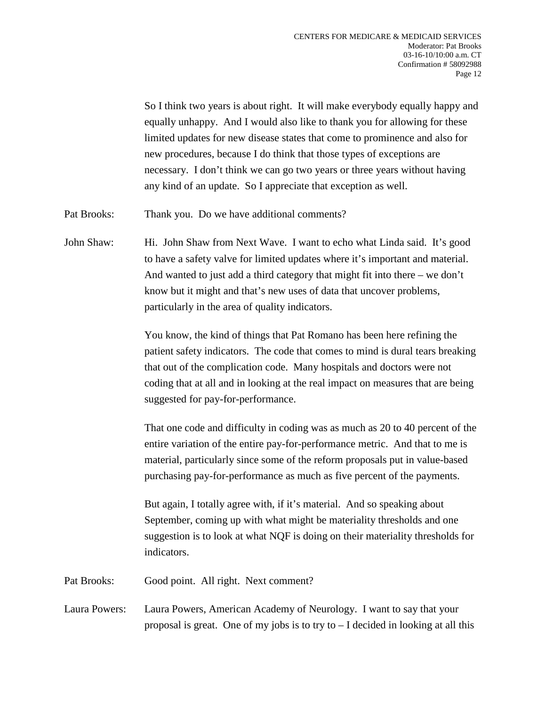So I think two years is about right. It will make everybody equally happy and equally unhappy. And I would also like to thank you for allowing for these limited updates for new disease states that come to prominence and also for new procedures, because I do think that those types of exceptions are necessary. I don't think we can go two years or three years without having any kind of an update. So I appreciate that exception as well.

Pat Brooks: Thank you. Do we have additional comments?

John Shaw: Hi. John Shaw from Next Wave. I want to echo what Linda said. It's good to have a safety valve for limited updates where it's important and material. And wanted to just add a third category that might fit into there – we don't know but it might and that's new uses of data that uncover problems, particularly in the area of quality indicators.

> You know, the kind of things that Pat Romano has been here refining the patient safety indicators. The code that comes to mind is dural tears breaking that out of the complication code. Many hospitals and doctors were not coding that at all and in looking at the real impact on measures that are being suggested for pay-for-performance.

> That one code and difficulty in coding was as much as 20 to 40 percent of the entire variation of the entire pay-for-performance metric. And that to me is material, particularly since some of the reform proposals put in value-based purchasing pay-for-performance as much as five percent of the payments.

> But again, I totally agree with, if it's material. And so speaking about September, coming up with what might be materiality thresholds and one suggestion is to look at what NQF is doing on their materiality thresholds for indicators.

Pat Brooks: Good point. All right. Next comment?

Laura Powers: Laura Powers, American Academy of Neurology. I want to say that your proposal is great. One of my jobs is to try to  $-1$  decided in looking at all this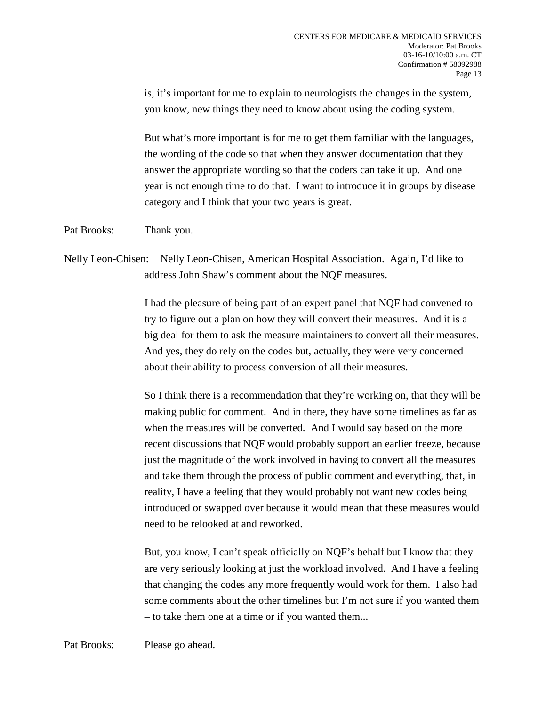is, it's important for me to explain to neurologists the changes in the system, you know, new things they need to know about using the coding system.

But what's more important is for me to get them familiar with the languages, the wording of the code so that when they answer documentation that they answer the appropriate wording so that the coders can take it up. And one year is not enough time to do that. I want to introduce it in groups by disease category and I think that your two years is great.

Pat Brooks: Thank you.

## Nelly Leon-Chisen: Nelly Leon-Chisen, American Hospital Association. Again, I'd like to address John Shaw's comment about the NQF measures.

I had the pleasure of being part of an expert panel that NQF had convened to try to figure out a plan on how they will convert their measures. And it is a big deal for them to ask the measure maintainers to convert all their measures. And yes, they do rely on the codes but, actually, they were very concerned about their ability to process conversion of all their measures.

So I think there is a recommendation that they're working on, that they will be making public for comment. And in there, they have some timelines as far as when the measures will be converted. And I would say based on the more recent discussions that NQF would probably support an earlier freeze, because just the magnitude of the work involved in having to convert all the measures and take them through the process of public comment and everything, that, in reality, I have a feeling that they would probably not want new codes being introduced or swapped over because it would mean that these measures would need to be relooked at and reworked.

But, you know, I can't speak officially on NQF's behalf but I know that they are very seriously looking at just the workload involved. And I have a feeling that changing the codes any more frequently would work for them. I also had some comments about the other timelines but I'm not sure if you wanted them – to take them one at a time or if you wanted them...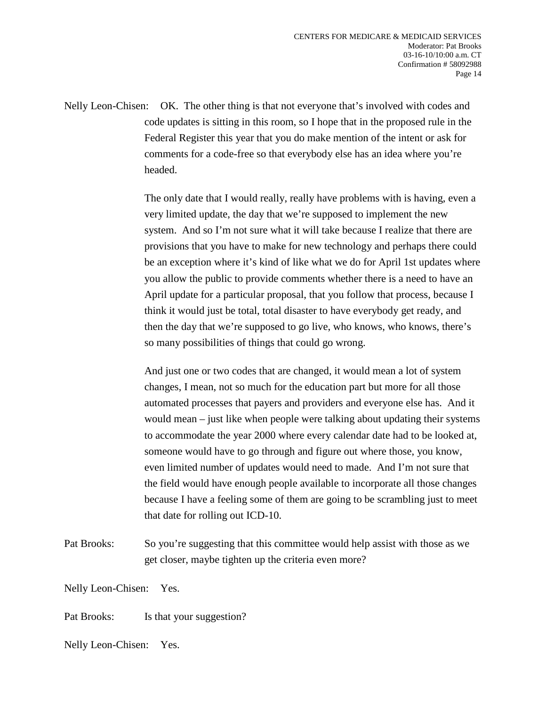Nelly Leon-Chisen: OK. The other thing is that not everyone that's involved with codes and code updates is sitting in this room, so I hope that in the proposed rule in the Federal Register this year that you do make mention of the intent or ask for comments for a code-free so that everybody else has an idea where you're headed.

> The only date that I would really, really have problems with is having, even a very limited update, the day that we're supposed to implement the new system. And so I'm not sure what it will take because I realize that there are provisions that you have to make for new technology and perhaps there could be an exception where it's kind of like what we do for April 1st updates where you allow the public to provide comments whether there is a need to have an April update for a particular proposal, that you follow that process, because I think it would just be total, total disaster to have everybody get ready, and then the day that we're supposed to go live, who knows, who knows, there's so many possibilities of things that could go wrong.

> And just one or two codes that are changed, it would mean a lot of system changes, I mean, not so much for the education part but more for all those automated processes that payers and providers and everyone else has. And it would mean – just like when people were talking about updating their systems to accommodate the year 2000 where every calendar date had to be looked at, someone would have to go through and figure out where those, you know, even limited number of updates would need to made. And I'm not sure that the field would have enough people available to incorporate all those changes because I have a feeling some of them are going to be scrambling just to meet that date for rolling out ICD-10.

Pat Brooks: So you're suggesting that this committee would help assist with those as we get closer, maybe tighten up the criteria even more?

Nelly Leon-Chisen: Yes.

Pat Brooks: Is that your suggestion?

Nelly Leon-Chisen: Yes.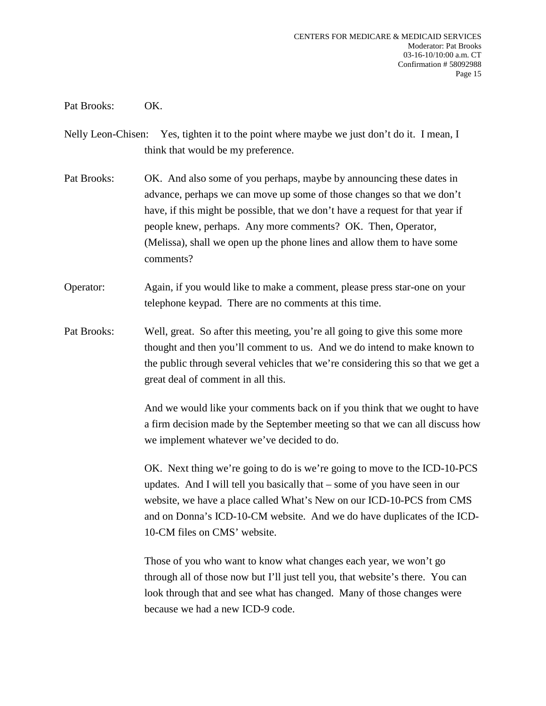Pat Brooks: OK.

- Nelly Leon-Chisen: Yes, tighten it to the point where maybe we just don't do it. I mean, I think that would be my preference.
- Pat Brooks: OK. And also some of you perhaps, maybe by announcing these dates in advance, perhaps we can move up some of those changes so that we don't have, if this might be possible, that we don't have a request for that year if people knew, perhaps. Any more comments? OK. Then, Operator, (Melissa), shall we open up the phone lines and allow them to have some comments?
- Operator: Again, if you would like to make a comment, please press star-one on your telephone keypad. There are no comments at this time.
- Pat Brooks: Well, great. So after this meeting, you're all going to give this some more thought and then you'll comment to us. And we do intend to make known to the public through several vehicles that we're considering this so that we get a great deal of comment in all this.

And we would like your comments back on if you think that we ought to have a firm decision made by the September meeting so that we can all discuss how we implement whatever we've decided to do.

OK. Next thing we're going to do is we're going to move to the ICD-10-PCS updates. And I will tell you basically that – some of you have seen in our website, we have a place called What's New on our ICD-10-PCS from CMS and on Donna's ICD-10-CM website. And we do have duplicates of the ICD-10-CM files on CMS' website.

Those of you who want to know what changes each year, we won't go through all of those now but I'll just tell you, that website's there. You can look through that and see what has changed. Many of those changes were because we had a new ICD-9 code.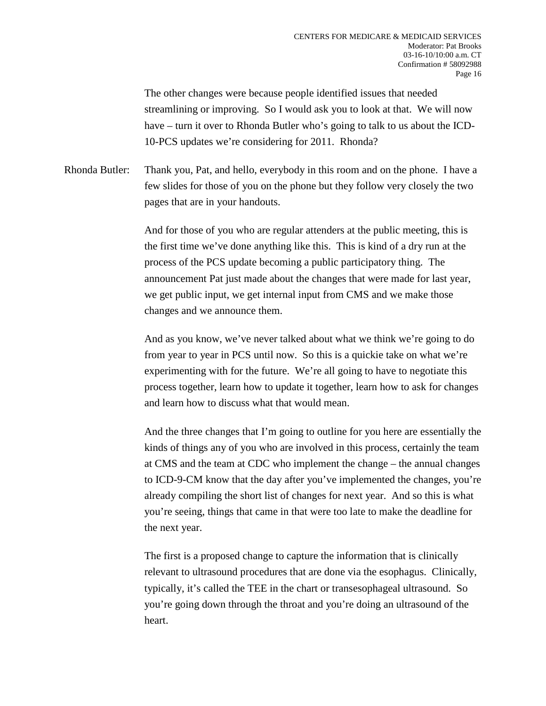The other changes were because people identified issues that needed streamlining or improving. So I would ask you to look at that. We will now have – turn it over to Rhonda Butler who's going to talk to us about the ICD-10-PCS updates we're considering for 2011. Rhonda?

Rhonda Butler: Thank you, Pat, and hello, everybody in this room and on the phone. I have a few slides for those of you on the phone but they follow very closely the two pages that are in your handouts.

> And for those of you who are regular attenders at the public meeting, this is the first time we've done anything like this. This is kind of a dry run at the process of the PCS update becoming a public participatory thing. The announcement Pat just made about the changes that were made for last year, we get public input, we get internal input from CMS and we make those changes and we announce them.

And as you know, we've never talked about what we think we're going to do from year to year in PCS until now. So this is a quickie take on what we're experimenting with for the future. We're all going to have to negotiate this process together, learn how to update it together, learn how to ask for changes and learn how to discuss what that would mean.

And the three changes that I'm going to outline for you here are essentially the kinds of things any of you who are involved in this process, certainly the team at CMS and the team at CDC who implement the change – the annual changes to ICD-9-CM know that the day after you've implemented the changes, you're already compiling the short list of changes for next year. And so this is what you're seeing, things that came in that were too late to make the deadline for the next year.

The first is a proposed change to capture the information that is clinically relevant to ultrasound procedures that are done via the esophagus. Clinically, typically, it's called the TEE in the chart or transesophageal ultrasound. So you're going down through the throat and you're doing an ultrasound of the heart.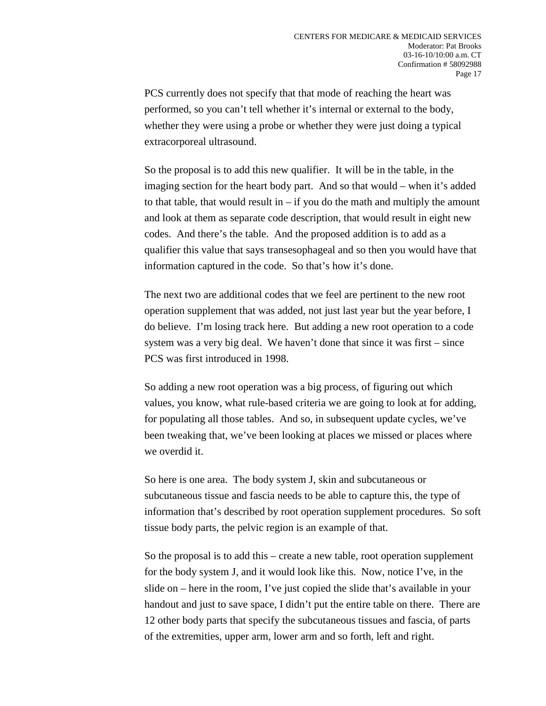PCS currently does not specify that that mode of reaching the heart was performed, so you can't tell whether it's internal or external to the body, whether they were using a probe or whether they were just doing a typical extracorporeal ultrasound.

So the proposal is to add this new qualifier. It will be in the table, in the imaging section for the heart body part. And so that would – when it's added to that table, that would result in  $-$  if you do the math and multiply the amount and look at them as separate code description, that would result in eight new codes. And there's the table. And the proposed addition is to add as a qualifier this value that says transesophageal and so then you would have that information captured in the code. So that's how it's done.

The next two are additional codes that we feel are pertinent to the new root operation supplement that was added, not just last year but the year before, I do believe. I'm losing track here. But adding a new root operation to a code system was a very big deal. We haven't done that since it was first – since PCS was first introduced in 1998.

So adding a new root operation was a big process, of figuring out which values, you know, what rule-based criteria we are going to look at for adding, for populating all those tables. And so, in subsequent update cycles, we've been tweaking that, we've been looking at places we missed or places where we overdid it.

So here is one area. The body system J, skin and subcutaneous or subcutaneous tissue and fascia needs to be able to capture this, the type of information that's described by root operation supplement procedures. So soft tissue body parts, the pelvic region is an example of that.

So the proposal is to add this – create a new table, root operation supplement for the body system J, and it would look like this. Now, notice I've, in the slide on – here in the room, I've just copied the slide that's available in your handout and just to save space, I didn't put the entire table on there. There are 12 other body parts that specify the subcutaneous tissues and fascia, of parts of the extremities, upper arm, lower arm and so forth, left and right.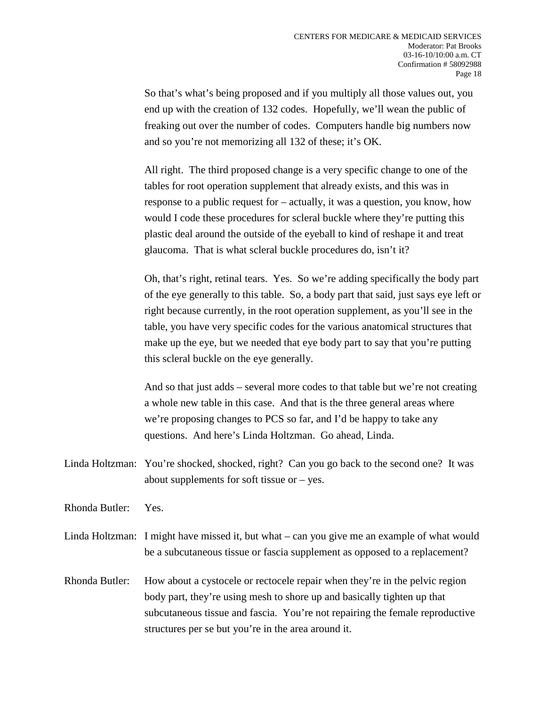So that's what's being proposed and if you multiply all those values out, you end up with the creation of 132 codes. Hopefully, we'll wean the public of freaking out over the number of codes. Computers handle big numbers now and so you're not memorizing all 132 of these; it's OK.

All right. The third proposed change is a very specific change to one of the tables for root operation supplement that already exists, and this was in response to a public request for – actually, it was a question, you know, how would I code these procedures for scleral buckle where they're putting this plastic deal around the outside of the eyeball to kind of reshape it and treat glaucoma. That is what scleral buckle procedures do, isn't it?

Oh, that's right, retinal tears. Yes. So we're adding specifically the body part of the eye generally to this table. So, a body part that said, just says eye left or right because currently, in the root operation supplement, as you'll see in the table, you have very specific codes for the various anatomical structures that make up the eye, but we needed that eye body part to say that you're putting this scleral buckle on the eye generally.

And so that just adds – several more codes to that table but we're not creating a whole new table in this case. And that is the three general areas where we're proposing changes to PCS so far, and I'd be happy to take any questions. And here's Linda Holtzman. Go ahead, Linda.

Linda Holtzman: You're shocked, shocked, right? Can you go back to the second one? It was about supplements for soft tissue or – yes.

Rhonda Butler: Yes.

Linda Holtzman: I might have missed it, but what – can you give me an example of what would be a subcutaneous tissue or fascia supplement as opposed to a replacement?

Rhonda Butler: How about a cystocele or rectocele repair when they're in the pelvic region body part, they're using mesh to shore up and basically tighten up that subcutaneous tissue and fascia. You're not repairing the female reproductive structures per se but you're in the area around it.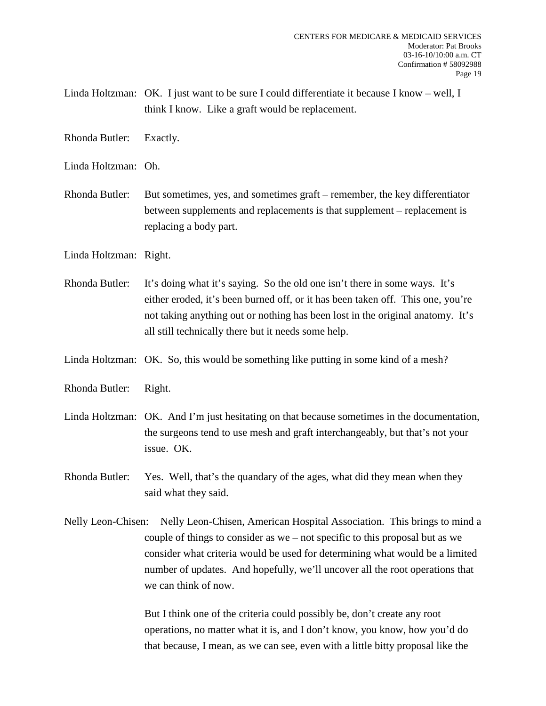Linda Holtzman: OK. I just want to be sure I could differentiate it because I know – well, I think I know. Like a graft would be replacement.

Rhonda Butler: Exactly.

Linda Holtzman: Oh.

Rhonda Butler: But sometimes, yes, and sometimes graft – remember, the key differentiator between supplements and replacements is that supplement – replacement is replacing a body part.

Linda Holtzman: Right.

Rhonda Butler: It's doing what it's saying. So the old one isn't there in some ways. It's either eroded, it's been burned off, or it has been taken off. This one, you're not taking anything out or nothing has been lost in the original anatomy. It's all still technically there but it needs some help.

Linda Holtzman: OK. So, this would be something like putting in some kind of a mesh?

Rhonda Butler: Right.

Linda Holtzman: OK. And I'm just hesitating on that because sometimes in the documentation, the surgeons tend to use mesh and graft interchangeably, but that's not your issue. OK.

Rhonda Butler: Yes. Well, that's the quandary of the ages, what did they mean when they said what they said.

Nelly Leon-Chisen: Nelly Leon-Chisen, American Hospital Association. This brings to mind a couple of things to consider as we – not specific to this proposal but as we consider what criteria would be used for determining what would be a limited number of updates. And hopefully, we'll uncover all the root operations that we can think of now.

> But I think one of the criteria could possibly be, don't create any root operations, no matter what it is, and I don't know, you know, how you'd do that because, I mean, as we can see, even with a little bitty proposal like the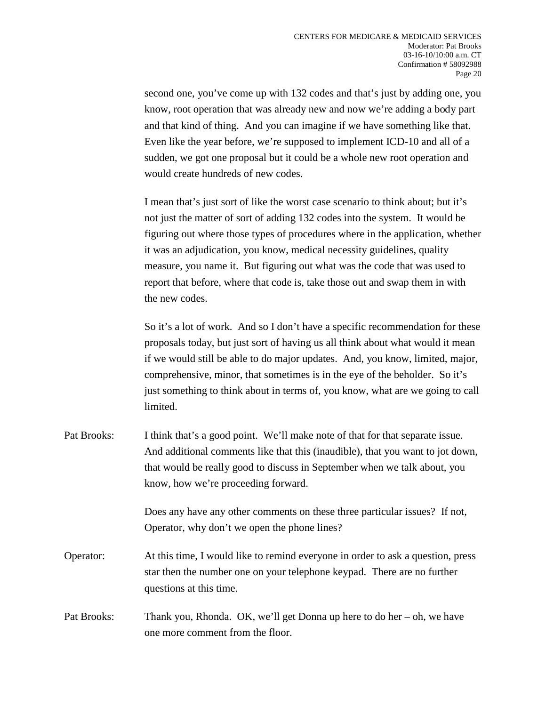second one, you've come up with 132 codes and that's just by adding one, you know, root operation that was already new and now we're adding a body part and that kind of thing. And you can imagine if we have something like that. Even like the year before, we're supposed to implement ICD-10 and all of a sudden, we got one proposal but it could be a whole new root operation and would create hundreds of new codes.

I mean that's just sort of like the worst case scenario to think about; but it's not just the matter of sort of adding 132 codes into the system. It would be figuring out where those types of procedures where in the application, whether it was an adjudication, you know, medical necessity guidelines, quality measure, you name it. But figuring out what was the code that was used to report that before, where that code is, take those out and swap them in with the new codes.

So it's a lot of work. And so I don't have a specific recommendation for these proposals today, but just sort of having us all think about what would it mean if we would still be able to do major updates. And, you know, limited, major, comprehensive, minor, that sometimes is in the eye of the beholder. So it's just something to think about in terms of, you know, what are we going to call limited.

Pat Brooks: I think that's a good point. We'll make note of that for that separate issue. And additional comments like that this (inaudible), that you want to jot down, that would be really good to discuss in September when we talk about, you know, how we're proceeding forward.

> Does any have any other comments on these three particular issues? If not, Operator, why don't we open the phone lines?

- Operator: At this time, I would like to remind everyone in order to ask a question, press star then the number one on your telephone keypad. There are no further questions at this time.
- Pat Brooks: Thank you, Rhonda. OK, we'll get Donna up here to do her oh, we have one more comment from the floor.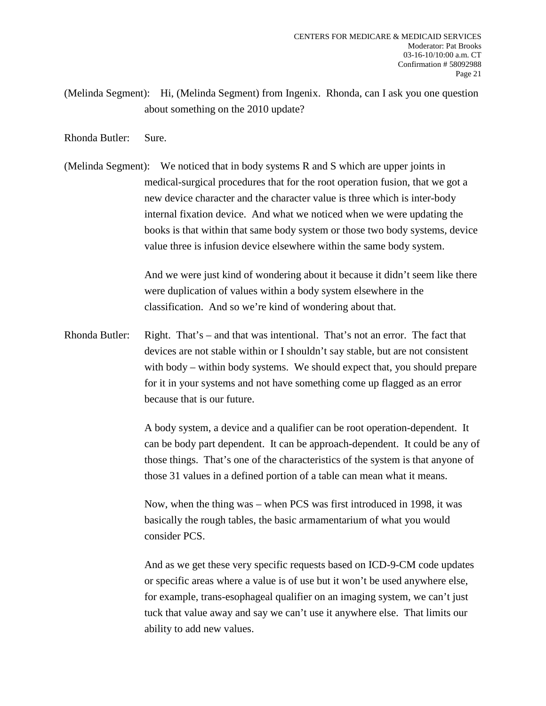- (Melinda Segment): Hi, (Melinda Segment) from Ingenix. Rhonda, can I ask you one question about something on the 2010 update?
- Rhonda Butler: Sure.
- (Melinda Segment): We noticed that in body systems R and S which are upper joints in medical-surgical procedures that for the root operation fusion, that we got a new device character and the character value is three which is inter-body internal fixation device. And what we noticed when we were updating the books is that within that same body system or those two body systems, device value three is infusion device elsewhere within the same body system.

And we were just kind of wondering about it because it didn't seem like there were duplication of values within a body system elsewhere in the classification. And so we're kind of wondering about that.

Rhonda Butler: Right. That's – and that was intentional. That's not an error. The fact that devices are not stable within or I shouldn't say stable, but are not consistent with body – within body systems. We should expect that, you should prepare for it in your systems and not have something come up flagged as an error because that is our future.

> A body system, a device and a qualifier can be root operation-dependent. It can be body part dependent. It can be approach-dependent. It could be any of those things. That's one of the characteristics of the system is that anyone of those 31 values in a defined portion of a table can mean what it means.

Now, when the thing was – when PCS was first introduced in 1998, it was basically the rough tables, the basic armamentarium of what you would consider PCS.

And as we get these very specific requests based on ICD-9-CM code updates or specific areas where a value is of use but it won't be used anywhere else, for example, trans-esophageal qualifier on an imaging system, we can't just tuck that value away and say we can't use it anywhere else. That limits our ability to add new values.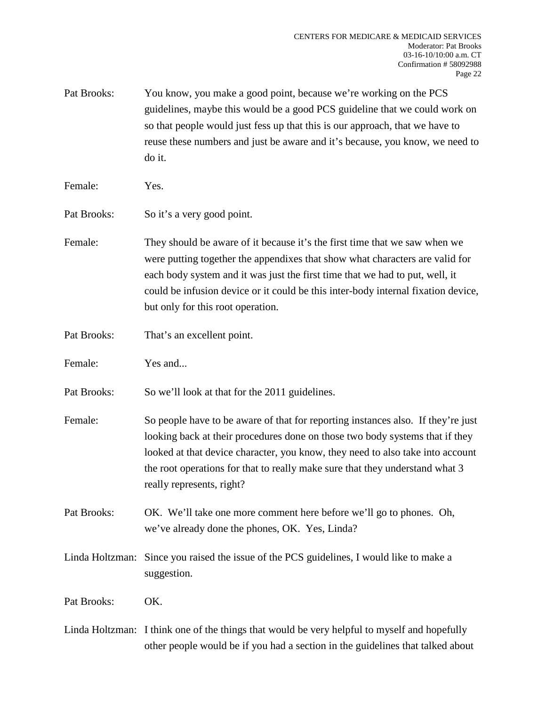- Pat Brooks: You know, you make a good point, because we're working on the PCS guidelines, maybe this would be a good PCS guideline that we could work on so that people would just fess up that this is our approach, that we have to reuse these numbers and just be aware and it's because, you know, we need to do it.
- Female: Yes.
- Pat Brooks: So it's a very good point.
- Female: They should be aware of it because it's the first time that we saw when we were putting together the appendixes that show what characters are valid for each body system and it was just the first time that we had to put, well, it could be infusion device or it could be this inter-body internal fixation device, but only for this root operation.
- Pat Brooks: That's an excellent point.
- Female: Yes and...
- Pat Brooks: So we'll look at that for the 2011 guidelines.
- Female: So people have to be aware of that for reporting instances also. If they're just looking back at their procedures done on those two body systems that if they looked at that device character, you know, they need to also take into account the root operations for that to really make sure that they understand what 3 really represents, right?
- Pat Brooks: OK. We'll take one more comment here before we'll go to phones. Oh, we've already done the phones, OK. Yes, Linda?
- Linda Holtzman: Since you raised the issue of the PCS guidelines, I would like to make a suggestion.

Pat Brooks: OK.

Linda Holtzman: I think one of the things that would be very helpful to myself and hopefully other people would be if you had a section in the guidelines that talked about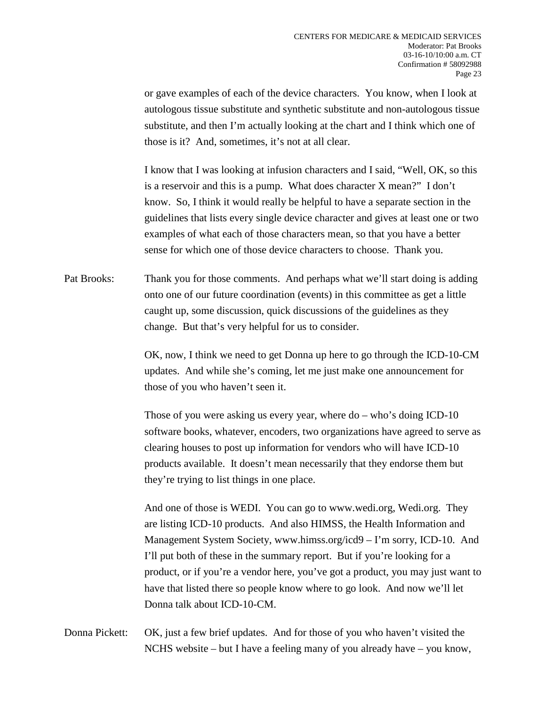or gave examples of each of the device characters. You know, when I look at autologous tissue substitute and synthetic substitute and non-autologous tissue substitute, and then I'm actually looking at the chart and I think which one of those is it? And, sometimes, it's not at all clear.

I know that I was looking at infusion characters and I said, "Well, OK, so this is a reservoir and this is a pump. What does character X mean?" I don't know. So, I think it would really be helpful to have a separate section in the guidelines that lists every single device character and gives at least one or two examples of what each of those characters mean, so that you have a better sense for which one of those device characters to choose. Thank you.

Pat Brooks: Thank you for those comments. And perhaps what we'll start doing is adding onto one of our future coordination (events) in this committee as get a little caught up, some discussion, quick discussions of the guidelines as they change. But that's very helpful for us to consider.

> OK, now, I think we need to get Donna up here to go through the ICD-10-CM updates. And while she's coming, let me just make one announcement for those of you who haven't seen it.

> Those of you were asking us every year, where do – who's doing ICD-10 software books, whatever, encoders, two organizations have agreed to serve as clearing houses to post up information for vendors who will have ICD-10 products available. It doesn't mean necessarily that they endorse them but they're trying to list things in one place.

> And one of those is WEDI. You can go to www.wedi.org, Wedi.org. They are listing ICD-10 products. And also HIMSS, the Health Information and Management System Society, www.himss.org/icd9 – I'm sorry, ICD-10. And I'll put both of these in the summary report. But if you're looking for a product, or if you're a vendor here, you've got a product, you may just want to have that listed there so people know where to go look. And now we'll let Donna talk about ICD-10-CM.

Donna Pickett: OK, just a few brief updates. And for those of you who haven't visited the NCHS website – but I have a feeling many of you already have – you know,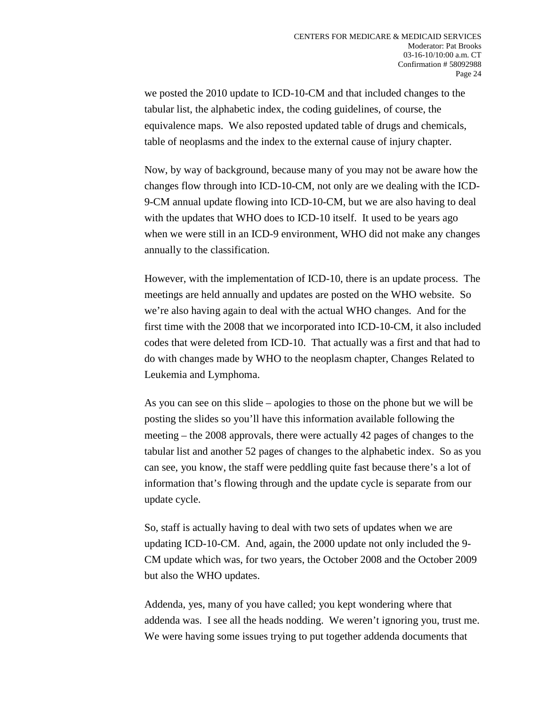we posted the 2010 update to ICD-10-CM and that included changes to the tabular list, the alphabetic index, the coding guidelines, of course, the equivalence maps. We also reposted updated table of drugs and chemicals, table of neoplasms and the index to the external cause of injury chapter.

Now, by way of background, because many of you may not be aware how the changes flow through into ICD-10-CM, not only are we dealing with the ICD-9-CM annual update flowing into ICD-10-CM, but we are also having to deal with the updates that WHO does to ICD-10 itself. It used to be years ago when we were still in an ICD-9 environment, WHO did not make any changes annually to the classification.

However, with the implementation of ICD-10, there is an update process. The meetings are held annually and updates are posted on the WHO website. So we're also having again to deal with the actual WHO changes. And for the first time with the 2008 that we incorporated into ICD-10-CM, it also included codes that were deleted from ICD-10. That actually was a first and that had to do with changes made by WHO to the neoplasm chapter, Changes Related to Leukemia and Lymphoma.

As you can see on this slide – apologies to those on the phone but we will be posting the slides so you'll have this information available following the meeting – the 2008 approvals, there were actually 42 pages of changes to the tabular list and another 52 pages of changes to the alphabetic index. So as you can see, you know, the staff were peddling quite fast because there's a lot of information that's flowing through and the update cycle is separate from our update cycle.

So, staff is actually having to deal with two sets of updates when we are updating ICD-10-CM. And, again, the 2000 update not only included the 9- CM update which was, for two years, the October 2008 and the October 2009 but also the WHO updates.

Addenda, yes, many of you have called; you kept wondering where that addenda was. I see all the heads nodding. We weren't ignoring you, trust me. We were having some issues trying to put together addenda documents that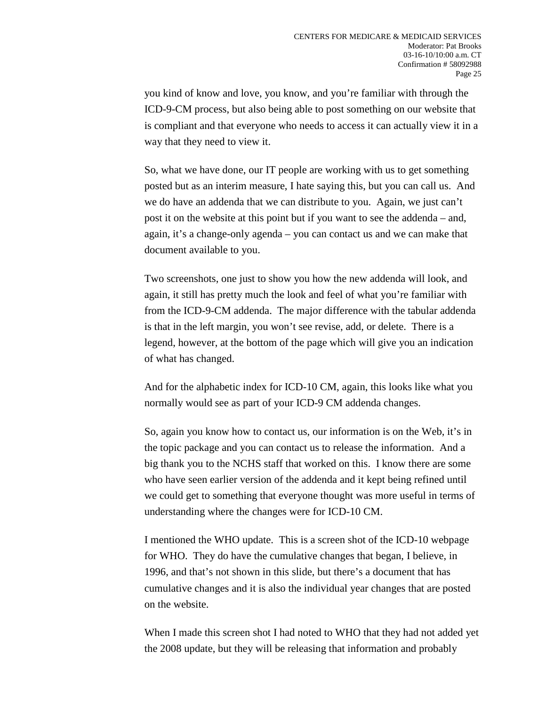you kind of know and love, you know, and you're familiar with through the ICD-9-CM process, but also being able to post something on our website that is compliant and that everyone who needs to access it can actually view it in a way that they need to view it.

So, what we have done, our IT people are working with us to get something posted but as an interim measure, I hate saying this, but you can call us. And we do have an addenda that we can distribute to you. Again, we just can't post it on the website at this point but if you want to see the addenda – and, again, it's a change-only agenda – you can contact us and we can make that document available to you.

Two screenshots, one just to show you how the new addenda will look, and again, it still has pretty much the look and feel of what you're familiar with from the ICD-9-CM addenda. The major difference with the tabular addenda is that in the left margin, you won't see revise, add, or delete. There is a legend, however, at the bottom of the page which will give you an indication of what has changed.

And for the alphabetic index for ICD-10 CM, again, this looks like what you normally would see as part of your ICD-9 CM addenda changes.

So, again you know how to contact us, our information is on the Web, it's in the topic package and you can contact us to release the information. And a big thank you to the NCHS staff that worked on this. I know there are some who have seen earlier version of the addenda and it kept being refined until we could get to something that everyone thought was more useful in terms of understanding where the changes were for ICD-10 CM.

I mentioned the WHO update. This is a screen shot of the ICD-10 webpage for WHO. They do have the cumulative changes that began, I believe, in 1996, and that's not shown in this slide, but there's a document that has cumulative changes and it is also the individual year changes that are posted on the website.

When I made this screen shot I had noted to WHO that they had not added yet the 2008 update, but they will be releasing that information and probably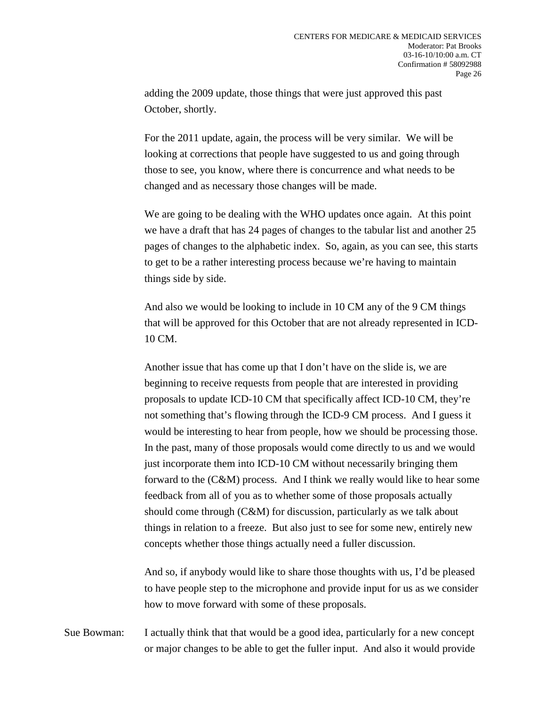adding the 2009 update, those things that were just approved this past October, shortly.

For the 2011 update, again, the process will be very similar. We will be looking at corrections that people have suggested to us and going through those to see, you know, where there is concurrence and what needs to be changed and as necessary those changes will be made.

We are going to be dealing with the WHO updates once again. At this point we have a draft that has 24 pages of changes to the tabular list and another 25 pages of changes to the alphabetic index. So, again, as you can see, this starts to get to be a rather interesting process because we're having to maintain things side by side.

And also we would be looking to include in 10 CM any of the 9 CM things that will be approved for this October that are not already represented in ICD-10 CM.

Another issue that has come up that I don't have on the slide is, we are beginning to receive requests from people that are interested in providing proposals to update ICD-10 CM that specifically affect ICD-10 CM, they're not something that's flowing through the ICD-9 CM process. And I guess it would be interesting to hear from people, how we should be processing those. In the past, many of those proposals would come directly to us and we would just incorporate them into ICD-10 CM without necessarily bringing them forward to the (C&M) process. And I think we really would like to hear some feedback from all of you as to whether some of those proposals actually should come through (C&M) for discussion, particularly as we talk about things in relation to a freeze. But also just to see for some new, entirely new concepts whether those things actually need a fuller discussion.

And so, if anybody would like to share those thoughts with us, I'd be pleased to have people step to the microphone and provide input for us as we consider how to move forward with some of these proposals.

Sue Bowman: I actually think that that would be a good idea, particularly for a new concept or major changes to be able to get the fuller input. And also it would provide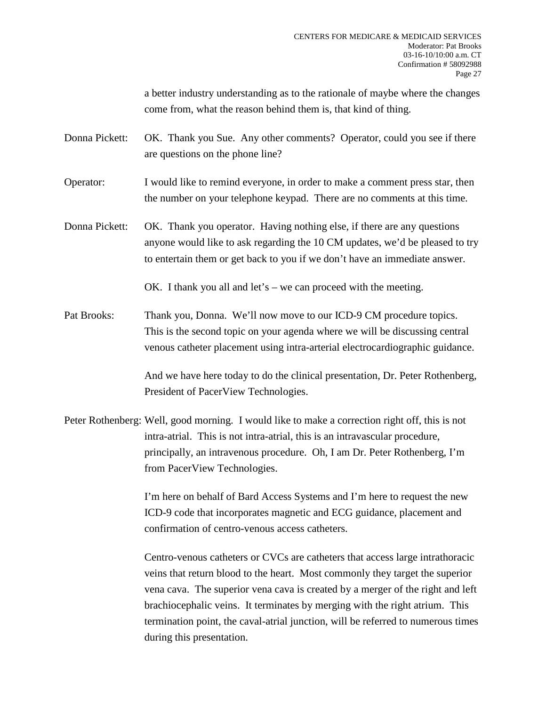a better industry understanding as to the rationale of maybe where the changes come from, what the reason behind them is, that kind of thing.

Donna Pickett: OK. Thank you Sue. Any other comments? Operator, could you see if there are questions on the phone line?

Operator: I would like to remind everyone, in order to make a comment press star, then the number on your telephone keypad. There are no comments at this time.

Donna Pickett: OK. Thank you operator. Having nothing else, if there are any questions anyone would like to ask regarding the 10 CM updates, we'd be pleased to try to entertain them or get back to you if we don't have an immediate answer.

OK. I thank you all and let's – we can proceed with the meeting.

Pat Brooks: Thank you, Donna. We'll now move to our ICD-9 CM procedure topics. This is the second topic on your agenda where we will be discussing central venous catheter placement using intra-arterial electrocardiographic guidance.

> And we have here today to do the clinical presentation, Dr. Peter Rothenberg, President of PacerView Technologies.

Peter Rothenberg: Well, good morning. I would like to make a correction right off, this is not intra-atrial. This is not intra-atrial, this is an intravascular procedure, principally, an intravenous procedure. Oh, I am Dr. Peter Rothenberg, I'm from PacerView Technologies.

> I'm here on behalf of Bard Access Systems and I'm here to request the new ICD-9 code that incorporates magnetic and ECG guidance, placement and confirmation of centro-venous access catheters.

Centro-venous catheters or CVCs are catheters that access large intrathoracic veins that return blood to the heart. Most commonly they target the superior vena cava. The superior vena cava is created by a merger of the right and left brachiocephalic veins. It terminates by merging with the right atrium. This termination point, the caval-atrial junction, will be referred to numerous times during this presentation.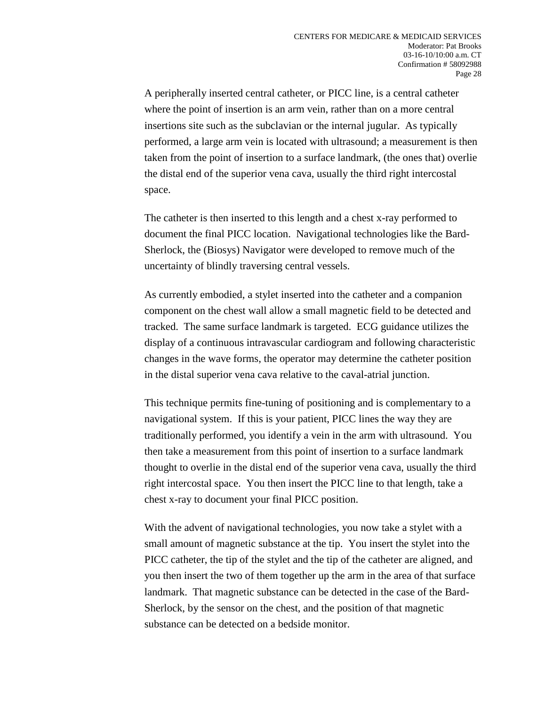A peripherally inserted central catheter, or PICC line, is a central catheter where the point of insertion is an arm vein, rather than on a more central insertions site such as the subclavian or the internal jugular. As typically performed, a large arm vein is located with ultrasound; a measurement is then taken from the point of insertion to a surface landmark, (the ones that) overlie the distal end of the superior vena cava, usually the third right intercostal space.

The catheter is then inserted to this length and a chest x-ray performed to document the final PICC location. Navigational technologies like the Bard-Sherlock, the (Biosys) Navigator were developed to remove much of the uncertainty of blindly traversing central vessels.

As currently embodied, a stylet inserted into the catheter and a companion component on the chest wall allow a small magnetic field to be detected and tracked. The same surface landmark is targeted. ECG guidance utilizes the display of a continuous intravascular cardiogram and following characteristic changes in the wave forms, the operator may determine the catheter position in the distal superior vena cava relative to the caval-atrial junction.

This technique permits fine-tuning of positioning and is complementary to a navigational system. If this is your patient, PICC lines the way they are traditionally performed, you identify a vein in the arm with ultrasound. You then take a measurement from this point of insertion to a surface landmark thought to overlie in the distal end of the superior vena cava, usually the third right intercostal space. You then insert the PICC line to that length, take a chest x-ray to document your final PICC position.

With the advent of navigational technologies, you now take a stylet with a small amount of magnetic substance at the tip. You insert the stylet into the PICC catheter, the tip of the stylet and the tip of the catheter are aligned, and you then insert the two of them together up the arm in the area of that surface landmark. That magnetic substance can be detected in the case of the Bard-Sherlock, by the sensor on the chest, and the position of that magnetic substance can be detected on a bedside monitor.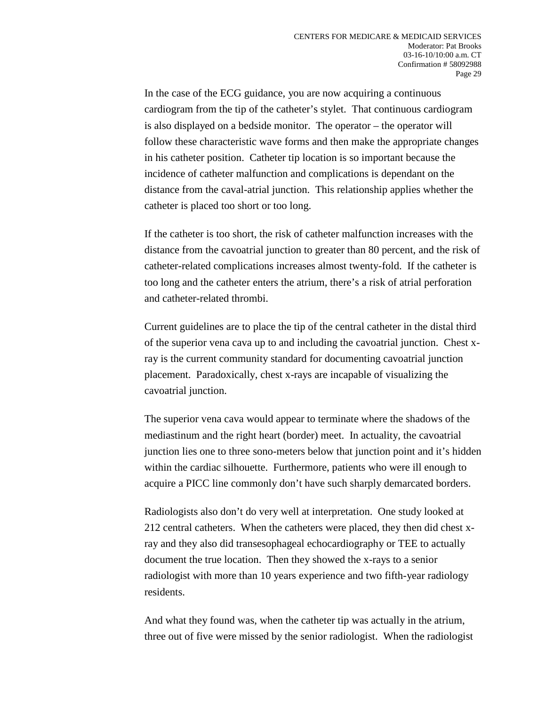In the case of the ECG guidance, you are now acquiring a continuous cardiogram from the tip of the catheter's stylet. That continuous cardiogram is also displayed on a bedside monitor. The operator – the operator will follow these characteristic wave forms and then make the appropriate changes in his catheter position. Catheter tip location is so important because the incidence of catheter malfunction and complications is dependant on the distance from the caval-atrial junction. This relationship applies whether the catheter is placed too short or too long.

If the catheter is too short, the risk of catheter malfunction increases with the distance from the cavoatrial junction to greater than 80 percent, and the risk of catheter-related complications increases almost twenty-fold. If the catheter is too long and the catheter enters the atrium, there's a risk of atrial perforation and catheter-related thrombi.

Current guidelines are to place the tip of the central catheter in the distal third of the superior vena cava up to and including the cavoatrial junction. Chest xray is the current community standard for documenting cavoatrial junction placement. Paradoxically, chest x-rays are incapable of visualizing the cavoatrial junction.

The superior vena cava would appear to terminate where the shadows of the mediastinum and the right heart (border) meet. In actuality, the cavoatrial junction lies one to three sono-meters below that junction point and it's hidden within the cardiac silhouette. Furthermore, patients who were ill enough to acquire a PICC line commonly don't have such sharply demarcated borders.

Radiologists also don't do very well at interpretation. One study looked at 212 central catheters. When the catheters were placed, they then did chest xray and they also did transesophageal echocardiography or TEE to actually document the true location. Then they showed the x-rays to a senior radiologist with more than 10 years experience and two fifth-year radiology residents.

And what they found was, when the catheter tip was actually in the atrium, three out of five were missed by the senior radiologist. When the radiologist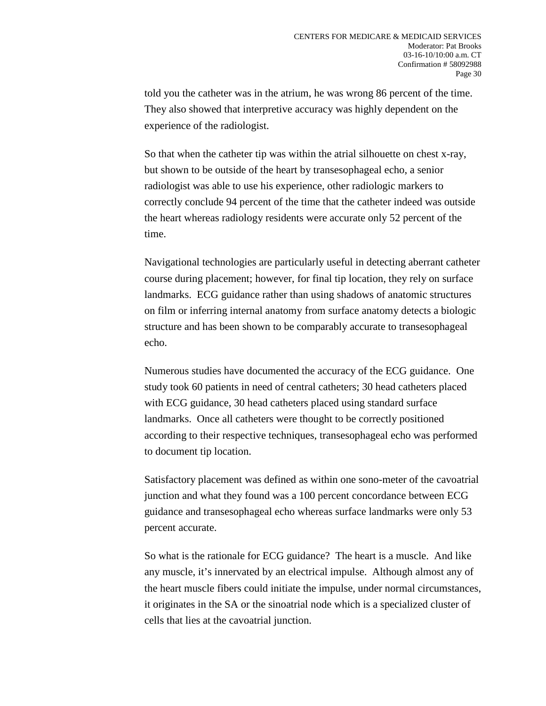told you the catheter was in the atrium, he was wrong 86 percent of the time. They also showed that interpretive accuracy was highly dependent on the experience of the radiologist.

So that when the catheter tip was within the atrial silhouette on chest x-ray, but shown to be outside of the heart by transesophageal echo, a senior radiologist was able to use his experience, other radiologic markers to correctly conclude 94 percent of the time that the catheter indeed was outside the heart whereas radiology residents were accurate only 52 percent of the time.

Navigational technologies are particularly useful in detecting aberrant catheter course during placement; however, for final tip location, they rely on surface landmarks. ECG guidance rather than using shadows of anatomic structures on film or inferring internal anatomy from surface anatomy detects a biologic structure and has been shown to be comparably accurate to transesophageal echo.

Numerous studies have documented the accuracy of the ECG guidance. One study took 60 patients in need of central catheters; 30 head catheters placed with ECG guidance, 30 head catheters placed using standard surface landmarks. Once all catheters were thought to be correctly positioned according to their respective techniques, transesophageal echo was performed to document tip location.

Satisfactory placement was defined as within one sono-meter of the cavoatrial junction and what they found was a 100 percent concordance between ECG guidance and transesophageal echo whereas surface landmarks were only 53 percent accurate.

So what is the rationale for ECG guidance? The heart is a muscle. And like any muscle, it's innervated by an electrical impulse. Although almost any of the heart muscle fibers could initiate the impulse, under normal circumstances, it originates in the SA or the sinoatrial node which is a specialized cluster of cells that lies at the cavoatrial junction.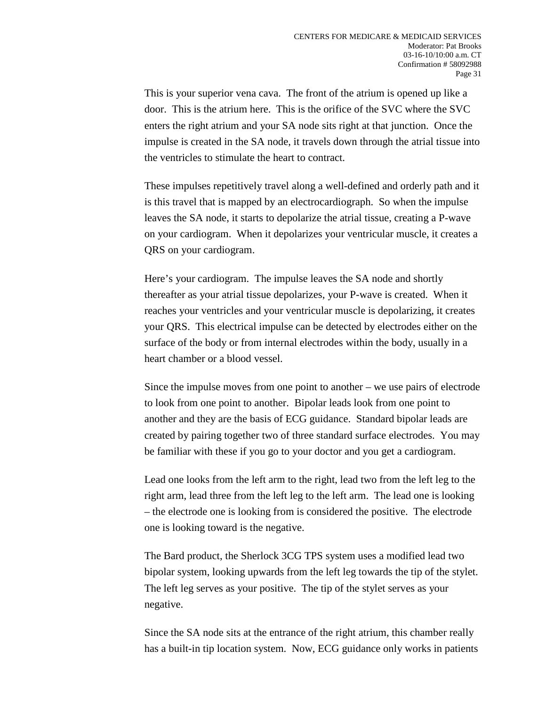This is your superior vena cava. The front of the atrium is opened up like a door. This is the atrium here. This is the orifice of the SVC where the SVC enters the right atrium and your SA node sits right at that junction. Once the impulse is created in the SA node, it travels down through the atrial tissue into the ventricles to stimulate the heart to contract.

These impulses repetitively travel along a well-defined and orderly path and it is this travel that is mapped by an electrocardiograph. So when the impulse leaves the SA node, it starts to depolarize the atrial tissue, creating a P-wave on your cardiogram. When it depolarizes your ventricular muscle, it creates a QRS on your cardiogram.

Here's your cardiogram. The impulse leaves the SA node and shortly thereafter as your atrial tissue depolarizes, your P-wave is created. When it reaches your ventricles and your ventricular muscle is depolarizing, it creates your QRS. This electrical impulse can be detected by electrodes either on the surface of the body or from internal electrodes within the body, usually in a heart chamber or a blood vessel.

Since the impulse moves from one point to another – we use pairs of electrode to look from one point to another. Bipolar leads look from one point to another and they are the basis of ECG guidance. Standard bipolar leads are created by pairing together two of three standard surface electrodes. You may be familiar with these if you go to your doctor and you get a cardiogram.

Lead one looks from the left arm to the right, lead two from the left leg to the right arm, lead three from the left leg to the left arm. The lead one is looking – the electrode one is looking from is considered the positive. The electrode one is looking toward is the negative.

The Bard product, the Sherlock 3CG TPS system uses a modified lead two bipolar system, looking upwards from the left leg towards the tip of the stylet. The left leg serves as your positive. The tip of the stylet serves as your negative.

Since the SA node sits at the entrance of the right atrium, this chamber really has a built-in tip location system. Now, ECG guidance only works in patients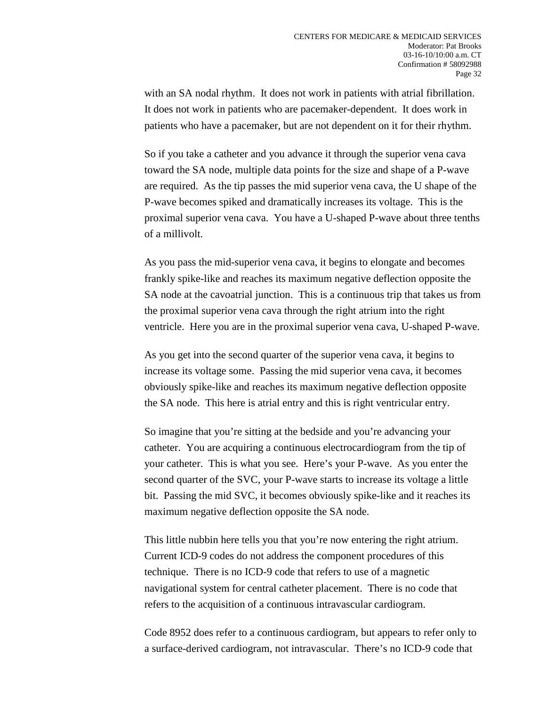with an SA nodal rhythm. It does not work in patients with atrial fibrillation. It does not work in patients who are pacemaker-dependent. It does work in patients who have a pacemaker, but are not dependent on it for their rhythm.

So if you take a catheter and you advance it through the superior vena cava toward the SA node, multiple data points for the size and shape of a P-wave are required. As the tip passes the mid superior vena cava, the U shape of the P-wave becomes spiked and dramatically increases its voltage. This is the proximal superior vena cava. You have a U-shaped P-wave about three tenths of a millivolt.

As you pass the mid-superior vena cava, it begins to elongate and becomes frankly spike-like and reaches its maximum negative deflection opposite the SA node at the cavoatrial junction. This is a continuous trip that takes us from the proximal superior vena cava through the right atrium into the right ventricle. Here you are in the proximal superior vena cava, U-shaped P-wave.

As you get into the second quarter of the superior vena cava, it begins to increase its voltage some. Passing the mid superior vena cava, it becomes obviously spike-like and reaches its maximum negative deflection opposite the SA node. This here is atrial entry and this is right ventricular entry.

So imagine that you're sitting at the bedside and you're advancing your catheter. You are acquiring a continuous electrocardiogram from the tip of your catheter. This is what you see. Here's your P-wave. As you enter the second quarter of the SVC, your P-wave starts to increase its voltage a little bit. Passing the mid SVC, it becomes obviously spike-like and it reaches its maximum negative deflection opposite the SA node.

This little nubbin here tells you that you're now entering the right atrium. Current ICD-9 codes do not address the component procedures of this technique. There is no ICD-9 code that refers to use of a magnetic navigational system for central catheter placement. There is no code that refers to the acquisition of a continuous intravascular cardiogram.

Code 8952 does refer to a continuous cardiogram, but appears to refer only to a surface-derived cardiogram, not intravascular. There's no ICD-9 code that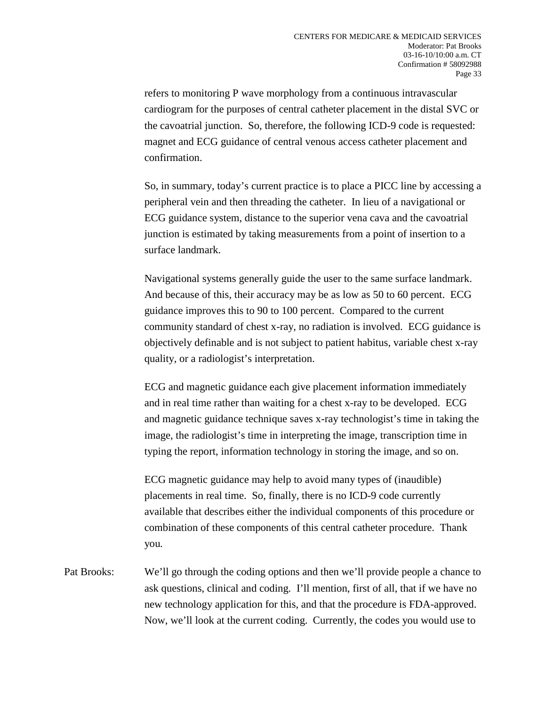refers to monitoring P wave morphology from a continuous intravascular cardiogram for the purposes of central catheter placement in the distal SVC or the cavoatrial junction. So, therefore, the following ICD-9 code is requested: magnet and ECG guidance of central venous access catheter placement and confirmation.

So, in summary, today's current practice is to place a PICC line by accessing a peripheral vein and then threading the catheter. In lieu of a navigational or ECG guidance system, distance to the superior vena cava and the cavoatrial junction is estimated by taking measurements from a point of insertion to a surface landmark.

Navigational systems generally guide the user to the same surface landmark. And because of this, their accuracy may be as low as 50 to 60 percent. ECG guidance improves this to 90 to 100 percent. Compared to the current community standard of chest x-ray, no radiation is involved. ECG guidance is objectively definable and is not subject to patient habitus, variable chest x-ray quality, or a radiologist's interpretation.

ECG and magnetic guidance each give placement information immediately and in real time rather than waiting for a chest x-ray to be developed. ECG and magnetic guidance technique saves x-ray technologist's time in taking the image, the radiologist's time in interpreting the image, transcription time in typing the report, information technology in storing the image, and so on.

ECG magnetic guidance may help to avoid many types of (inaudible) placements in real time. So, finally, there is no ICD-9 code currently available that describes either the individual components of this procedure or combination of these components of this central catheter procedure. Thank you.

Pat Brooks: We'll go through the coding options and then we'll provide people a chance to ask questions, clinical and coding. I'll mention, first of all, that if we have no new technology application for this, and that the procedure is FDA-approved. Now, we'll look at the current coding. Currently, the codes you would use to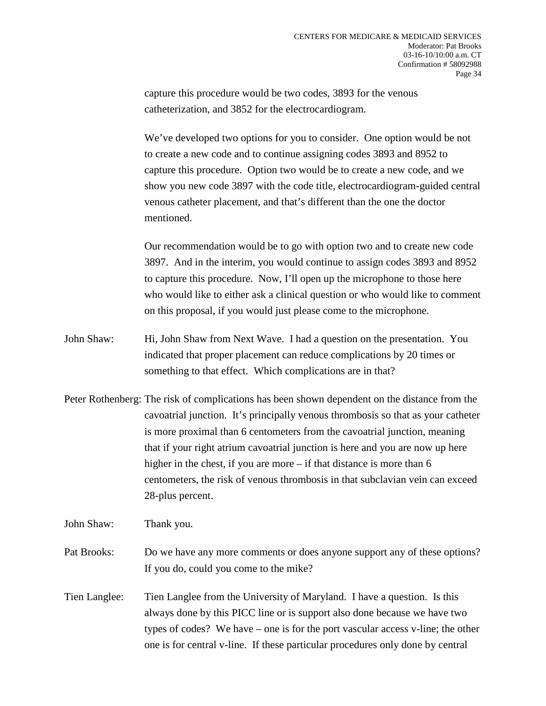capture this procedure would be two codes, 3893 for the venous catheterization, and 3852 for the electrocardiogram.

We've developed two options for you to consider. One option would be not to create a new code and to continue assigning codes 3893 and 8952 to capture this procedure. Option two would be to create a new code, and we show you new code 3897 with the code title, electrocardiogram-guided central venous catheter placement, and that's different than the one the doctor mentioned.

Our recommendation would be to go with option two and to create new code 3897. And in the interim, you would continue to assign codes 3893 and 8952 to capture this procedure. Now, I'll open up the microphone to those here who would like to either ask a clinical question or who would like to comment on this proposal, if you would just please come to the microphone.

- John Shaw: Hi, John Shaw from Next Wave. I had a question on the presentation. You indicated that proper placement can reduce complications by 20 times or something to that effect. Which complications are in that?
- Peter Rothenberg: The risk of complications has been shown dependent on the distance from the cavoatrial junction. It's principally venous thrombosis so that as your catheter is more proximal than 6 centometers from the cavoatrial junction, meaning that if your right atrium cavoatrial junction is here and you are now up here higher in the chest, if you are more – if that distance is more than 6 centometers, the risk of venous thrombosis in that subclavian vein can exceed 28-plus percent.

John Shaw: Thank you.

- Pat Brooks: Do we have any more comments or does anyone support any of these options? If you do, could you come to the mike?
- Tien Langlee: Tien Langlee from the University of Maryland. I have a question. Is this always done by this PICC line or is support also done because we have two types of codes? We have – one is for the port vascular access v-line; the other one is for central v-line. If these particular procedures only done by central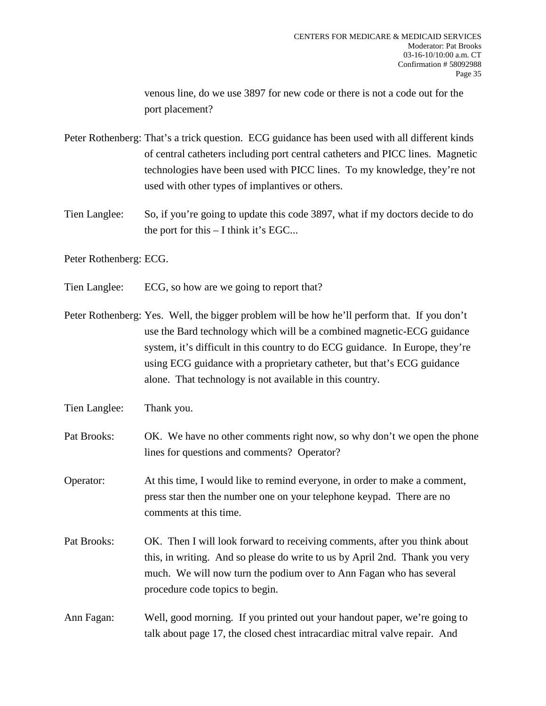venous line, do we use 3897 for new code or there is not a code out for the port placement?

- Peter Rothenberg: That's a trick question. ECG guidance has been used with all different kinds of central catheters including port central catheters and PICC lines. Magnetic technologies have been used with PICC lines. To my knowledge, they're not used with other types of implantives or others.
- Tien Langlee: So, if you're going to update this code 3897, what if my doctors decide to do the port for this – I think it's EGC...

Peter Rothenberg: ECG.

- Tien Langlee: ECG, so how are we going to report that?
- Peter Rothenberg: Yes. Well, the bigger problem will be how he'll perform that. If you don't use the Bard technology which will be a combined magnetic-ECG guidance system, it's difficult in this country to do ECG guidance. In Europe, they're using ECG guidance with a proprietary catheter, but that's ECG guidance alone. That technology is not available in this country.
- Tien Langlee: Thank you.
- Pat Brooks: OK. We have no other comments right now, so why don't we open the phone lines for questions and comments? Operator?

Operator: At this time, I would like to remind everyone, in order to make a comment, press star then the number one on your telephone keypad. There are no comments at this time.

- Pat Brooks: OK. Then I will look forward to receiving comments, after you think about this, in writing. And so please do write to us by April 2nd. Thank you very much. We will now turn the podium over to Ann Fagan who has several procedure code topics to begin.
- Ann Fagan: Well, good morning. If you printed out your handout paper, we're going to talk about page 17, the closed chest intracardiac mitral valve repair. And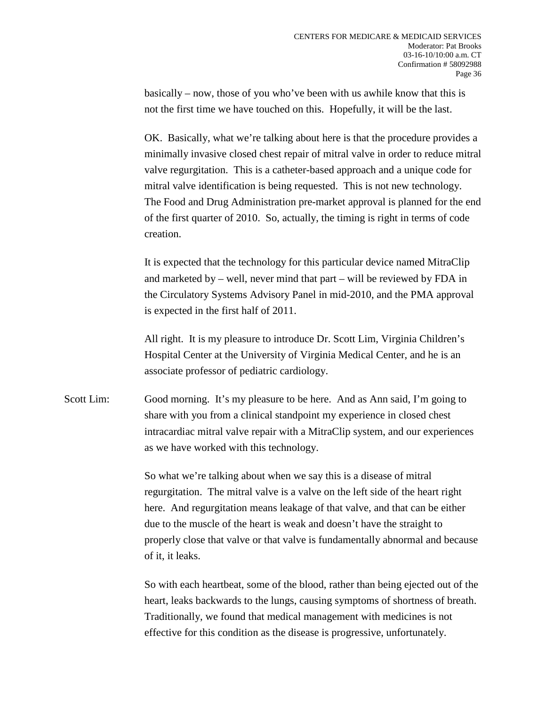basically – now, those of you who've been with us awhile know that this is not the first time we have touched on this. Hopefully, it will be the last.

OK. Basically, what we're talking about here is that the procedure provides a minimally invasive closed chest repair of mitral valve in order to reduce mitral valve regurgitation. This is a catheter-based approach and a unique code for mitral valve identification is being requested. This is not new technology. The Food and Drug Administration pre-market approval is planned for the end of the first quarter of 2010. So, actually, the timing is right in terms of code creation.

It is expected that the technology for this particular device named MitraClip and marketed by – well, never mind that part – will be reviewed by FDA in the Circulatory Systems Advisory Panel in mid-2010, and the PMA approval is expected in the first half of 2011.

All right. It is my pleasure to introduce Dr. Scott Lim, Virginia Children's Hospital Center at the University of Virginia Medical Center, and he is an associate professor of pediatric cardiology.

Scott Lim: Good morning. It's my pleasure to be here. And as Ann said, I'm going to share with you from a clinical standpoint my experience in closed chest intracardiac mitral valve repair with a MitraClip system, and our experiences as we have worked with this technology.

> So what we're talking about when we say this is a disease of mitral regurgitation. The mitral valve is a valve on the left side of the heart right here. And regurgitation means leakage of that valve, and that can be either due to the muscle of the heart is weak and doesn't have the straight to properly close that valve or that valve is fundamentally abnormal and because of it, it leaks.

> So with each heartbeat, some of the blood, rather than being ejected out of the heart, leaks backwards to the lungs, causing symptoms of shortness of breath. Traditionally, we found that medical management with medicines is not effective for this condition as the disease is progressive, unfortunately.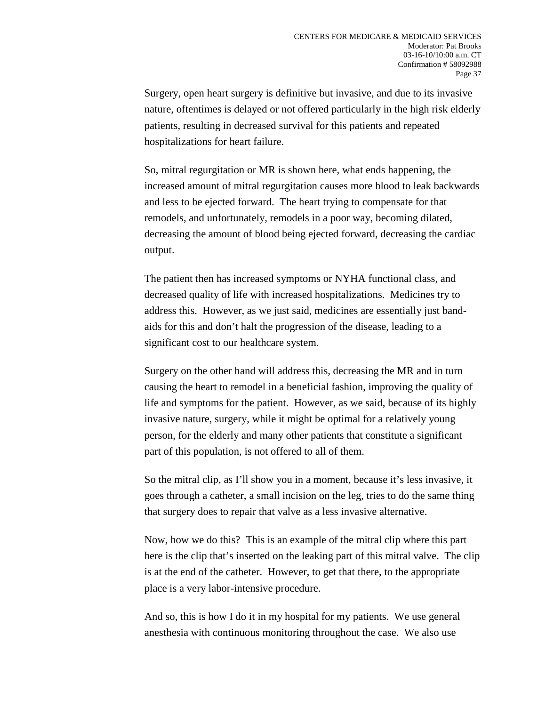Surgery, open heart surgery is definitive but invasive, and due to its invasive nature, oftentimes is delayed or not offered particularly in the high risk elderly patients, resulting in decreased survival for this patients and repeated hospitalizations for heart failure.

So, mitral regurgitation or MR is shown here, what ends happening, the increased amount of mitral regurgitation causes more blood to leak backwards and less to be ejected forward. The heart trying to compensate for that remodels, and unfortunately, remodels in a poor way, becoming dilated, decreasing the amount of blood being ejected forward, decreasing the cardiac output.

The patient then has increased symptoms or NYHA functional class, and decreased quality of life with increased hospitalizations. Medicines try to address this. However, as we just said, medicines are essentially just bandaids for this and don't halt the progression of the disease, leading to a significant cost to our healthcare system.

Surgery on the other hand will address this, decreasing the MR and in turn causing the heart to remodel in a beneficial fashion, improving the quality of life and symptoms for the patient. However, as we said, because of its highly invasive nature, surgery, while it might be optimal for a relatively young person, for the elderly and many other patients that constitute a significant part of this population, is not offered to all of them.

So the mitral clip, as I'll show you in a moment, because it's less invasive, it goes through a catheter, a small incision on the leg, tries to do the same thing that surgery does to repair that valve as a less invasive alternative.

Now, how we do this? This is an example of the mitral clip where this part here is the clip that's inserted on the leaking part of this mitral valve. The clip is at the end of the catheter. However, to get that there, to the appropriate place is a very labor-intensive procedure.

And so, this is how I do it in my hospital for my patients. We use general anesthesia with continuous monitoring throughout the case. We also use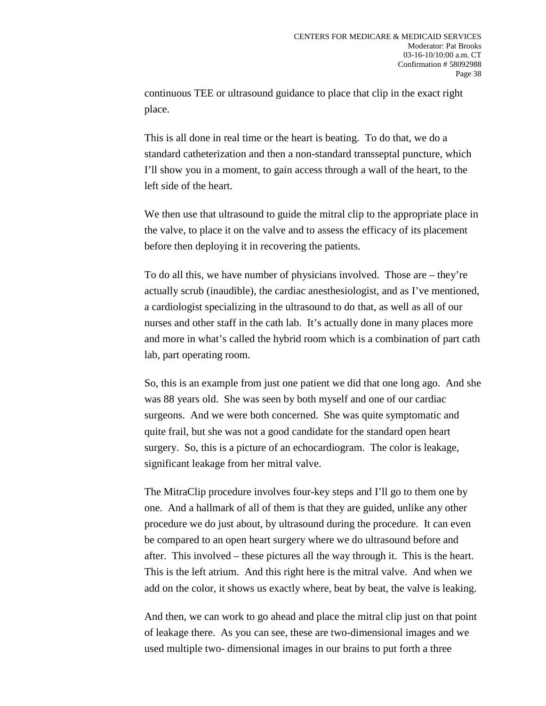continuous TEE or ultrasound guidance to place that clip in the exact right place.

This is all done in real time or the heart is beating. To do that, we do a standard catheterization and then a non-standard transseptal puncture, which I'll show you in a moment, to gain access through a wall of the heart, to the left side of the heart.

We then use that ultrasound to guide the mitral clip to the appropriate place in the valve, to place it on the valve and to assess the efficacy of its placement before then deploying it in recovering the patients.

To do all this, we have number of physicians involved. Those are – they're actually scrub (inaudible), the cardiac anesthesiologist, and as I've mentioned, a cardiologist specializing in the ultrasound to do that, as well as all of our nurses and other staff in the cath lab. It's actually done in many places more and more in what's called the hybrid room which is a combination of part cath lab, part operating room.

So, this is an example from just one patient we did that one long ago. And she was 88 years old. She was seen by both myself and one of our cardiac surgeons. And we were both concerned. She was quite symptomatic and quite frail, but she was not a good candidate for the standard open heart surgery. So, this is a picture of an echocardiogram. The color is leakage, significant leakage from her mitral valve.

The MitraClip procedure involves four-key steps and I'll go to them one by one. And a hallmark of all of them is that they are guided, unlike any other procedure we do just about, by ultrasound during the procedure. It can even be compared to an open heart surgery where we do ultrasound before and after. This involved – these pictures all the way through it. This is the heart. This is the left atrium. And this right here is the mitral valve. And when we add on the color, it shows us exactly where, beat by beat, the valve is leaking.

And then, we can work to go ahead and place the mitral clip just on that point of leakage there. As you can see, these are two-dimensional images and we used multiple two- dimensional images in our brains to put forth a three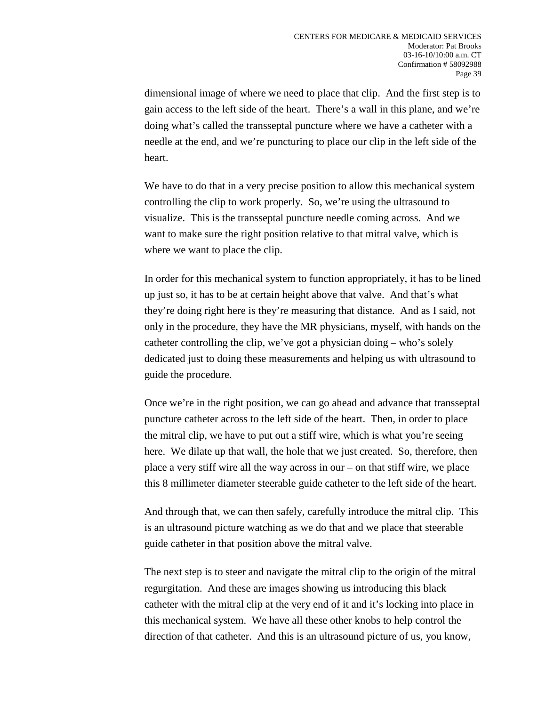dimensional image of where we need to place that clip. And the first step is to gain access to the left side of the heart. There's a wall in this plane, and we're doing what's called the transseptal puncture where we have a catheter with a needle at the end, and we're puncturing to place our clip in the left side of the heart.

We have to do that in a very precise position to allow this mechanical system controlling the clip to work properly. So, we're using the ultrasound to visualize. This is the transseptal puncture needle coming across. And we want to make sure the right position relative to that mitral valve, which is where we want to place the clip.

In order for this mechanical system to function appropriately, it has to be lined up just so, it has to be at certain height above that valve. And that's what they're doing right here is they're measuring that distance. And as I said, not only in the procedure, they have the MR physicians, myself, with hands on the catheter controlling the clip, we've got a physician doing – who's solely dedicated just to doing these measurements and helping us with ultrasound to guide the procedure.

Once we're in the right position, we can go ahead and advance that transseptal puncture catheter across to the left side of the heart. Then, in order to place the mitral clip, we have to put out a stiff wire, which is what you're seeing here. We dilate up that wall, the hole that we just created. So, therefore, then place a very stiff wire all the way across in our – on that stiff wire, we place this 8 millimeter diameter steerable guide catheter to the left side of the heart.

And through that, we can then safely, carefully introduce the mitral clip. This is an ultrasound picture watching as we do that and we place that steerable guide catheter in that position above the mitral valve.

The next step is to steer and navigate the mitral clip to the origin of the mitral regurgitation. And these are images showing us introducing this black catheter with the mitral clip at the very end of it and it's locking into place in this mechanical system. We have all these other knobs to help control the direction of that catheter. And this is an ultrasound picture of us, you know,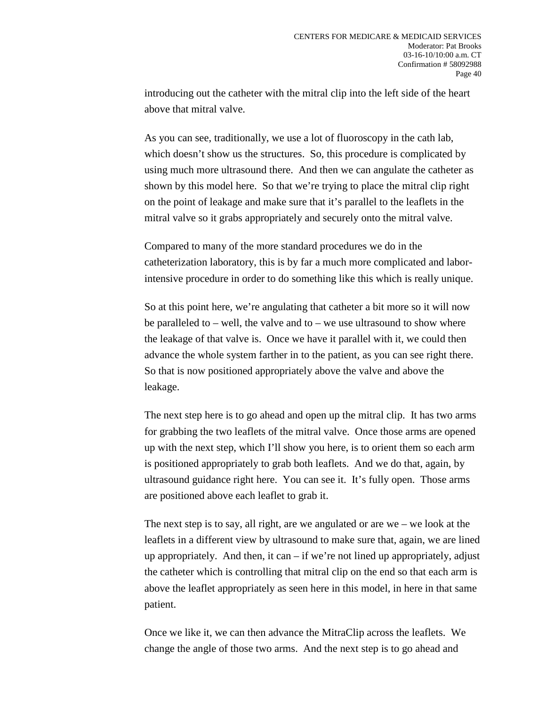introducing out the catheter with the mitral clip into the left side of the heart above that mitral valve.

As you can see, traditionally, we use a lot of fluoroscopy in the cath lab, which doesn't show us the structures. So, this procedure is complicated by using much more ultrasound there. And then we can angulate the catheter as shown by this model here. So that we're trying to place the mitral clip right on the point of leakage and make sure that it's parallel to the leaflets in the mitral valve so it grabs appropriately and securely onto the mitral valve.

Compared to many of the more standard procedures we do in the catheterization laboratory, this is by far a much more complicated and laborintensive procedure in order to do something like this which is really unique.

So at this point here, we're angulating that catheter a bit more so it will now be paralleled to – well, the valve and to – we use ultrasound to show where the leakage of that valve is. Once we have it parallel with it, we could then advance the whole system farther in to the patient, as you can see right there. So that is now positioned appropriately above the valve and above the leakage.

The next step here is to go ahead and open up the mitral clip. It has two arms for grabbing the two leaflets of the mitral valve. Once those arms are opened up with the next step, which I'll show you here, is to orient them so each arm is positioned appropriately to grab both leaflets. And we do that, again, by ultrasound guidance right here. You can see it. It's fully open. Those arms are positioned above each leaflet to grab it.

The next step is to say, all right, are we angulated or are we – we look at the leaflets in a different view by ultrasound to make sure that, again, we are lined up appropriately. And then, it can  $-$  if we're not lined up appropriately, adjust the catheter which is controlling that mitral clip on the end so that each arm is above the leaflet appropriately as seen here in this model, in here in that same patient.

Once we like it, we can then advance the MitraClip across the leaflets. We change the angle of those two arms. And the next step is to go ahead and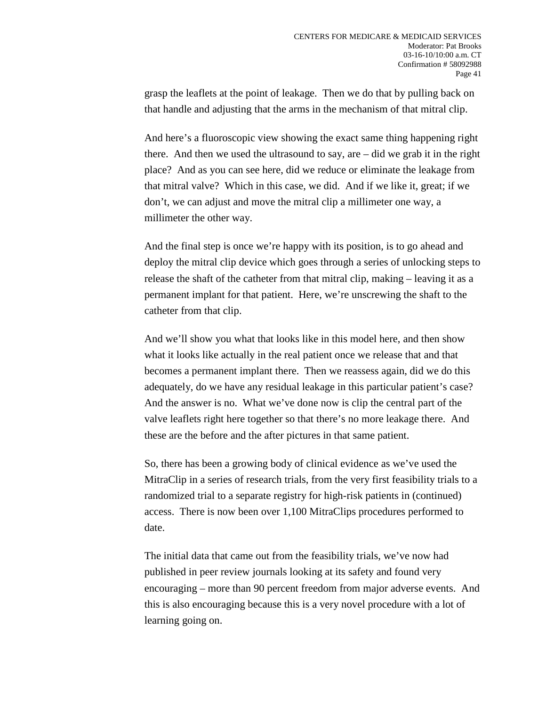grasp the leaflets at the point of leakage. Then we do that by pulling back on that handle and adjusting that the arms in the mechanism of that mitral clip.

And here's a fluoroscopic view showing the exact same thing happening right there. And then we used the ultrasound to say, are – did we grab it in the right place? And as you can see here, did we reduce or eliminate the leakage from that mitral valve? Which in this case, we did. And if we like it, great; if we don't, we can adjust and move the mitral clip a millimeter one way, a millimeter the other way.

And the final step is once we're happy with its position, is to go ahead and deploy the mitral clip device which goes through a series of unlocking steps to release the shaft of the catheter from that mitral clip, making – leaving it as a permanent implant for that patient. Here, we're unscrewing the shaft to the catheter from that clip.

And we'll show you what that looks like in this model here, and then show what it looks like actually in the real patient once we release that and that becomes a permanent implant there. Then we reassess again, did we do this adequately, do we have any residual leakage in this particular patient's case? And the answer is no. What we've done now is clip the central part of the valve leaflets right here together so that there's no more leakage there. And these are the before and the after pictures in that same patient.

So, there has been a growing body of clinical evidence as we've used the MitraClip in a series of research trials, from the very first feasibility trials to a randomized trial to a separate registry for high-risk patients in (continued) access. There is now been over 1,100 MitraClips procedures performed to date.

The initial data that came out from the feasibility trials, we've now had published in peer review journals looking at its safety and found very encouraging – more than 90 percent freedom from major adverse events. And this is also encouraging because this is a very novel procedure with a lot of learning going on.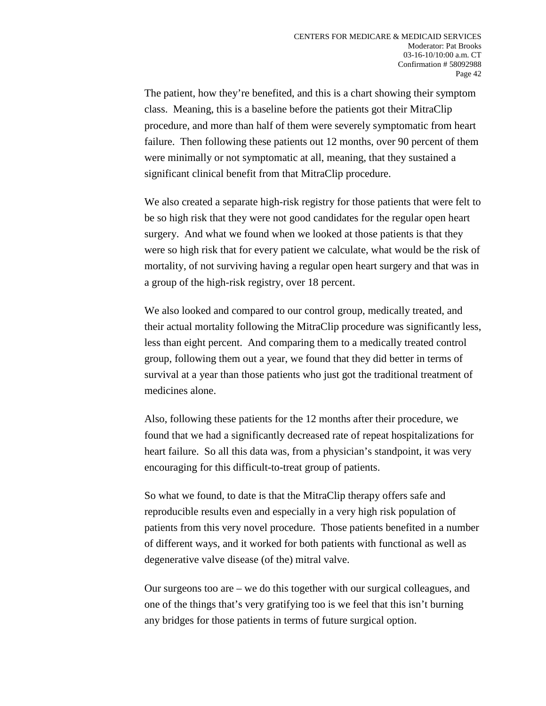The patient, how they're benefited, and this is a chart showing their symptom class. Meaning, this is a baseline before the patients got their MitraClip procedure, and more than half of them were severely symptomatic from heart failure. Then following these patients out 12 months, over 90 percent of them were minimally or not symptomatic at all, meaning, that they sustained a significant clinical benefit from that MitraClip procedure.

We also created a separate high-risk registry for those patients that were felt to be so high risk that they were not good candidates for the regular open heart surgery. And what we found when we looked at those patients is that they were so high risk that for every patient we calculate, what would be the risk of mortality, of not surviving having a regular open heart surgery and that was in a group of the high-risk registry, over 18 percent.

We also looked and compared to our control group, medically treated, and their actual mortality following the MitraClip procedure was significantly less, less than eight percent. And comparing them to a medically treated control group, following them out a year, we found that they did better in terms of survival at a year than those patients who just got the traditional treatment of medicines alone.

Also, following these patients for the 12 months after their procedure, we found that we had a significantly decreased rate of repeat hospitalizations for heart failure. So all this data was, from a physician's standpoint, it was very encouraging for this difficult-to-treat group of patients.

So what we found, to date is that the MitraClip therapy offers safe and reproducible results even and especially in a very high risk population of patients from this very novel procedure. Those patients benefited in a number of different ways, and it worked for both patients with functional as well as degenerative valve disease (of the) mitral valve.

Our surgeons too are – we do this together with our surgical colleagues, and one of the things that's very gratifying too is we feel that this isn't burning any bridges for those patients in terms of future surgical option.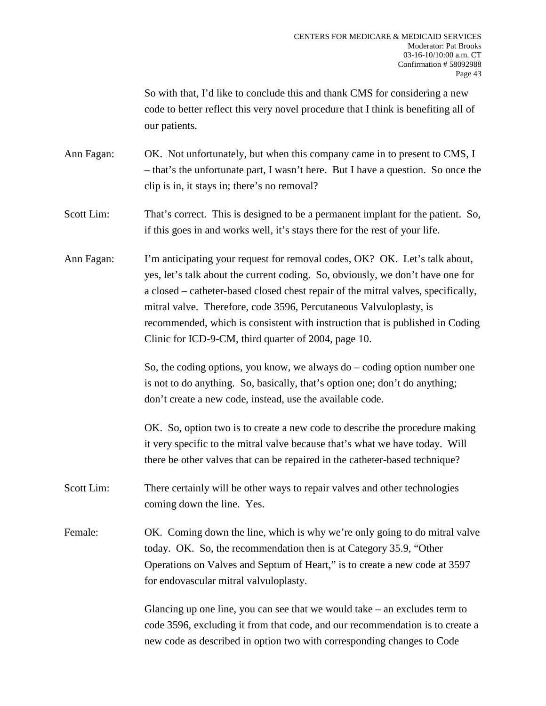So with that, I'd like to conclude this and thank CMS for considering a new code to better reflect this very novel procedure that I think is benefiting all of our patients.

- Ann Fagan: OK. Not unfortunately, but when this company came in to present to CMS, I – that's the unfortunate part, I wasn't here. But I have a question. So once the clip is in, it stays in; there's no removal?
- Scott Lim: That's correct. This is designed to be a permanent implant for the patient. So, if this goes in and works well, it's stays there for the rest of your life.
- Ann Fagan: I'm anticipating your request for removal codes, OK? OK. Let's talk about, yes, let's talk about the current coding. So, obviously, we don't have one for a closed – catheter-based closed chest repair of the mitral valves, specifically, mitral valve. Therefore, code 3596, Percutaneous Valvuloplasty, is recommended, which is consistent with instruction that is published in Coding Clinic for ICD-9-CM, third quarter of 2004, page 10.

So, the coding options, you know, we always do – coding option number one is not to do anything. So, basically, that's option one; don't do anything; don't create a new code, instead, use the available code.

OK. So, option two is to create a new code to describe the procedure making it very specific to the mitral valve because that's what we have today. Will there be other valves that can be repaired in the catheter-based technique?

Scott Lim: There certainly will be other ways to repair valves and other technologies coming down the line. Yes.

Female: OK. Coming down the line, which is why we're only going to do mitral valve today. OK. So, the recommendation then is at Category 35.9, "Other Operations on Valves and Septum of Heart," is to create a new code at 3597 for endovascular mitral valvuloplasty.

> Glancing up one line, you can see that we would take – an excludes term to code 3596, excluding it from that code, and our recommendation is to create a new code as described in option two with corresponding changes to Code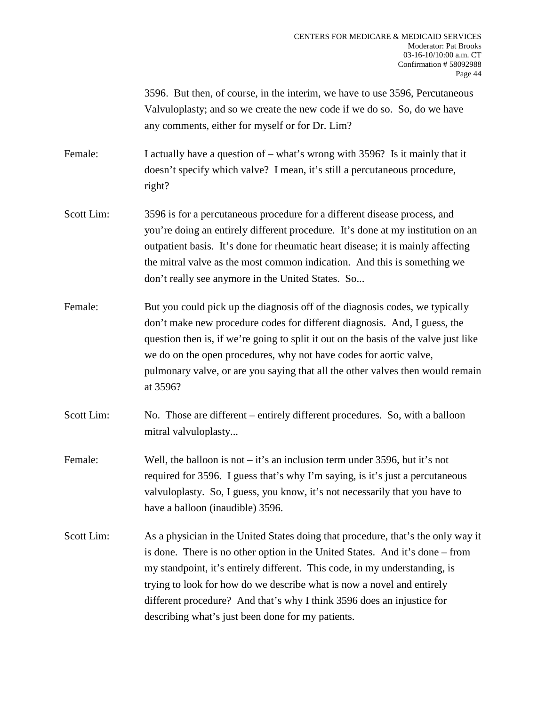3596. But then, of course, in the interim, we have to use 3596, Percutaneous Valvuloplasty; and so we create the new code if we do so. So, do we have any comments, either for myself or for Dr. Lim?

Female: I actually have a question of – what's wrong with 3596? Is it mainly that it doesn't specify which valve? I mean, it's still a percutaneous procedure, right?

- Scott Lim: 3596 is for a percutaneous procedure for a different disease process, and you're doing an entirely different procedure. It's done at my institution on an outpatient basis. It's done for rheumatic heart disease; it is mainly affecting the mitral valve as the most common indication. And this is something we don't really see anymore in the United States. So...
- Female: But you could pick up the diagnosis of the diagnosis codes, we typically don't make new procedure codes for different diagnosis. And, I guess, the question then is, if we're going to split it out on the basis of the valve just like we do on the open procedures, why not have codes for aortic valve, pulmonary valve, or are you saying that all the other valves then would remain at 3596?
- Scott Lim: No. Those are different entirely different procedures. So, with a balloon mitral valvuloplasty...
- Female: Well, the balloon is not it's an inclusion term under 3596, but it's not required for 3596. I guess that's why I'm saying, is it's just a percutaneous valvuloplasty. So, I guess, you know, it's not necessarily that you have to have a balloon (inaudible) 3596.
- Scott Lim: As a physician in the United States doing that procedure, that's the only way it is done. There is no other option in the United States. And it's done – from my standpoint, it's entirely different. This code, in my understanding, is trying to look for how do we describe what is now a novel and entirely different procedure? And that's why I think 3596 does an injustice for describing what's just been done for my patients.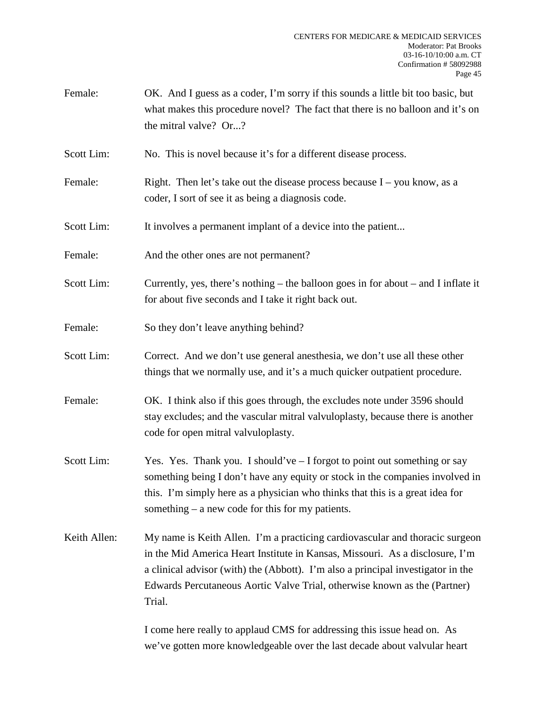- Female: OK. And I guess as a coder, I'm sorry if this sounds a little bit too basic, but what makes this procedure novel? The fact that there is no balloon and it's on the mitral valve? Or...?
- Scott Lim: No. This is novel because it's for a different disease process.
- Female: Right. Then let's take out the disease process because  $I you know, as a$ coder, I sort of see it as being a diagnosis code.
- Scott Lim: It involves a permanent implant of a device into the patient...
- Female: And the other ones are not permanent?
- Scott Lim: Currently, yes, there's nothing the balloon goes in for about and I inflate it for about five seconds and I take it right back out.
- Female: So they don't leave anything behind?
- Scott Lim: Correct. And we don't use general anesthesia, we don't use all these other things that we normally use, and it's a much quicker outpatient procedure.
- Female: OK. I think also if this goes through, the excludes note under 3596 should stay excludes; and the vascular mitral valvuloplasty, because there is another code for open mitral valvuloplasty.
- Scott Lim: Yes. Yes. Thank you. I should've I forgot to point out something or say something being I don't have any equity or stock in the companies involved in this. I'm simply here as a physician who thinks that this is a great idea for something – a new code for this for my patients.
- Keith Allen: My name is Keith Allen. I'm a practicing cardiovascular and thoracic surgeon in the Mid America Heart Institute in Kansas, Missouri. As a disclosure, I'm a clinical advisor (with) the (Abbott). I'm also a principal investigator in the Edwards Percutaneous Aortic Valve Trial, otherwise known as the (Partner) Trial.

I come here really to applaud CMS for addressing this issue head on. As we've gotten more knowledgeable over the last decade about valvular heart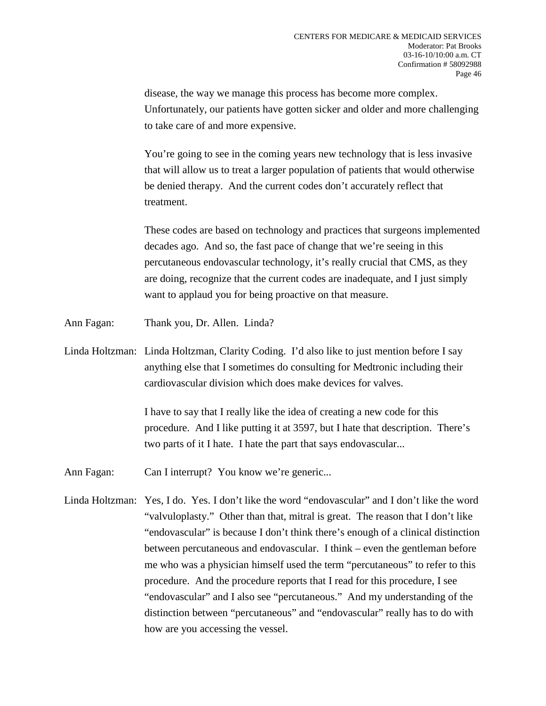disease, the way we manage this process has become more complex. Unfortunately, our patients have gotten sicker and older and more challenging to take care of and more expensive.

You're going to see in the coming years new technology that is less invasive that will allow us to treat a larger population of patients that would otherwise be denied therapy. And the current codes don't accurately reflect that treatment.

These codes are based on technology and practices that surgeons implemented decades ago. And so, the fast pace of change that we're seeing in this percutaneous endovascular technology, it's really crucial that CMS, as they are doing, recognize that the current codes are inadequate, and I just simply want to applaud you for being proactive on that measure.

- Ann Fagan: Thank you, Dr. Allen. Linda?
- Linda Holtzman: Linda Holtzman, Clarity Coding. I'd also like to just mention before I say anything else that I sometimes do consulting for Medtronic including their cardiovascular division which does make devices for valves.

I have to say that I really like the idea of creating a new code for this procedure. And I like putting it at 3597, but I hate that description. There's two parts of it I hate. I hate the part that says endovascular...

- Ann Fagan: Can I interrupt? You know we're generic...
- Linda Holtzman: Yes, I do. Yes. I don't like the word "endovascular" and I don't like the word "valvuloplasty." Other than that, mitral is great. The reason that I don't like "endovascular" is because I don't think there's enough of a clinical distinction between percutaneous and endovascular. I think – even the gentleman before me who was a physician himself used the term "percutaneous" to refer to this procedure. And the procedure reports that I read for this procedure, I see "endovascular" and I also see "percutaneous." And my understanding of the distinction between "percutaneous" and "endovascular" really has to do with how are you accessing the vessel.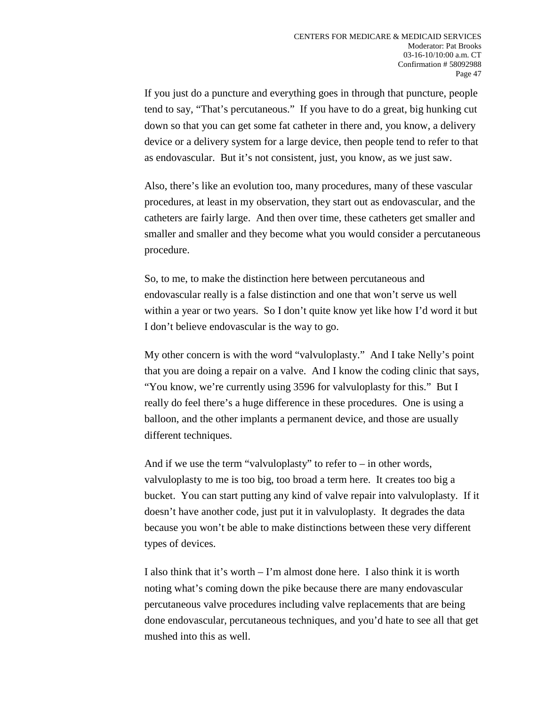If you just do a puncture and everything goes in through that puncture, people tend to say, "That's percutaneous." If you have to do a great, big hunking cut down so that you can get some fat catheter in there and, you know, a delivery device or a delivery system for a large device, then people tend to refer to that as endovascular. But it's not consistent, just, you know, as we just saw.

Also, there's like an evolution too, many procedures, many of these vascular procedures, at least in my observation, they start out as endovascular, and the catheters are fairly large. And then over time, these catheters get smaller and smaller and smaller and they become what you would consider a percutaneous procedure.

So, to me, to make the distinction here between percutaneous and endovascular really is a false distinction and one that won't serve us well within a year or two years. So I don't quite know yet like how I'd word it but I don't believe endovascular is the way to go.

My other concern is with the word "valvuloplasty." And I take Nelly's point that you are doing a repair on a valve. And I know the coding clinic that says, "You know, we're currently using 3596 for valvuloplasty for this." But I really do feel there's a huge difference in these procedures. One is using a balloon, and the other implants a permanent device, and those are usually different techniques.

And if we use the term "valvuloplasty" to refer to  $-$  in other words, valvuloplasty to me is too big, too broad a term here. It creates too big a bucket. You can start putting any kind of valve repair into valvuloplasty. If it doesn't have another code, just put it in valvuloplasty. It degrades the data because you won't be able to make distinctions between these very different types of devices.

I also think that it's worth – I'm almost done here. I also think it is worth noting what's coming down the pike because there are many endovascular percutaneous valve procedures including valve replacements that are being done endovascular, percutaneous techniques, and you'd hate to see all that get mushed into this as well.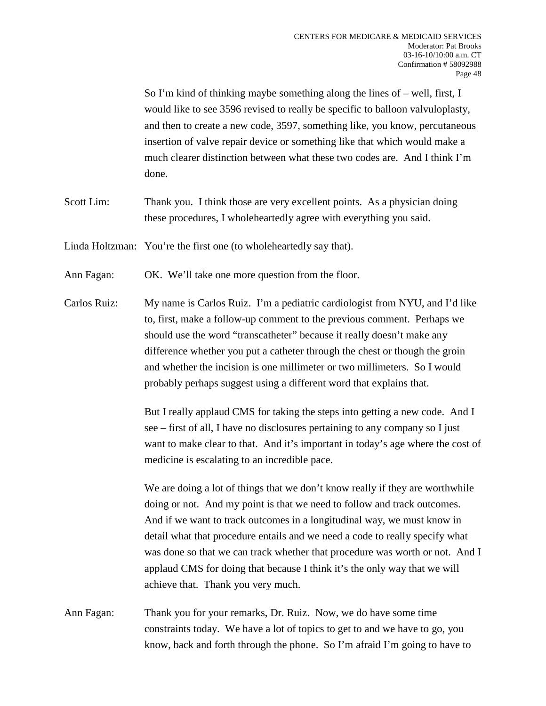So I'm kind of thinking maybe something along the lines of – well, first, I would like to see 3596 revised to really be specific to balloon valvuloplasty, and then to create a new code, 3597, something like, you know, percutaneous insertion of valve repair device or something like that which would make a much clearer distinction between what these two codes are. And I think I'm done.

Scott Lim: Thank you. I think those are very excellent points. As a physician doing these procedures, I wholeheartedly agree with everything you said.

Linda Holtzman: You're the first one (to wholeheartedly say that).

Ann Fagan: OK. We'll take one more question from the floor.

Carlos Ruiz: My name is Carlos Ruiz. I'm a pediatric cardiologist from NYU, and I'd like to, first, make a follow-up comment to the previous comment. Perhaps we should use the word "transcatheter" because it really doesn't make any difference whether you put a catheter through the chest or though the groin and whether the incision is one millimeter or two millimeters. So I would probably perhaps suggest using a different word that explains that.

> But I really applaud CMS for taking the steps into getting a new code. And I see – first of all, I have no disclosures pertaining to any company so I just want to make clear to that. And it's important in today's age where the cost of medicine is escalating to an incredible pace.

> We are doing a lot of things that we don't know really if they are worthwhile doing or not. And my point is that we need to follow and track outcomes. And if we want to track outcomes in a longitudinal way, we must know in detail what that procedure entails and we need a code to really specify what was done so that we can track whether that procedure was worth or not. And I applaud CMS for doing that because I think it's the only way that we will achieve that. Thank you very much.

Ann Fagan: Thank you for your remarks, Dr. Ruiz. Now, we do have some time constraints today. We have a lot of topics to get to and we have to go, you know, back and forth through the phone. So I'm afraid I'm going to have to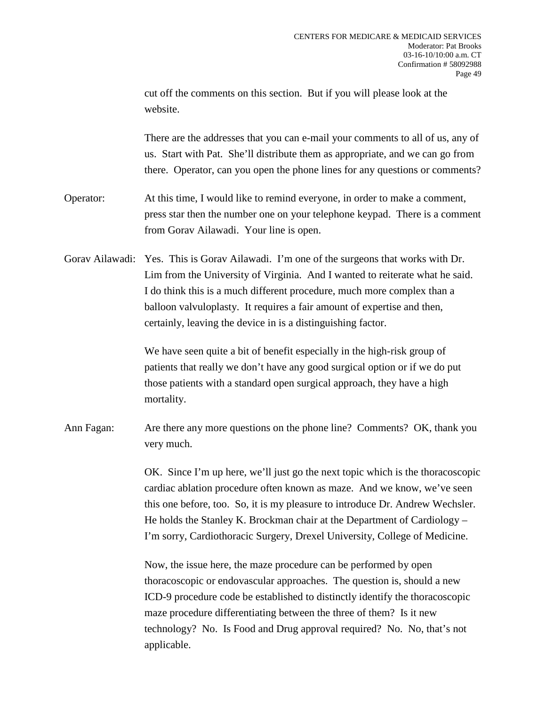cut off the comments on this section. But if you will please look at the website.

There are the addresses that you can e-mail your comments to all of us, any of us. Start with Pat. She'll distribute them as appropriate, and we can go from there. Operator, can you open the phone lines for any questions or comments?

Operator: At this time, I would like to remind everyone, in order to make a comment, press star then the number one on your telephone keypad. There is a comment from Gorav Ailawadi. Your line is open.

Gorav Ailawadi: Yes. This is Gorav Ailawadi. I'm one of the surgeons that works with Dr. Lim from the University of Virginia. And I wanted to reiterate what he said. I do think this is a much different procedure, much more complex than a balloon valvuloplasty. It requires a fair amount of expertise and then, certainly, leaving the device in is a distinguishing factor.

> We have seen quite a bit of benefit especially in the high-risk group of patients that really we don't have any good surgical option or if we do put those patients with a standard open surgical approach, they have a high mortality.

Ann Fagan: Are there any more questions on the phone line? Comments? OK, thank you very much.

> OK. Since I'm up here, we'll just go the next topic which is the thoracoscopic cardiac ablation procedure often known as maze. And we know, we've seen this one before, too. So, it is my pleasure to introduce Dr. Andrew Wechsler. He holds the Stanley K. Brockman chair at the Department of Cardiology – I'm sorry, Cardiothoracic Surgery, Drexel University, College of Medicine.

Now, the issue here, the maze procedure can be performed by open thoracoscopic or endovascular approaches. The question is, should a new ICD-9 procedure code be established to distinctly identify the thoracoscopic maze procedure differentiating between the three of them? Is it new technology? No. Is Food and Drug approval required? No. No, that's not applicable.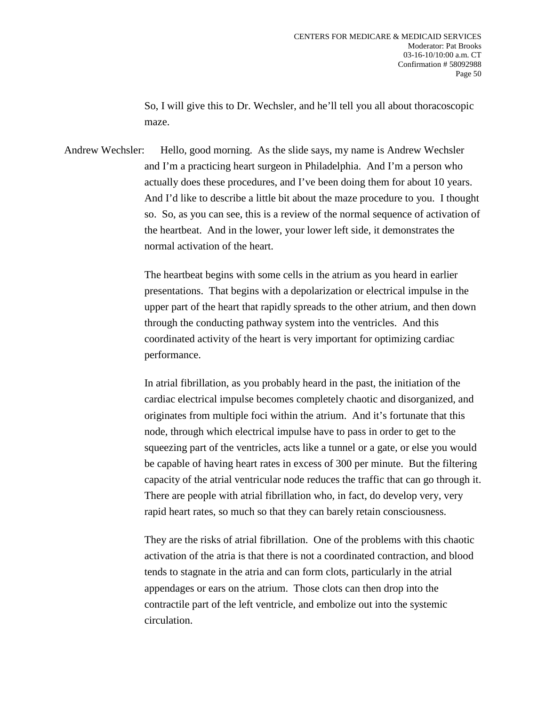So, I will give this to Dr. Wechsler, and he'll tell you all about thoracoscopic maze.

Andrew Wechsler: Hello, good morning. As the slide says, my name is Andrew Wechsler and I'm a practicing heart surgeon in Philadelphia. And I'm a person who actually does these procedures, and I've been doing them for about 10 years. And I'd like to describe a little bit about the maze procedure to you. I thought so. So, as you can see, this is a review of the normal sequence of activation of the heartbeat. And in the lower, your lower left side, it demonstrates the normal activation of the heart.

> The heartbeat begins with some cells in the atrium as you heard in earlier presentations. That begins with a depolarization or electrical impulse in the upper part of the heart that rapidly spreads to the other atrium, and then down through the conducting pathway system into the ventricles. And this coordinated activity of the heart is very important for optimizing cardiac performance.

In atrial fibrillation, as you probably heard in the past, the initiation of the cardiac electrical impulse becomes completely chaotic and disorganized, and originates from multiple foci within the atrium. And it's fortunate that this node, through which electrical impulse have to pass in order to get to the squeezing part of the ventricles, acts like a tunnel or a gate, or else you would be capable of having heart rates in excess of 300 per minute. But the filtering capacity of the atrial ventricular node reduces the traffic that can go through it. There are people with atrial fibrillation who, in fact, do develop very, very rapid heart rates, so much so that they can barely retain consciousness.

They are the risks of atrial fibrillation. One of the problems with this chaotic activation of the atria is that there is not a coordinated contraction, and blood tends to stagnate in the atria and can form clots, particularly in the atrial appendages or ears on the atrium. Those clots can then drop into the contractile part of the left ventricle, and embolize out into the systemic circulation.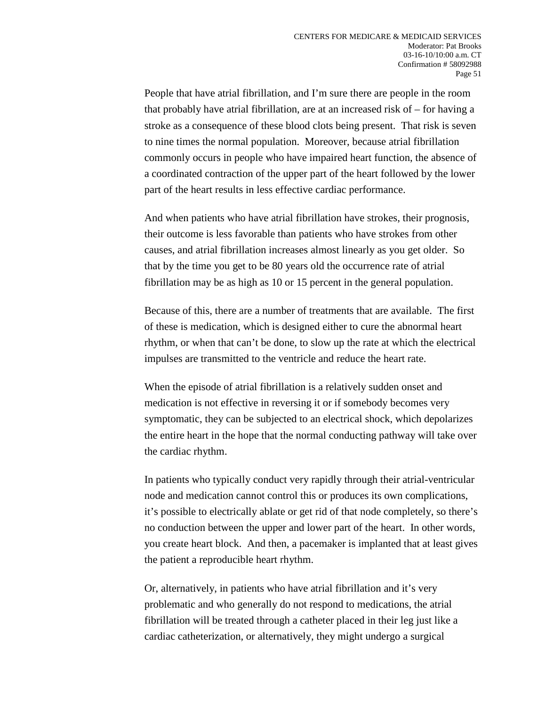People that have atrial fibrillation, and I'm sure there are people in the room that probably have atrial fibrillation, are at an increased risk of – for having a stroke as a consequence of these blood clots being present. That risk is seven to nine times the normal population. Moreover, because atrial fibrillation commonly occurs in people who have impaired heart function, the absence of a coordinated contraction of the upper part of the heart followed by the lower part of the heart results in less effective cardiac performance.

And when patients who have atrial fibrillation have strokes, their prognosis, their outcome is less favorable than patients who have strokes from other causes, and atrial fibrillation increases almost linearly as you get older. So that by the time you get to be 80 years old the occurrence rate of atrial fibrillation may be as high as 10 or 15 percent in the general population.

Because of this, there are a number of treatments that are available. The first of these is medication, which is designed either to cure the abnormal heart rhythm, or when that can't be done, to slow up the rate at which the electrical impulses are transmitted to the ventricle and reduce the heart rate.

When the episode of atrial fibrillation is a relatively sudden onset and medication is not effective in reversing it or if somebody becomes very symptomatic, they can be subjected to an electrical shock, which depolarizes the entire heart in the hope that the normal conducting pathway will take over the cardiac rhythm.

In patients who typically conduct very rapidly through their atrial-ventricular node and medication cannot control this or produces its own complications, it's possible to electrically ablate or get rid of that node completely, so there's no conduction between the upper and lower part of the heart. In other words, you create heart block. And then, a pacemaker is implanted that at least gives the patient a reproducible heart rhythm.

Or, alternatively, in patients who have atrial fibrillation and it's very problematic and who generally do not respond to medications, the atrial fibrillation will be treated through a catheter placed in their leg just like a cardiac catheterization, or alternatively, they might undergo a surgical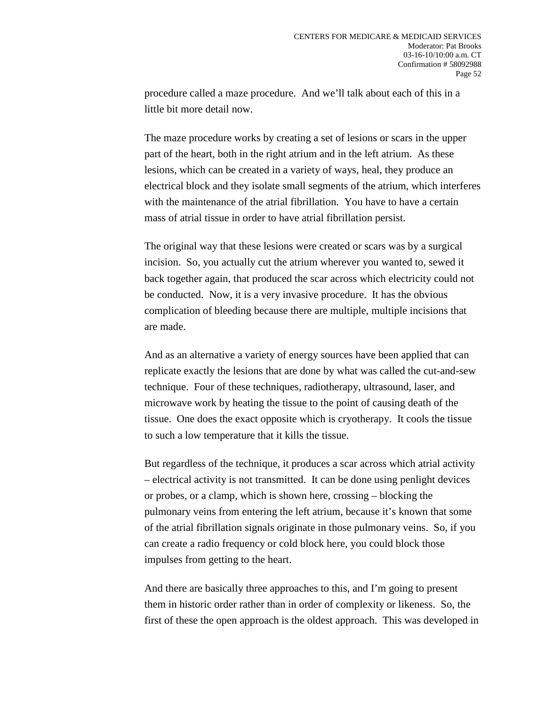procedure called a maze procedure. And we'll talk about each of this in a little bit more detail now.

The maze procedure works by creating a set of lesions or scars in the upper part of the heart, both in the right atrium and in the left atrium. As these lesions, which can be created in a variety of ways, heal, they produce an electrical block and they isolate small segments of the atrium, which interferes with the maintenance of the atrial fibrillation. You have to have a certain mass of atrial tissue in order to have atrial fibrillation persist.

The original way that these lesions were created or scars was by a surgical incision. So, you actually cut the atrium wherever you wanted to, sewed it back together again, that produced the scar across which electricity could not be conducted. Now, it is a very invasive procedure. It has the obvious complication of bleeding because there are multiple, multiple incisions that are made.

And as an alternative a variety of energy sources have been applied that can replicate exactly the lesions that are done by what was called the cut-and-sew technique. Four of these techniques, radiotherapy, ultrasound, laser, and microwave work by heating the tissue to the point of causing death of the tissue. One does the exact opposite which is cryotherapy. It cools the tissue to such a low temperature that it kills the tissue.

But regardless of the technique, it produces a scar across which atrial activity – electrical activity is not transmitted. It can be done using penlight devices or probes, or a clamp, which is shown here, crossing – blocking the pulmonary veins from entering the left atrium, because it's known that some of the atrial fibrillation signals originate in those pulmonary veins. So, if you can create a radio frequency or cold block here, you could block those impulses from getting to the heart.

And there are basically three approaches to this, and I'm going to present them in historic order rather than in order of complexity or likeness. So, the first of these the open approach is the oldest approach. This was developed in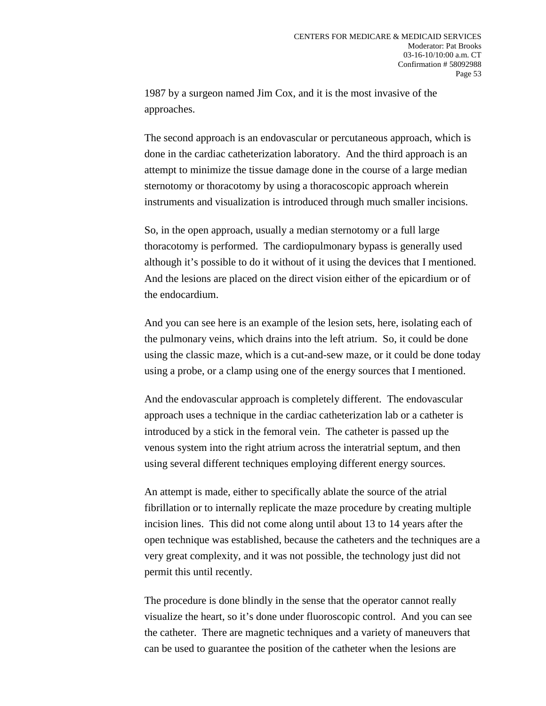1987 by a surgeon named Jim Cox, and it is the most invasive of the approaches.

The second approach is an endovascular or percutaneous approach, which is done in the cardiac catheterization laboratory. And the third approach is an attempt to minimize the tissue damage done in the course of a large median sternotomy or thoracotomy by using a thoracoscopic approach wherein instruments and visualization is introduced through much smaller incisions.

So, in the open approach, usually a median sternotomy or a full large thoracotomy is performed. The cardiopulmonary bypass is generally used although it's possible to do it without of it using the devices that I mentioned. And the lesions are placed on the direct vision either of the epicardium or of the endocardium.

And you can see here is an example of the lesion sets, here, isolating each of the pulmonary veins, which drains into the left atrium. So, it could be done using the classic maze, which is a cut-and-sew maze, or it could be done today using a probe, or a clamp using one of the energy sources that I mentioned.

And the endovascular approach is completely different. The endovascular approach uses a technique in the cardiac catheterization lab or a catheter is introduced by a stick in the femoral vein. The catheter is passed up the venous system into the right atrium across the interatrial septum, and then using several different techniques employing different energy sources.

An attempt is made, either to specifically ablate the source of the atrial fibrillation or to internally replicate the maze procedure by creating multiple incision lines. This did not come along until about 13 to 14 years after the open technique was established, because the catheters and the techniques are a very great complexity, and it was not possible, the technology just did not permit this until recently.

The procedure is done blindly in the sense that the operator cannot really visualize the heart, so it's done under fluoroscopic control. And you can see the catheter. There are magnetic techniques and a variety of maneuvers that can be used to guarantee the position of the catheter when the lesions are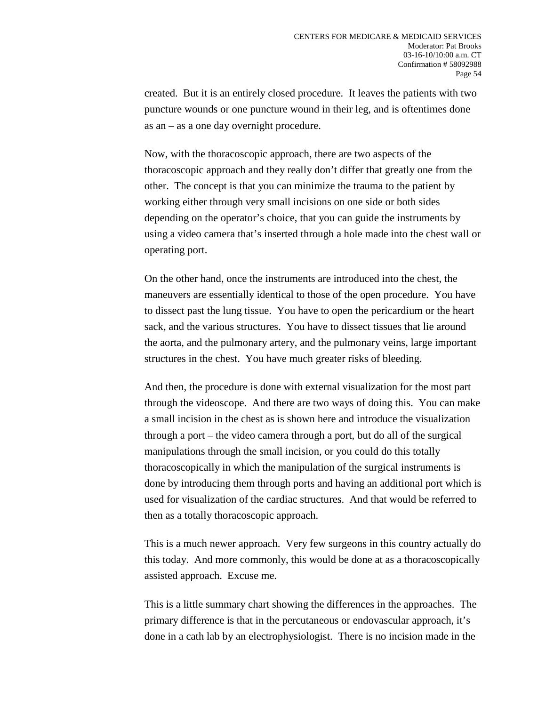created. But it is an entirely closed procedure. It leaves the patients with two puncture wounds or one puncture wound in their leg, and is oftentimes done as an – as a one day overnight procedure.

Now, with the thoracoscopic approach, there are two aspects of the thoracoscopic approach and they really don't differ that greatly one from the other. The concept is that you can minimize the trauma to the patient by working either through very small incisions on one side or both sides depending on the operator's choice, that you can guide the instruments by using a video camera that's inserted through a hole made into the chest wall or operating port.

On the other hand, once the instruments are introduced into the chest, the maneuvers are essentially identical to those of the open procedure. You have to dissect past the lung tissue. You have to open the pericardium or the heart sack, and the various structures. You have to dissect tissues that lie around the aorta, and the pulmonary artery, and the pulmonary veins, large important structures in the chest. You have much greater risks of bleeding.

And then, the procedure is done with external visualization for the most part through the videoscope. And there are two ways of doing this. You can make a small incision in the chest as is shown here and introduce the visualization through a port – the video camera through a port, but do all of the surgical manipulations through the small incision, or you could do this totally thoracoscopically in which the manipulation of the surgical instruments is done by introducing them through ports and having an additional port which is used for visualization of the cardiac structures. And that would be referred to then as a totally thoracoscopic approach.

This is a much newer approach. Very few surgeons in this country actually do this today. And more commonly, this would be done at as a thoracoscopically assisted approach. Excuse me.

This is a little summary chart showing the differences in the approaches. The primary difference is that in the percutaneous or endovascular approach, it's done in a cath lab by an electrophysiologist. There is no incision made in the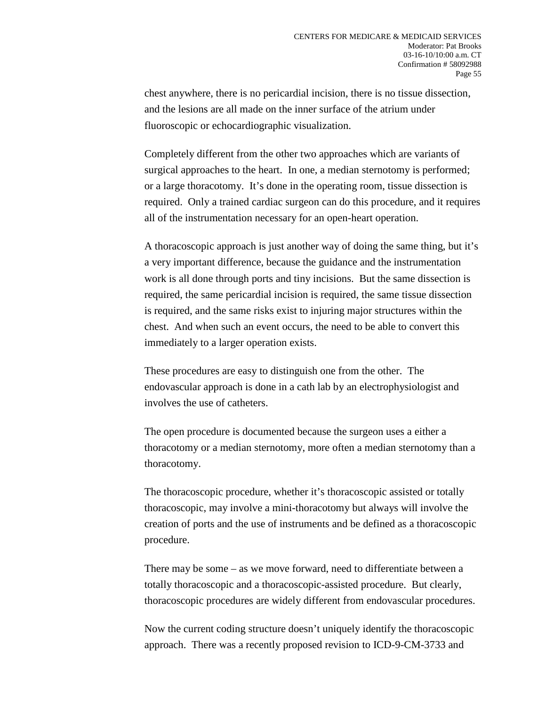chest anywhere, there is no pericardial incision, there is no tissue dissection, and the lesions are all made on the inner surface of the atrium under fluoroscopic or echocardiographic visualization.

Completely different from the other two approaches which are variants of surgical approaches to the heart. In one, a median sternotomy is performed; or a large thoracotomy. It's done in the operating room, tissue dissection is required. Only a trained cardiac surgeon can do this procedure, and it requires all of the instrumentation necessary for an open-heart operation.

A thoracoscopic approach is just another way of doing the same thing, but it's a very important difference, because the guidance and the instrumentation work is all done through ports and tiny incisions. But the same dissection is required, the same pericardial incision is required, the same tissue dissection is required, and the same risks exist to injuring major structures within the chest. And when such an event occurs, the need to be able to convert this immediately to a larger operation exists.

These procedures are easy to distinguish one from the other. The endovascular approach is done in a cath lab by an electrophysiologist and involves the use of catheters.

The open procedure is documented because the surgeon uses a either a thoracotomy or a median sternotomy, more often a median sternotomy than a thoracotomy.

The thoracoscopic procedure, whether it's thoracoscopic assisted or totally thoracoscopic, may involve a mini-thoracotomy but always will involve the creation of ports and the use of instruments and be defined as a thoracoscopic procedure.

There may be some – as we move forward, need to differentiate between a totally thoracoscopic and a thoracoscopic-assisted procedure. But clearly, thoracoscopic procedures are widely different from endovascular procedures.

Now the current coding structure doesn't uniquely identify the thoracoscopic approach. There was a recently proposed revision to ICD-9-CM-3733 and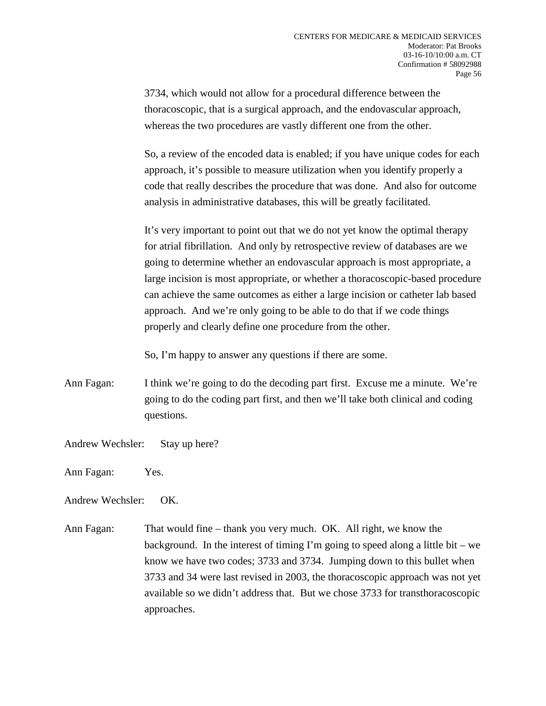3734, which would not allow for a procedural difference between the thoracoscopic, that is a surgical approach, and the endovascular approach, whereas the two procedures are vastly different one from the other.

So, a review of the encoded data is enabled; if you have unique codes for each approach, it's possible to measure utilization when you identify properly a code that really describes the procedure that was done. And also for outcome analysis in administrative databases, this will be greatly facilitated.

It's very important to point out that we do not yet know the optimal therapy for atrial fibrillation. And only by retrospective review of databases are we going to determine whether an endovascular approach is most appropriate, a large incision is most appropriate, or whether a thoracoscopic-based procedure can achieve the same outcomes as either a large incision or catheter lab based approach. And we're only going to be able to do that if we code things properly and clearly define one procedure from the other.

So, I'm happy to answer any questions if there are some.

- Ann Fagan: I think we're going to do the decoding part first. Excuse me a minute. We're going to do the coding part first, and then we'll take both clinical and coding questions.
- Andrew Wechsler: Stay up here?
- Ann Fagan: Yes.

Andrew Wechsler: OK.

Ann Fagan: That would fine – thank you very much. OK. All right, we know the background. In the interest of timing I'm going to speed along a little bit – we know we have two codes; 3733 and 3734. Jumping down to this bullet when 3733 and 34 were last revised in 2003, the thoracoscopic approach was not yet available so we didn't address that. But we chose 3733 for transthoracoscopic approaches.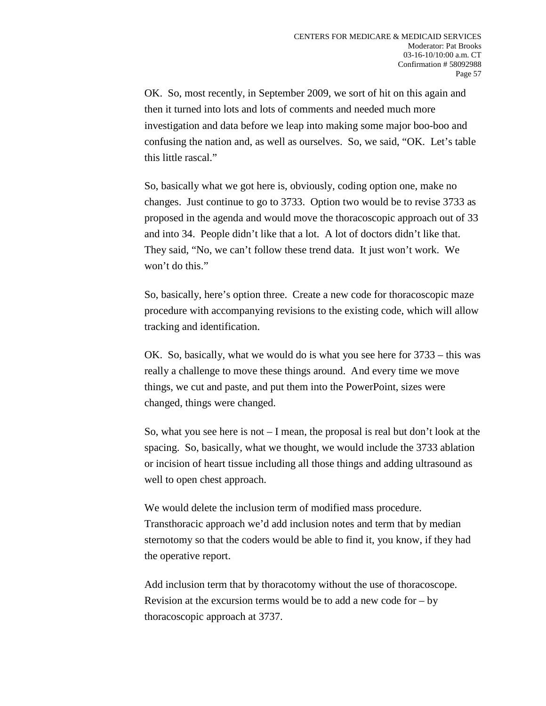OK. So, most recently, in September 2009, we sort of hit on this again and then it turned into lots and lots of comments and needed much more investigation and data before we leap into making some major boo-boo and confusing the nation and, as well as ourselves. So, we said, "OK. Let's table this little rascal."

So, basically what we got here is, obviously, coding option one, make no changes. Just continue to go to 3733. Option two would be to revise 3733 as proposed in the agenda and would move the thoracoscopic approach out of 33 and into 34. People didn't like that a lot. A lot of doctors didn't like that. They said, "No, we can't follow these trend data. It just won't work. We won't do this."

So, basically, here's option three. Create a new code for thoracoscopic maze procedure with accompanying revisions to the existing code, which will allow tracking and identification.

OK. So, basically, what we would do is what you see here for 3733 – this was really a challenge to move these things around. And every time we move things, we cut and paste, and put them into the PowerPoint, sizes were changed, things were changed.

So, what you see here is not – I mean, the proposal is real but don't look at the spacing. So, basically, what we thought, we would include the 3733 ablation or incision of heart tissue including all those things and adding ultrasound as well to open chest approach.

We would delete the inclusion term of modified mass procedure. Transthoracic approach we'd add inclusion notes and term that by median sternotomy so that the coders would be able to find it, you know, if they had the operative report.

Add inclusion term that by thoracotomy without the use of thoracoscope. Revision at the excursion terms would be to add a new code for  $-$  by thoracoscopic approach at 3737.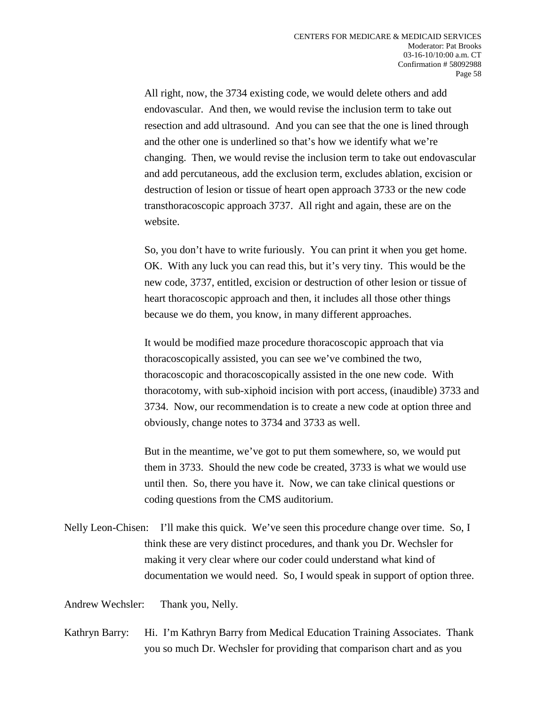All right, now, the 3734 existing code, we would delete others and add endovascular. And then, we would revise the inclusion term to take out resection and add ultrasound. And you can see that the one is lined through and the other one is underlined so that's how we identify what we're changing. Then, we would revise the inclusion term to take out endovascular and add percutaneous, add the exclusion term, excludes ablation, excision or destruction of lesion or tissue of heart open approach 3733 or the new code transthoracoscopic approach 3737. All right and again, these are on the website.

So, you don't have to write furiously. You can print it when you get home. OK. With any luck you can read this, but it's very tiny. This would be the new code, 3737, entitled, excision or destruction of other lesion or tissue of heart thoracoscopic approach and then, it includes all those other things because we do them, you know, in many different approaches.

It would be modified maze procedure thoracoscopic approach that via thoracoscopically assisted, you can see we've combined the two, thoracoscopic and thoracoscopically assisted in the one new code. With thoracotomy, with sub-xiphoid incision with port access, (inaudible) 3733 and 3734. Now, our recommendation is to create a new code at option three and obviously, change notes to 3734 and 3733 as well.

But in the meantime, we've got to put them somewhere, so, we would put them in 3733. Should the new code be created, 3733 is what we would use until then. So, there you have it. Now, we can take clinical questions or coding questions from the CMS auditorium.

Nelly Leon-Chisen: I'll make this quick. We've seen this procedure change over time. So, I think these are very distinct procedures, and thank you Dr. Wechsler for making it very clear where our coder could understand what kind of documentation we would need. So, I would speak in support of option three.

Andrew Wechsler: Thank you, Nelly.

Kathryn Barry: Hi. I'm Kathryn Barry from Medical Education Training Associates. Thank you so much Dr. Wechsler for providing that comparison chart and as you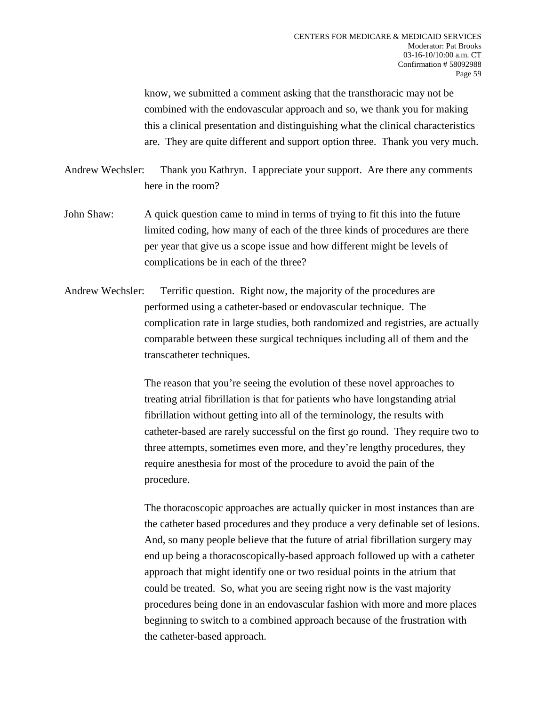know, we submitted a comment asking that the transthoracic may not be combined with the endovascular approach and so, we thank you for making this a clinical presentation and distinguishing what the clinical characteristics are. They are quite different and support option three. Thank you very much.

- Andrew Wechsler: Thank you Kathryn. I appreciate your support. Are there any comments here in the room?
- John Shaw: A quick question came to mind in terms of trying to fit this into the future limited coding, how many of each of the three kinds of procedures are there per year that give us a scope issue and how different might be levels of complications be in each of the three?
- Andrew Wechsler: Terrific question. Right now, the majority of the procedures are performed using a catheter-based or endovascular technique. The complication rate in large studies, both randomized and registries, are actually comparable between these surgical techniques including all of them and the transcatheter techniques.

The reason that you're seeing the evolution of these novel approaches to treating atrial fibrillation is that for patients who have longstanding atrial fibrillation without getting into all of the terminology, the results with catheter-based are rarely successful on the first go round. They require two to three attempts, sometimes even more, and they're lengthy procedures, they require anesthesia for most of the procedure to avoid the pain of the procedure.

The thoracoscopic approaches are actually quicker in most instances than are the catheter based procedures and they produce a very definable set of lesions. And, so many people believe that the future of atrial fibrillation surgery may end up being a thoracoscopically-based approach followed up with a catheter approach that might identify one or two residual points in the atrium that could be treated. So, what you are seeing right now is the vast majority procedures being done in an endovascular fashion with more and more places beginning to switch to a combined approach because of the frustration with the catheter-based approach.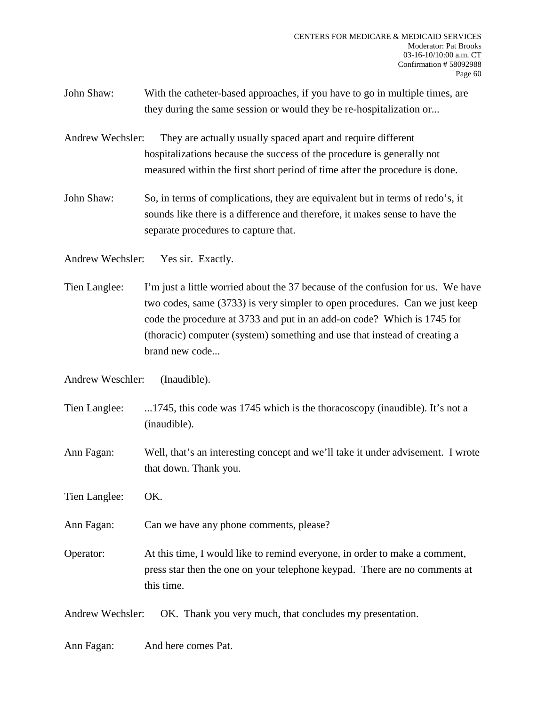- John Shaw: With the catheter-based approaches, if you have to go in multiple times, are they during the same session or would they be re-hospitalization or...
- Andrew Wechsler: They are actually usually spaced apart and require different hospitalizations because the success of the procedure is generally not measured within the first short period of time after the procedure is done.
- John Shaw: So, in terms of complications, they are equivalent but in terms of redo's, it sounds like there is a difference and therefore, it makes sense to have the separate procedures to capture that.

Andrew Wechsler: Yes sir. Exactly.

Tien Langlee: I'm just a little worried about the 37 because of the confusion for us. We have two codes, same (3733) is very simpler to open procedures. Can we just keep code the procedure at 3733 and put in an add-on code? Which is 1745 for (thoracic) computer (system) something and use that instead of creating a brand new code...

Andrew Weschler: (Inaudible).

- Tien Langlee: ...1745, this code was 1745 which is the thoracoscopy (inaudible). It's not a (inaudible).
- Ann Fagan: Well, that's an interesting concept and we'll take it under advisement. I wrote that down. Thank you.
- Tien Langlee: OK.

Ann Fagan: Can we have any phone comments, please?

Operator: At this time, I would like to remind everyone, in order to make a comment, press star then the one on your telephone keypad. There are no comments at this time.

Andrew Wechsler: OK. Thank you very much, that concludes my presentation.

Ann Fagan: And here comes Pat.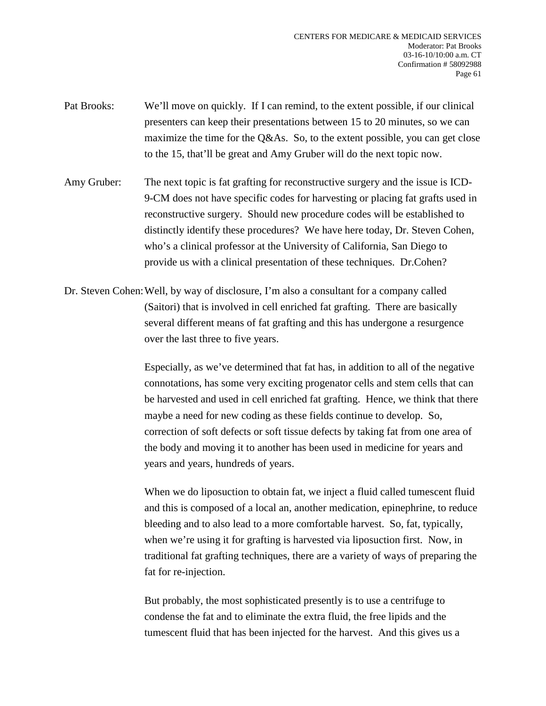- Pat Brooks: We'll move on quickly. If I can remind, to the extent possible, if our clinical presenters can keep their presentations between 15 to 20 minutes, so we can maximize the time for the Q&As. So, to the extent possible, you can get close to the 15, that'll be great and Amy Gruber will do the next topic now.
- Amy Gruber: The next topic is fat grafting for reconstructive surgery and the issue is ICD-9-CM does not have specific codes for harvesting or placing fat grafts used in reconstructive surgery. Should new procedure codes will be established to distinctly identify these procedures? We have here today, Dr. Steven Cohen, who's a clinical professor at the University of California, San Diego to provide us with a clinical presentation of these techniques. Dr.Cohen?
- Dr. Steven Cohen:Well, by way of disclosure, I'm also a consultant for a company called (Saitori) that is involved in cell enriched fat grafting. There are basically several different means of fat grafting and this has undergone a resurgence over the last three to five years.

Especially, as we've determined that fat has, in addition to all of the negative connotations, has some very exciting progenator cells and stem cells that can be harvested and used in cell enriched fat grafting. Hence, we think that there maybe a need for new coding as these fields continue to develop. So, correction of soft defects or soft tissue defects by taking fat from one area of the body and moving it to another has been used in medicine for years and years and years, hundreds of years.

When we do liposuction to obtain fat, we inject a fluid called tumescent fluid and this is composed of a local an, another medication, epinephrine, to reduce bleeding and to also lead to a more comfortable harvest. So, fat, typically, when we're using it for grafting is harvested via liposuction first. Now, in traditional fat grafting techniques, there are a variety of ways of preparing the fat for re-injection.

But probably, the most sophisticated presently is to use a centrifuge to condense the fat and to eliminate the extra fluid, the free lipids and the tumescent fluid that has been injected for the harvest. And this gives us a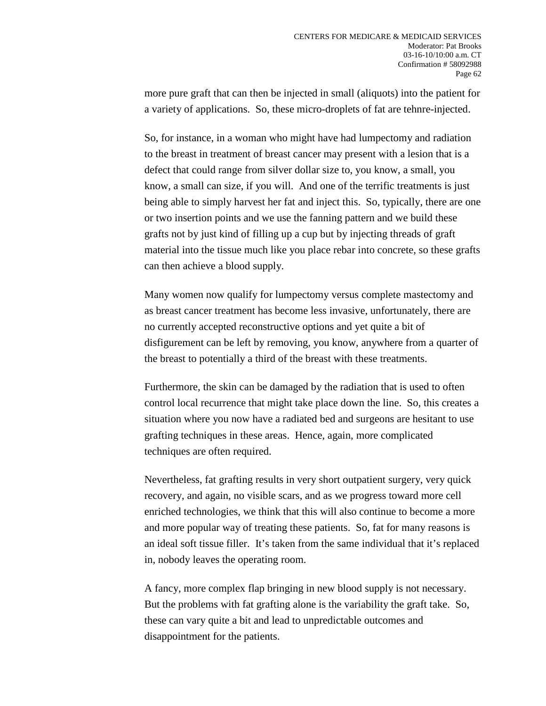more pure graft that can then be injected in small (aliquots) into the patient for a variety of applications. So, these micro-droplets of fat are tehnre-injected.

So, for instance, in a woman who might have had lumpectomy and radiation to the breast in treatment of breast cancer may present with a lesion that is a defect that could range from silver dollar size to, you know, a small, you know, a small can size, if you will. And one of the terrific treatments is just being able to simply harvest her fat and inject this. So, typically, there are one or two insertion points and we use the fanning pattern and we build these grafts not by just kind of filling up a cup but by injecting threads of graft material into the tissue much like you place rebar into concrete, so these grafts can then achieve a blood supply.

Many women now qualify for lumpectomy versus complete mastectomy and as breast cancer treatment has become less invasive, unfortunately, there are no currently accepted reconstructive options and yet quite a bit of disfigurement can be left by removing, you know, anywhere from a quarter of the breast to potentially a third of the breast with these treatments.

Furthermore, the skin can be damaged by the radiation that is used to often control local recurrence that might take place down the line. So, this creates a situation where you now have a radiated bed and surgeons are hesitant to use grafting techniques in these areas. Hence, again, more complicated techniques are often required.

Nevertheless, fat grafting results in very short outpatient surgery, very quick recovery, and again, no visible scars, and as we progress toward more cell enriched technologies, we think that this will also continue to become a more and more popular way of treating these patients. So, fat for many reasons is an ideal soft tissue filler. It's taken from the same individual that it's replaced in, nobody leaves the operating room.

A fancy, more complex flap bringing in new blood supply is not necessary. But the problems with fat grafting alone is the variability the graft take. So, these can vary quite a bit and lead to unpredictable outcomes and disappointment for the patients.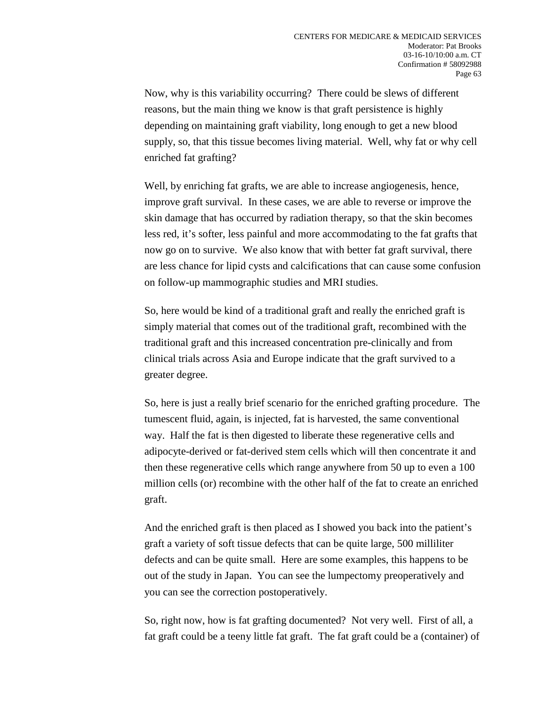Now, why is this variability occurring? There could be slews of different reasons, but the main thing we know is that graft persistence is highly depending on maintaining graft viability, long enough to get a new blood supply, so, that this tissue becomes living material. Well, why fat or why cell enriched fat grafting?

Well, by enriching fat grafts, we are able to increase angiogenesis, hence, improve graft survival. In these cases, we are able to reverse or improve the skin damage that has occurred by radiation therapy, so that the skin becomes less red, it's softer, less painful and more accommodating to the fat grafts that now go on to survive. We also know that with better fat graft survival, there are less chance for lipid cysts and calcifications that can cause some confusion on follow-up mammographic studies and MRI studies.

So, here would be kind of a traditional graft and really the enriched graft is simply material that comes out of the traditional graft, recombined with the traditional graft and this increased concentration pre-clinically and from clinical trials across Asia and Europe indicate that the graft survived to a greater degree.

So, here is just a really brief scenario for the enriched grafting procedure. The tumescent fluid, again, is injected, fat is harvested, the same conventional way. Half the fat is then digested to liberate these regenerative cells and adipocyte-derived or fat-derived stem cells which will then concentrate it and then these regenerative cells which range anywhere from 50 up to even a 100 million cells (or) recombine with the other half of the fat to create an enriched graft.

And the enriched graft is then placed as I showed you back into the patient's graft a variety of soft tissue defects that can be quite large, 500 milliliter defects and can be quite small. Here are some examples, this happens to be out of the study in Japan. You can see the lumpectomy preoperatively and you can see the correction postoperatively.

So, right now, how is fat grafting documented? Not very well. First of all, a fat graft could be a teeny little fat graft. The fat graft could be a (container) of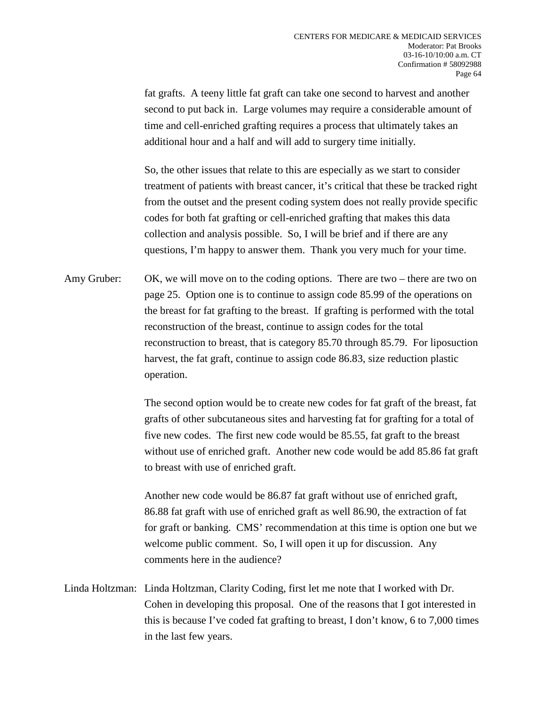fat grafts. A teeny little fat graft can take one second to harvest and another second to put back in. Large volumes may require a considerable amount of time and cell-enriched grafting requires a process that ultimately takes an additional hour and a half and will add to surgery time initially.

So, the other issues that relate to this are especially as we start to consider treatment of patients with breast cancer, it's critical that these be tracked right from the outset and the present coding system does not really provide specific codes for both fat grafting or cell-enriched grafting that makes this data collection and analysis possible. So, I will be brief and if there are any questions, I'm happy to answer them. Thank you very much for your time.

Amy Gruber: OK, we will move on to the coding options. There are two – there are two on page 25. Option one is to continue to assign code 85.99 of the operations on the breast for fat grafting to the breast. If grafting is performed with the total reconstruction of the breast, continue to assign codes for the total reconstruction to breast, that is category 85.70 through 85.79. For liposuction harvest, the fat graft, continue to assign code 86.83, size reduction plastic operation.

> The second option would be to create new codes for fat graft of the breast, fat grafts of other subcutaneous sites and harvesting fat for grafting for a total of five new codes. The first new code would be 85.55, fat graft to the breast without use of enriched graft. Another new code would be add 85.86 fat graft to breast with use of enriched graft.

> Another new code would be 86.87 fat graft without use of enriched graft, 86.88 fat graft with use of enriched graft as well 86.90, the extraction of fat for graft or banking. CMS' recommendation at this time is option one but we welcome public comment. So, I will open it up for discussion. Any comments here in the audience?

Linda Holtzman: Linda Holtzman, Clarity Coding, first let me note that I worked with Dr. Cohen in developing this proposal. One of the reasons that I got interested in this is because I've coded fat grafting to breast, I don't know, 6 to 7,000 times in the last few years.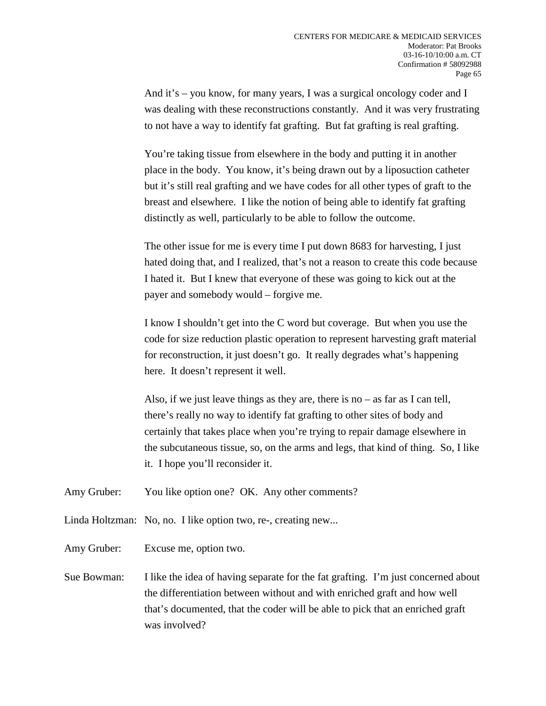And it's – you know, for many years, I was a surgical oncology coder and I was dealing with these reconstructions constantly. And it was very frustrating to not have a way to identify fat grafting. But fat grafting is real grafting.

You're taking tissue from elsewhere in the body and putting it in another place in the body. You know, it's being drawn out by a liposuction catheter but it's still real grafting and we have codes for all other types of graft to the breast and elsewhere. I like the notion of being able to identify fat grafting distinctly as well, particularly to be able to follow the outcome.

The other issue for me is every time I put down 8683 for harvesting, I just hated doing that, and I realized, that's not a reason to create this code because I hated it. But I knew that everyone of these was going to kick out at the payer and somebody would – forgive me.

I know I shouldn't get into the C word but coverage. But when you use the code for size reduction plastic operation to represent harvesting graft material for reconstruction, it just doesn't go. It really degrades what's happening here. It doesn't represent it well.

Also, if we just leave things as they are, there is no – as far as I can tell, there's really no way to identify fat grafting to other sites of body and certainly that takes place when you're trying to repair damage elsewhere in the subcutaneous tissue, so, on the arms and legs, that kind of thing. So, I like it. I hope you'll reconsider it.

Amy Gruber: You like option one? OK. Any other comments?

- Linda Holtzman: No, no. I like option two, re-, creating new...
- Amy Gruber: Excuse me, option two.
- Sue Bowman: I like the idea of having separate for the fat grafting. I'm just concerned about the differentiation between without and with enriched graft and how well that's documented, that the coder will be able to pick that an enriched graft was involved?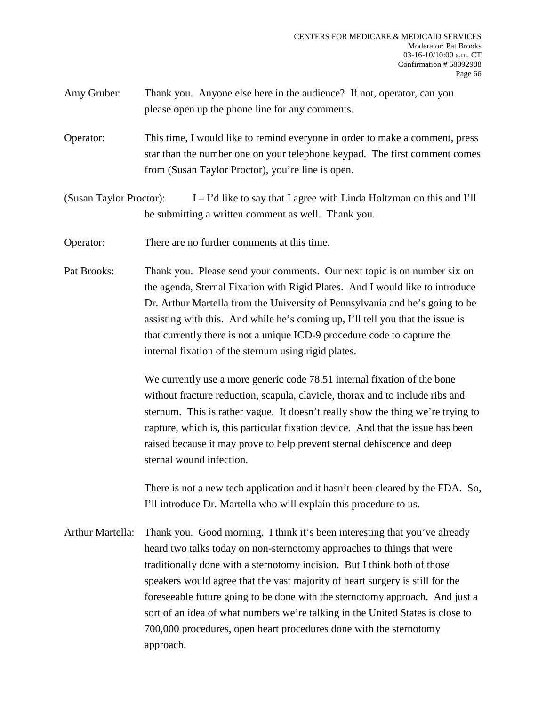- Amy Gruber: Thank you. Anyone else here in the audience? If not, operator, can you please open up the phone line for any comments.
- Operator: This time, I would like to remind everyone in order to make a comment, press star than the number one on your telephone keypad. The first comment comes from (Susan Taylor Proctor), you're line is open.
- (Susan Taylor Proctor): I I'd like to say that I agree with Linda Holtzman on this and I'll be submitting a written comment as well. Thank you.
- Operator: There are no further comments at this time.
- Pat Brooks: Thank you. Please send your comments. Our next topic is on number six on the agenda, Sternal Fixation with Rigid Plates. And I would like to introduce Dr. Arthur Martella from the University of Pennsylvania and he's going to be assisting with this. And while he's coming up, I'll tell you that the issue is that currently there is not a unique ICD-9 procedure code to capture the internal fixation of the sternum using rigid plates.

We currently use a more generic code 78.51 internal fixation of the bone without fracture reduction, scapula, clavicle, thorax and to include ribs and sternum. This is rather vague. It doesn't really show the thing we're trying to capture, which is, this particular fixation device. And that the issue has been raised because it may prove to help prevent sternal dehiscence and deep sternal wound infection.

There is not a new tech application and it hasn't been cleared by the FDA. So, I'll introduce Dr. Martella who will explain this procedure to us.

Arthur Martella: Thank you. Good morning. I think it's been interesting that you've already heard two talks today on non-sternotomy approaches to things that were traditionally done with a sternotomy incision. But I think both of those speakers would agree that the vast majority of heart surgery is still for the foreseeable future going to be done with the sternotomy approach. And just a sort of an idea of what numbers we're talking in the United States is close to 700,000 procedures, open heart procedures done with the sternotomy approach.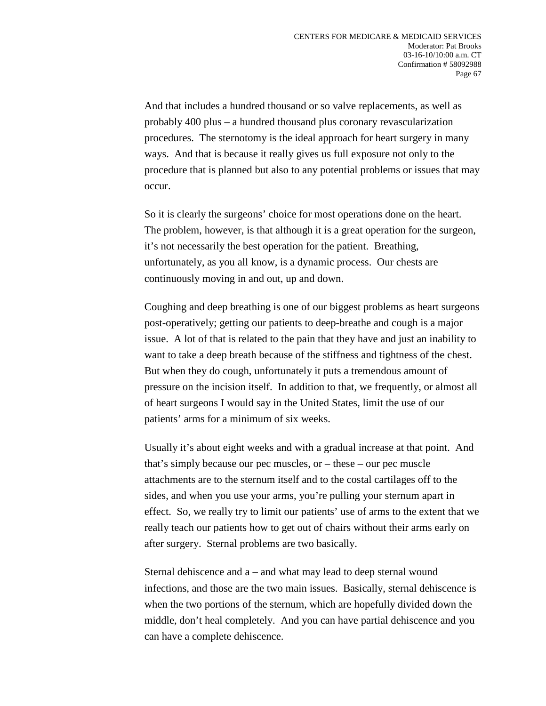And that includes a hundred thousand or so valve replacements, as well as probably 400 plus – a hundred thousand plus coronary revascularization procedures. The sternotomy is the ideal approach for heart surgery in many ways. And that is because it really gives us full exposure not only to the procedure that is planned but also to any potential problems or issues that may occur.

So it is clearly the surgeons' choice for most operations done on the heart. The problem, however, is that although it is a great operation for the surgeon, it's not necessarily the best operation for the patient. Breathing, unfortunately, as you all know, is a dynamic process. Our chests are continuously moving in and out, up and down.

Coughing and deep breathing is one of our biggest problems as heart surgeons post-operatively; getting our patients to deep-breathe and cough is a major issue. A lot of that is related to the pain that they have and just an inability to want to take a deep breath because of the stiffness and tightness of the chest. But when they do cough, unfortunately it puts a tremendous amount of pressure on the incision itself. In addition to that, we frequently, or almost all of heart surgeons I would say in the United States, limit the use of our patients' arms for a minimum of six weeks.

Usually it's about eight weeks and with a gradual increase at that point. And that's simply because our pec muscles, or – these – our pec muscle attachments are to the sternum itself and to the costal cartilages off to the sides, and when you use your arms, you're pulling your sternum apart in effect. So, we really try to limit our patients' use of arms to the extent that we really teach our patients how to get out of chairs without their arms early on after surgery. Sternal problems are two basically.

Sternal dehiscence and a – and what may lead to deep sternal wound infections, and those are the two main issues. Basically, sternal dehiscence is when the two portions of the sternum, which are hopefully divided down the middle, don't heal completely. And you can have partial dehiscence and you can have a complete dehiscence.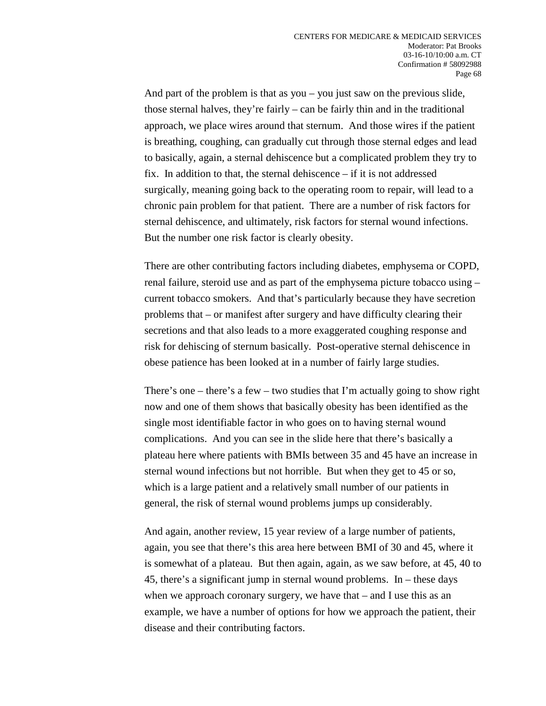And part of the problem is that as you – you just saw on the previous slide, those sternal halves, they're fairly – can be fairly thin and in the traditional approach, we place wires around that sternum. And those wires if the patient is breathing, coughing, can gradually cut through those sternal edges and lead to basically, again, a sternal dehiscence but a complicated problem they try to fix. In addition to that, the sternal dehiscence – if it is not addressed surgically, meaning going back to the operating room to repair, will lead to a chronic pain problem for that patient. There are a number of risk factors for sternal dehiscence, and ultimately, risk factors for sternal wound infections. But the number one risk factor is clearly obesity.

There are other contributing factors including diabetes, emphysema or COPD, renal failure, steroid use and as part of the emphysema picture tobacco using – current tobacco smokers. And that's particularly because they have secretion problems that – or manifest after surgery and have difficulty clearing their secretions and that also leads to a more exaggerated coughing response and risk for dehiscing of sternum basically. Post-operative sternal dehiscence in obese patience has been looked at in a number of fairly large studies.

There's one – there's a few – two studies that I'm actually going to show right now and one of them shows that basically obesity has been identified as the single most identifiable factor in who goes on to having sternal wound complications. And you can see in the slide here that there's basically a plateau here where patients with BMIs between 35 and 45 have an increase in sternal wound infections but not horrible. But when they get to 45 or so, which is a large patient and a relatively small number of our patients in general, the risk of sternal wound problems jumps up considerably.

And again, another review, 15 year review of a large number of patients, again, you see that there's this area here between BMI of 30 and 45, where it is somewhat of a plateau. But then again, again, as we saw before, at 45, 40 to 45, there's a significant jump in sternal wound problems. In – these days when we approach coronary surgery, we have that – and I use this as an example, we have a number of options for how we approach the patient, their disease and their contributing factors.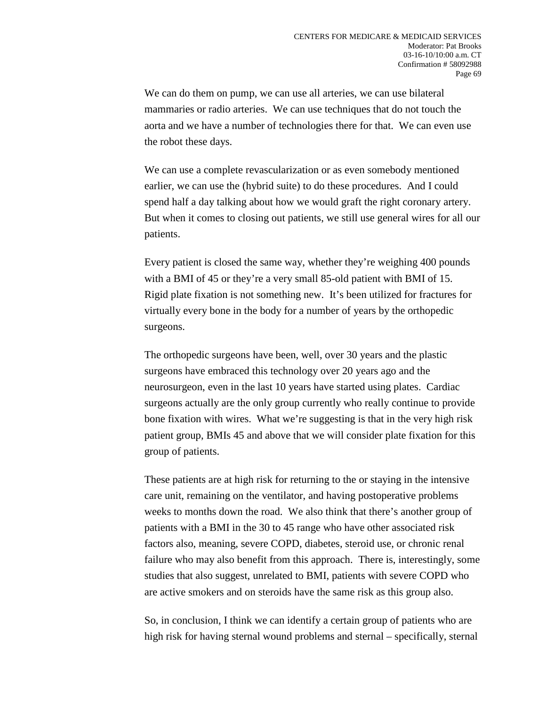We can do them on pump, we can use all arteries, we can use bilateral mammaries or radio arteries. We can use techniques that do not touch the aorta and we have a number of technologies there for that. We can even use the robot these days.

We can use a complete revascularization or as even somebody mentioned earlier, we can use the (hybrid suite) to do these procedures. And I could spend half a day talking about how we would graft the right coronary artery. But when it comes to closing out patients, we still use general wires for all our patients.

Every patient is closed the same way, whether they're weighing 400 pounds with a BMI of 45 or they're a very small 85-old patient with BMI of 15. Rigid plate fixation is not something new. It's been utilized for fractures for virtually every bone in the body for a number of years by the orthopedic surgeons.

The orthopedic surgeons have been, well, over 30 years and the plastic surgeons have embraced this technology over 20 years ago and the neurosurgeon, even in the last 10 years have started using plates. Cardiac surgeons actually are the only group currently who really continue to provide bone fixation with wires. What we're suggesting is that in the very high risk patient group, BMIs 45 and above that we will consider plate fixation for this group of patients.

These patients are at high risk for returning to the or staying in the intensive care unit, remaining on the ventilator, and having postoperative problems weeks to months down the road. We also think that there's another group of patients with a BMI in the 30 to 45 range who have other associated risk factors also, meaning, severe COPD, diabetes, steroid use, or chronic renal failure who may also benefit from this approach. There is, interestingly, some studies that also suggest, unrelated to BMI, patients with severe COPD who are active smokers and on steroids have the same risk as this group also.

So, in conclusion, I think we can identify a certain group of patients who are high risk for having sternal wound problems and sternal – specifically, sternal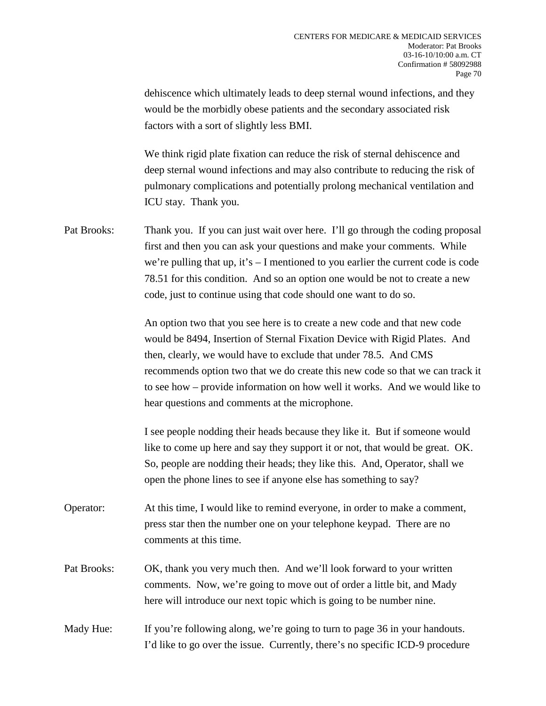dehiscence which ultimately leads to deep sternal wound infections, and they would be the morbidly obese patients and the secondary associated risk factors with a sort of slightly less BMI.

We think rigid plate fixation can reduce the risk of sternal dehiscence and deep sternal wound infections and may also contribute to reducing the risk of pulmonary complications and potentially prolong mechanical ventilation and ICU stay. Thank you.

Pat Brooks: Thank you. If you can just wait over here. I'll go through the coding proposal first and then you can ask your questions and make your comments. While we're pulling that up, it's  $-$  I mentioned to you earlier the current code is code 78.51 for this condition. And so an option one would be not to create a new code, just to continue using that code should one want to do so.

> An option two that you see here is to create a new code and that new code would be 8494, Insertion of Sternal Fixation Device with Rigid Plates. And then, clearly, we would have to exclude that under 78.5. And CMS recommends option two that we do create this new code so that we can track it to see how – provide information on how well it works. And we would like to hear questions and comments at the microphone.

I see people nodding their heads because they like it. But if someone would like to come up here and say they support it or not, that would be great. OK. So, people are nodding their heads; they like this. And, Operator, shall we open the phone lines to see if anyone else has something to say?

Operator: At this time, I would like to remind everyone, in order to make a comment, press star then the number one on your telephone keypad. There are no comments at this time.

Pat Brooks: OK, thank you very much then. And we'll look forward to your written comments. Now, we're going to move out of order a little bit, and Mady here will introduce our next topic which is going to be number nine.

Mady Hue: If you're following along, we're going to turn to page 36 in your handouts. I'd like to go over the issue. Currently, there's no specific ICD-9 procedure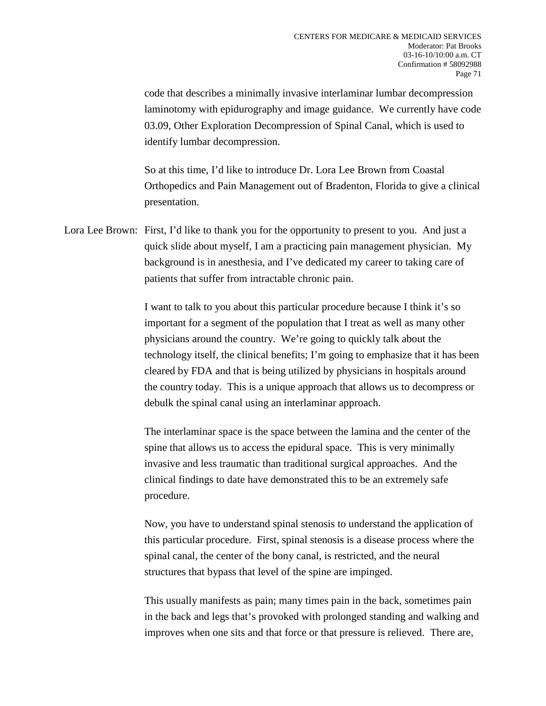code that describes a minimally invasive interlaminar lumbar decompression laminotomy with epidurography and image guidance. We currently have code 03.09, Other Exploration Decompression of Spinal Canal, which is used to identify lumbar decompression.

So at this time, I'd like to introduce Dr. Lora Lee Brown from Coastal Orthopedics and Pain Management out of Bradenton, Florida to give a clinical presentation.

Lora Lee Brown: First, I'd like to thank you for the opportunity to present to you. And just a quick slide about myself, I am a practicing pain management physician. My background is in anesthesia, and I've dedicated my career to taking care of patients that suffer from intractable chronic pain.

> I want to talk to you about this particular procedure because I think it's so important for a segment of the population that I treat as well as many other physicians around the country. We're going to quickly talk about the technology itself, the clinical benefits; I'm going to emphasize that it has been cleared by FDA and that is being utilized by physicians in hospitals around the country today. This is a unique approach that allows us to decompress or debulk the spinal canal using an interlaminar approach.

The interlaminar space is the space between the lamina and the center of the spine that allows us to access the epidural space. This is very minimally invasive and less traumatic than traditional surgical approaches. And the clinical findings to date have demonstrated this to be an extremely safe procedure.

Now, you have to understand spinal stenosis to understand the application of this particular procedure. First, spinal stenosis is a disease process where the spinal canal, the center of the bony canal, is restricted, and the neural structures that bypass that level of the spine are impinged.

This usually manifests as pain; many times pain in the back, sometimes pain in the back and legs that's provoked with prolonged standing and walking and improves when one sits and that force or that pressure is relieved. There are,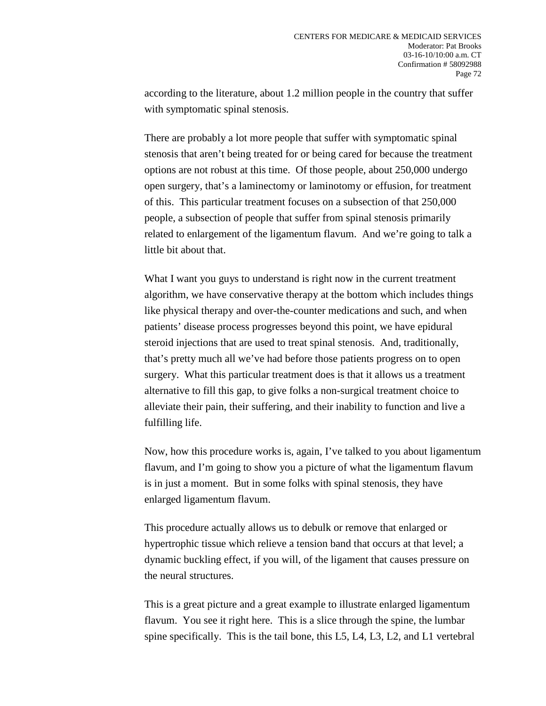according to the literature, about 1.2 million people in the country that suffer with symptomatic spinal stenosis.

There are probably a lot more people that suffer with symptomatic spinal stenosis that aren't being treated for or being cared for because the treatment options are not robust at this time. Of those people, about 250,000 undergo open surgery, that's a laminectomy or laminotomy or effusion, for treatment of this. This particular treatment focuses on a subsection of that 250,000 people, a subsection of people that suffer from spinal stenosis primarily related to enlargement of the ligamentum flavum. And we're going to talk a little bit about that.

What I want you guys to understand is right now in the current treatment algorithm, we have conservative therapy at the bottom which includes things like physical therapy and over-the-counter medications and such, and when patients' disease process progresses beyond this point, we have epidural steroid injections that are used to treat spinal stenosis. And, traditionally, that's pretty much all we've had before those patients progress on to open surgery. What this particular treatment does is that it allows us a treatment alternative to fill this gap, to give folks a non-surgical treatment choice to alleviate their pain, their suffering, and their inability to function and live a fulfilling life.

Now, how this procedure works is, again, I've talked to you about ligamentum flavum, and I'm going to show you a picture of what the ligamentum flavum is in just a moment. But in some folks with spinal stenosis, they have enlarged ligamentum flavum.

This procedure actually allows us to debulk or remove that enlarged or hypertrophic tissue which relieve a tension band that occurs at that level; a dynamic buckling effect, if you will, of the ligament that causes pressure on the neural structures.

This is a great picture and a great example to illustrate enlarged ligamentum flavum. You see it right here. This is a slice through the spine, the lumbar spine specifically. This is the tail bone, this L5, L4, L3, L2, and L1 vertebral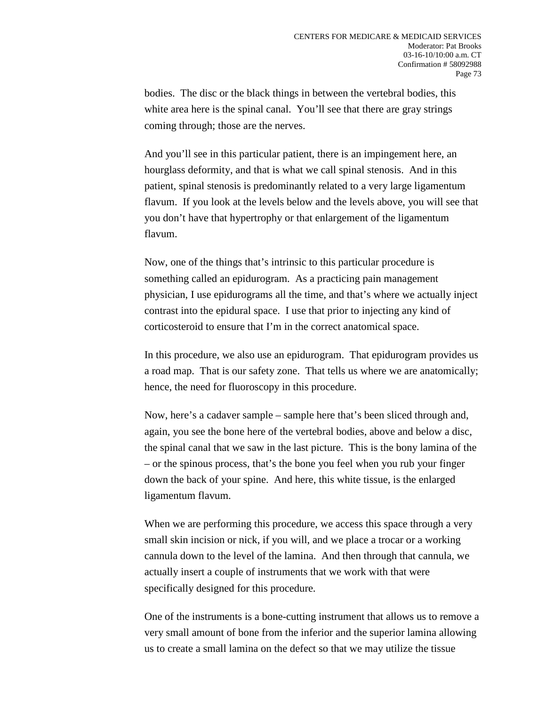bodies. The disc or the black things in between the vertebral bodies, this white area here is the spinal canal. You'll see that there are gray strings coming through; those are the nerves.

And you'll see in this particular patient, there is an impingement here, an hourglass deformity, and that is what we call spinal stenosis. And in this patient, spinal stenosis is predominantly related to a very large ligamentum flavum. If you look at the levels below and the levels above, you will see that you don't have that hypertrophy or that enlargement of the ligamentum flavum.

Now, one of the things that's intrinsic to this particular procedure is something called an epidurogram. As a practicing pain management physician, I use epidurograms all the time, and that's where we actually inject contrast into the epidural space. I use that prior to injecting any kind of corticosteroid to ensure that I'm in the correct anatomical space.

In this procedure, we also use an epidurogram. That epidurogram provides us a road map. That is our safety zone. That tells us where we are anatomically; hence, the need for fluoroscopy in this procedure.

Now, here's a cadaver sample – sample here that's been sliced through and, again, you see the bone here of the vertebral bodies, above and below a disc, the spinal canal that we saw in the last picture. This is the bony lamina of the – or the spinous process, that's the bone you feel when you rub your finger down the back of your spine. And here, this white tissue, is the enlarged ligamentum flavum.

When we are performing this procedure, we access this space through a very small skin incision or nick, if you will, and we place a trocar or a working cannula down to the level of the lamina. And then through that cannula, we actually insert a couple of instruments that we work with that were specifically designed for this procedure.

One of the instruments is a bone-cutting instrument that allows us to remove a very small amount of bone from the inferior and the superior lamina allowing us to create a small lamina on the defect so that we may utilize the tissue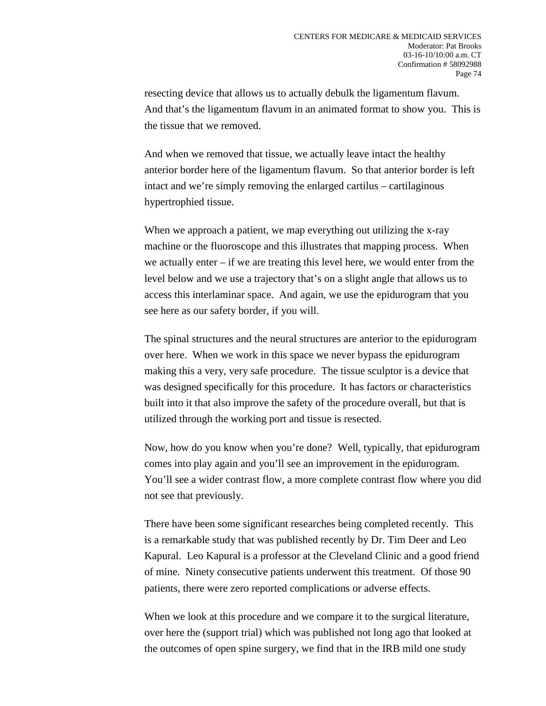resecting device that allows us to actually debulk the ligamentum flavum. And that's the ligamentum flavum in an animated format to show you. This is the tissue that we removed.

And when we removed that tissue, we actually leave intact the healthy anterior border here of the ligamentum flavum. So that anterior border is left intact and we're simply removing the enlarged cartilus – cartilaginous hypertrophied tissue.

When we approach a patient, we map everything out utilizing the x-ray machine or the fluoroscope and this illustrates that mapping process. When we actually enter – if we are treating this level here, we would enter from the level below and we use a trajectory that's on a slight angle that allows us to access this interlaminar space. And again, we use the epidurogram that you see here as our safety border, if you will.

The spinal structures and the neural structures are anterior to the epidurogram over here. When we work in this space we never bypass the epidurogram making this a very, very safe procedure. The tissue sculptor is a device that was designed specifically for this procedure. It has factors or characteristics built into it that also improve the safety of the procedure overall, but that is utilized through the working port and tissue is resected.

Now, how do you know when you're done? Well, typically, that epidurogram comes into play again and you'll see an improvement in the epidurogram. You'll see a wider contrast flow, a more complete contrast flow where you did not see that previously.

There have been some significant researches being completed recently. This is a remarkable study that was published recently by Dr. Tim Deer and Leo Kapural. Leo Kapural is a professor at the Cleveland Clinic and a good friend of mine. Ninety consecutive patients underwent this treatment. Of those 90 patients, there were zero reported complications or adverse effects.

When we look at this procedure and we compare it to the surgical literature, over here the (support trial) which was published not long ago that looked at the outcomes of open spine surgery, we find that in the IRB mild one study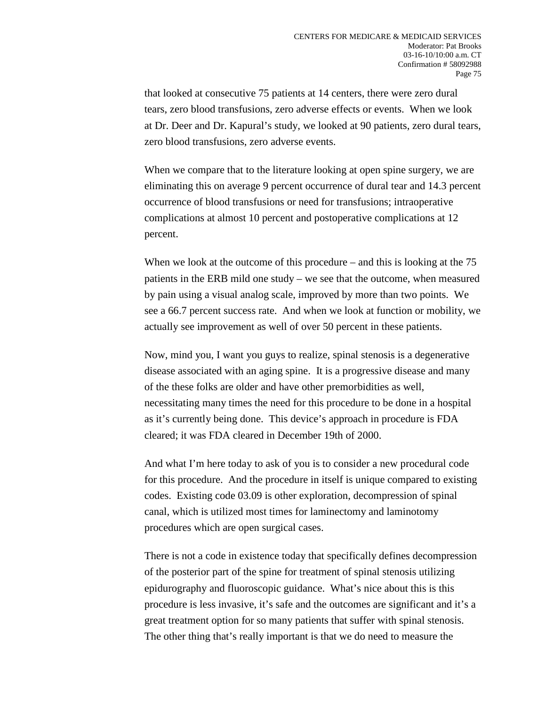that looked at consecutive 75 patients at 14 centers, there were zero dural tears, zero blood transfusions, zero adverse effects or events. When we look at Dr. Deer and Dr. Kapural's study, we looked at 90 patients, zero dural tears, zero blood transfusions, zero adverse events.

When we compare that to the literature looking at open spine surgery, we are eliminating this on average 9 percent occurrence of dural tear and 14.3 percent occurrence of blood transfusions or need for transfusions; intraoperative complications at almost 10 percent and postoperative complications at 12 percent.

When we look at the outcome of this procedure – and this is looking at the 75 patients in the ERB mild one study – we see that the outcome, when measured by pain using a visual analog scale, improved by more than two points. We see a 66.7 percent success rate. And when we look at function or mobility, we actually see improvement as well of over 50 percent in these patients.

Now, mind you, I want you guys to realize, spinal stenosis is a degenerative disease associated with an aging spine. It is a progressive disease and many of the these folks are older and have other premorbidities as well, necessitating many times the need for this procedure to be done in a hospital as it's currently being done. This device's approach in procedure is FDA cleared; it was FDA cleared in December 19th of 2000.

And what I'm here today to ask of you is to consider a new procedural code for this procedure. And the procedure in itself is unique compared to existing codes. Existing code 03.09 is other exploration, decompression of spinal canal, which is utilized most times for laminectomy and laminotomy procedures which are open surgical cases.

There is not a code in existence today that specifically defines decompression of the posterior part of the spine for treatment of spinal stenosis utilizing epidurography and fluoroscopic guidance. What's nice about this is this procedure is less invasive, it's safe and the outcomes are significant and it's a great treatment option for so many patients that suffer with spinal stenosis. The other thing that's really important is that we do need to measure the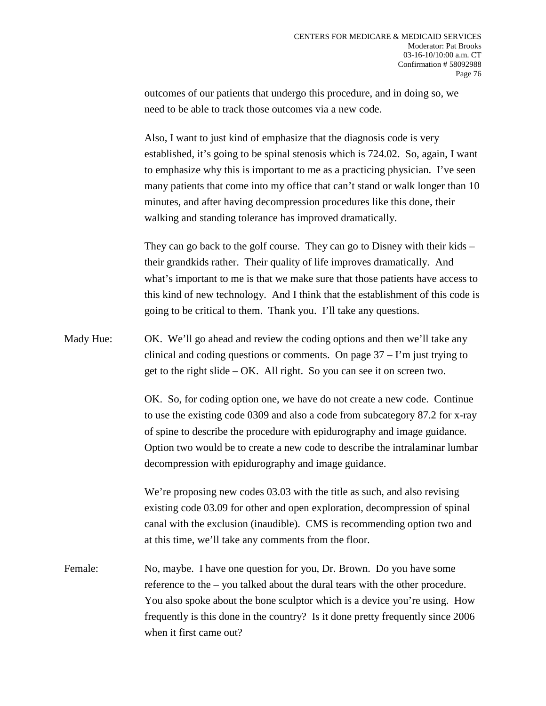outcomes of our patients that undergo this procedure, and in doing so, we need to be able to track those outcomes via a new code.

Also, I want to just kind of emphasize that the diagnosis code is very established, it's going to be spinal stenosis which is 724.02. So, again, I want to emphasize why this is important to me as a practicing physician. I've seen many patients that come into my office that can't stand or walk longer than 10 minutes, and after having decompression procedures like this done, their walking and standing tolerance has improved dramatically.

They can go back to the golf course. They can go to Disney with their kids – their grandkids rather. Their quality of life improves dramatically. And what's important to me is that we make sure that those patients have access to this kind of new technology. And I think that the establishment of this code is going to be critical to them. Thank you. I'll take any questions.

Mady Hue: OK. We'll go ahead and review the coding options and then we'll take any clinical and coding questions or comments. On page  $37 - I'm$  just trying to get to the right slide  $-$  OK. All right. So you can see it on screen two.

> OK. So, for coding option one, we have do not create a new code. Continue to use the existing code 0309 and also a code from subcategory 87.2 for x-ray of spine to describe the procedure with epidurography and image guidance. Option two would be to create a new code to describe the intralaminar lumbar decompression with epidurography and image guidance.

We're proposing new codes 03.03 with the title as such, and also revising existing code 03.09 for other and open exploration, decompression of spinal canal with the exclusion (inaudible). CMS is recommending option two and at this time, we'll take any comments from the floor.

Female: No, maybe. I have one question for you, Dr. Brown. Do you have some reference to the – you talked about the dural tears with the other procedure. You also spoke about the bone sculptor which is a device you're using. How frequently is this done in the country? Is it done pretty frequently since 2006 when it first came out?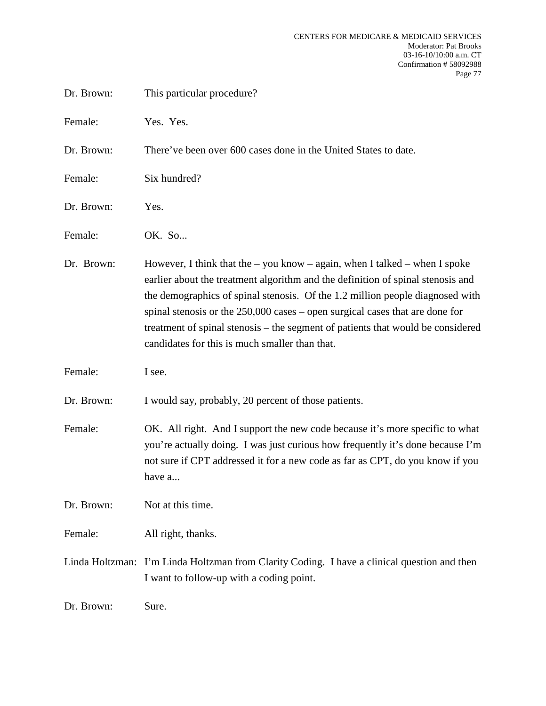| Dr. Brown: | This particular procedure?                                                                                                                                                                                                                                                                                                                                                                                                                                                  |
|------------|-----------------------------------------------------------------------------------------------------------------------------------------------------------------------------------------------------------------------------------------------------------------------------------------------------------------------------------------------------------------------------------------------------------------------------------------------------------------------------|
| Female:    | Yes. Yes.                                                                                                                                                                                                                                                                                                                                                                                                                                                                   |
| Dr. Brown: | There've been over 600 cases done in the United States to date.                                                                                                                                                                                                                                                                                                                                                                                                             |
| Female:    | Six hundred?                                                                                                                                                                                                                                                                                                                                                                                                                                                                |
| Dr. Brown: | Yes.                                                                                                                                                                                                                                                                                                                                                                                                                                                                        |
| Female:    | OK. So                                                                                                                                                                                                                                                                                                                                                                                                                                                                      |
| Dr. Brown: | However, I think that the $-$ you know $-$ again, when I talked $-$ when I spoke<br>earlier about the treatment algorithm and the definition of spinal stenosis and<br>the demographics of spinal stenosis. Of the 1.2 million people diagnosed with<br>spinal stenosis or the $250,000$ cases – open surgical cases that are done for<br>treatment of spinal stenosis - the segment of patients that would be considered<br>candidates for this is much smaller than that. |
| Female:    | I see.                                                                                                                                                                                                                                                                                                                                                                                                                                                                      |
| Dr. Brown: | I would say, probably, 20 percent of those patients.                                                                                                                                                                                                                                                                                                                                                                                                                        |
| Female:    | OK. All right. And I support the new code because it's more specific to what<br>you're actually doing. I was just curious how frequently it's done because I'm<br>not sure if CPT addressed it for a new code as far as CPT, do you know if you<br>have a                                                                                                                                                                                                                   |
| Dr. Brown: | Not at this time.                                                                                                                                                                                                                                                                                                                                                                                                                                                           |
| Female:    | All right, thanks.                                                                                                                                                                                                                                                                                                                                                                                                                                                          |
|            | Linda Holtzman: I'm Linda Holtzman from Clarity Coding. I have a clinical question and then<br>I want to follow-up with a coding point.                                                                                                                                                                                                                                                                                                                                     |
| Dr. Brown: | Sure.                                                                                                                                                                                                                                                                                                                                                                                                                                                                       |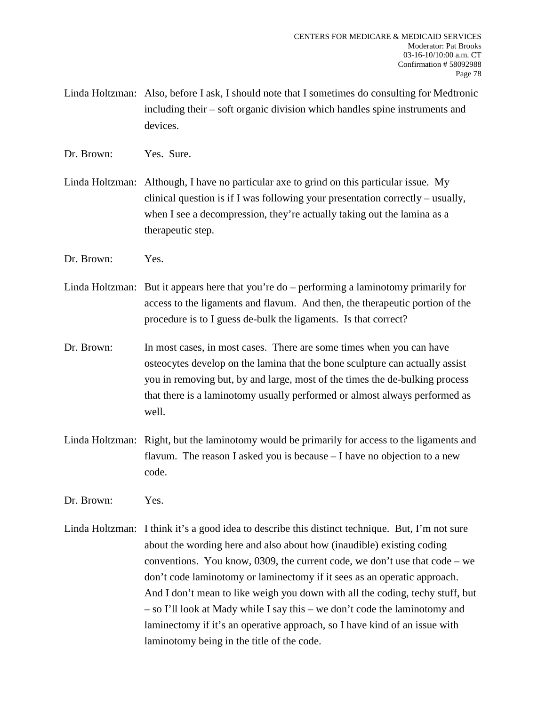Linda Holtzman: Also, before I ask, I should note that I sometimes do consulting for Medtronic including their – soft organic division which handles spine instruments and devices.

Dr. Brown: Yes. Sure.

Linda Holtzman: Although, I have no particular axe to grind on this particular issue. My clinical question is if I was following your presentation correctly – usually, when I see a decompression, they're actually taking out the lamina as a therapeutic step.

Dr. Brown: Yes.

Linda Holtzman: But it appears here that you're do – performing a laminotomy primarily for access to the ligaments and flavum. And then, the therapeutic portion of the procedure is to I guess de-bulk the ligaments. Is that correct?

Dr. Brown: In most cases, in most cases. There are some times when you can have osteocytes develop on the lamina that the bone sculpture can actually assist you in removing but, by and large, most of the times the de-bulking process that there is a laminotomy usually performed or almost always performed as well.

Linda Holtzman: Right, but the laminotomy would be primarily for access to the ligaments and flavum. The reason I asked you is because – I have no objection to a new code.

Dr. Brown: Yes.

Linda Holtzman: I think it's a good idea to describe this distinct technique. But, I'm not sure about the wording here and also about how (inaudible) existing coding conventions. You know, 0309, the current code, we don't use that code – we don't code laminotomy or laminectomy if it sees as an operatic approach. And I don't mean to like weigh you down with all the coding, techy stuff, but – so I'll look at Mady while I say this – we don't code the laminotomy and laminectomy if it's an operative approach, so I have kind of an issue with laminotomy being in the title of the code.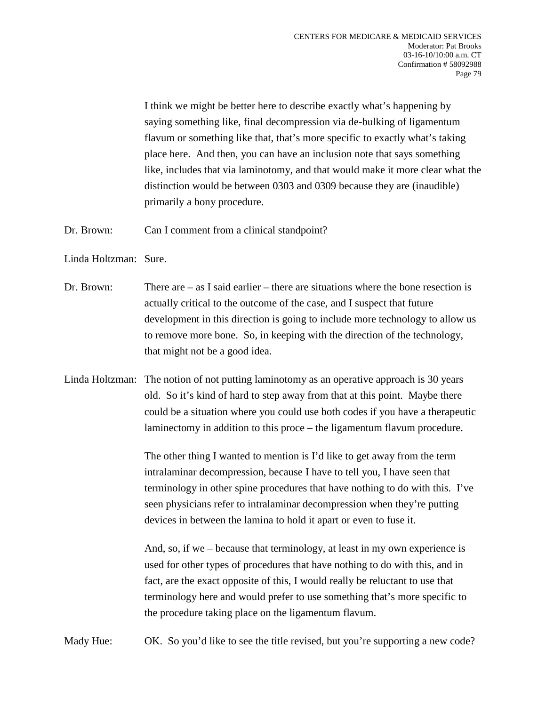I think we might be better here to describe exactly what's happening by saying something like, final decompression via de-bulking of ligamentum flavum or something like that, that's more specific to exactly what's taking place here. And then, you can have an inclusion note that says something like, includes that via laminotomy, and that would make it more clear what the distinction would be between 0303 and 0309 because they are (inaudible) primarily a bony procedure.

Dr. Brown: Can I comment from a clinical standpoint?

Linda Holtzman: Sure.

- Dr. Brown: There are as I said earlier there are situations where the bone resection is actually critical to the outcome of the case, and I suspect that future development in this direction is going to include more technology to allow us to remove more bone. So, in keeping with the direction of the technology, that might not be a good idea.
- Linda Holtzman: The notion of not putting laminotomy as an operative approach is 30 years old. So it's kind of hard to step away from that at this point. Maybe there could be a situation where you could use both codes if you have a therapeutic laminectomy in addition to this proce – the ligamentum flavum procedure.

The other thing I wanted to mention is I'd like to get away from the term intralaminar decompression, because I have to tell you, I have seen that terminology in other spine procedures that have nothing to do with this. I've seen physicians refer to intralaminar decompression when they're putting devices in between the lamina to hold it apart or even to fuse it.

And, so, if we – because that terminology, at least in my own experience is used for other types of procedures that have nothing to do with this, and in fact, are the exact opposite of this, I would really be reluctant to use that terminology here and would prefer to use something that's more specific to the procedure taking place on the ligamentum flavum.

Mady Hue: OK. So you'd like to see the title revised, but you're supporting a new code?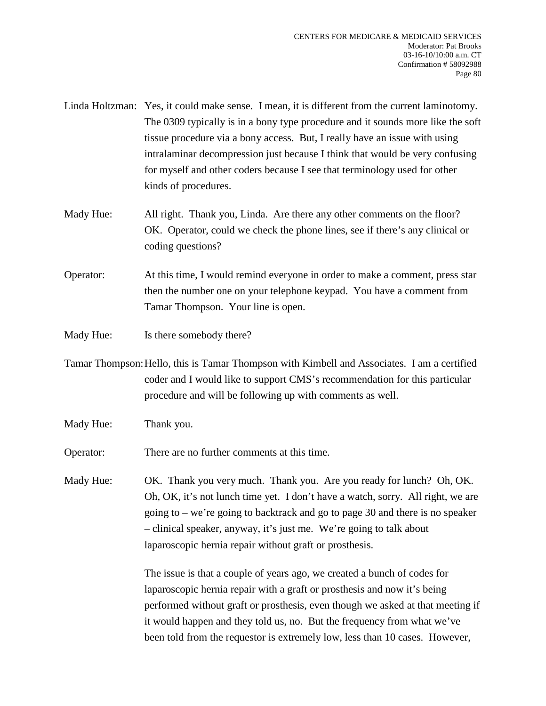- Linda Holtzman: Yes, it could make sense. I mean, it is different from the current laminotomy. The 0309 typically is in a bony type procedure and it sounds more like the soft tissue procedure via a bony access. But, I really have an issue with using intralaminar decompression just because I think that would be very confusing for myself and other coders because I see that terminology used for other kinds of procedures.
- Mady Hue: All right. Thank you, Linda. Are there any other comments on the floor? OK. Operator, could we check the phone lines, see if there's any clinical or coding questions?
- Operator: At this time, I would remind everyone in order to make a comment, press star then the number one on your telephone keypad. You have a comment from Tamar Thompson. Your line is open.
- Mady Hue: Is there somebody there?
- Tamar Thompson:Hello, this is Tamar Thompson with Kimbell and Associates. I am a certified coder and I would like to support CMS's recommendation for this particular procedure and will be following up with comments as well.
- Mady Hue: Thank you.

Operator: There are no further comments at this time.

Mady Hue: OK. Thank you very much. Thank you. Are you ready for lunch? Oh, OK. Oh, OK, it's not lunch time yet. I don't have a watch, sorry. All right, we are going to – we're going to backtrack and go to page 30 and there is no speaker – clinical speaker, anyway, it's just me. We're going to talk about laparoscopic hernia repair without graft or prosthesis.

> The issue is that a couple of years ago, we created a bunch of codes for laparoscopic hernia repair with a graft or prosthesis and now it's being performed without graft or prosthesis, even though we asked at that meeting if it would happen and they told us, no. But the frequency from what we've been told from the requestor is extremely low, less than 10 cases. However,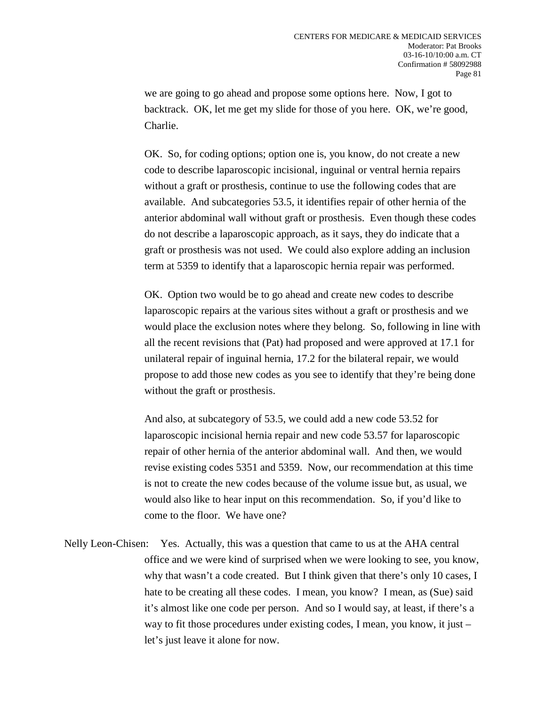we are going to go ahead and propose some options here. Now, I got to backtrack. OK, let me get my slide for those of you here. OK, we're good, Charlie.

OK. So, for coding options; option one is, you know, do not create a new code to describe laparoscopic incisional, inguinal or ventral hernia repairs without a graft or prosthesis, continue to use the following codes that are available. And subcategories 53.5, it identifies repair of other hernia of the anterior abdominal wall without graft or prosthesis. Even though these codes do not describe a laparoscopic approach, as it says, they do indicate that a graft or prosthesis was not used. We could also explore adding an inclusion term at 5359 to identify that a laparoscopic hernia repair was performed.

OK. Option two would be to go ahead and create new codes to describe laparoscopic repairs at the various sites without a graft or prosthesis and we would place the exclusion notes where they belong. So, following in line with all the recent revisions that (Pat) had proposed and were approved at 17.1 for unilateral repair of inguinal hernia, 17.2 for the bilateral repair, we would propose to add those new codes as you see to identify that they're being done without the graft or prosthesis.

And also, at subcategory of 53.5, we could add a new code 53.52 for laparoscopic incisional hernia repair and new code 53.57 for laparoscopic repair of other hernia of the anterior abdominal wall. And then, we would revise existing codes 5351 and 5359. Now, our recommendation at this time is not to create the new codes because of the volume issue but, as usual, we would also like to hear input on this recommendation. So, if you'd like to come to the floor. We have one?

Nelly Leon-Chisen: Yes. Actually, this was a question that came to us at the AHA central office and we were kind of surprised when we were looking to see, you know, why that wasn't a code created. But I think given that there's only 10 cases, I hate to be creating all these codes. I mean, you know? I mean, as (Sue) said it's almost like one code per person. And so I would say, at least, if there's a way to fit those procedures under existing codes, I mean, you know, it just – let's just leave it alone for now.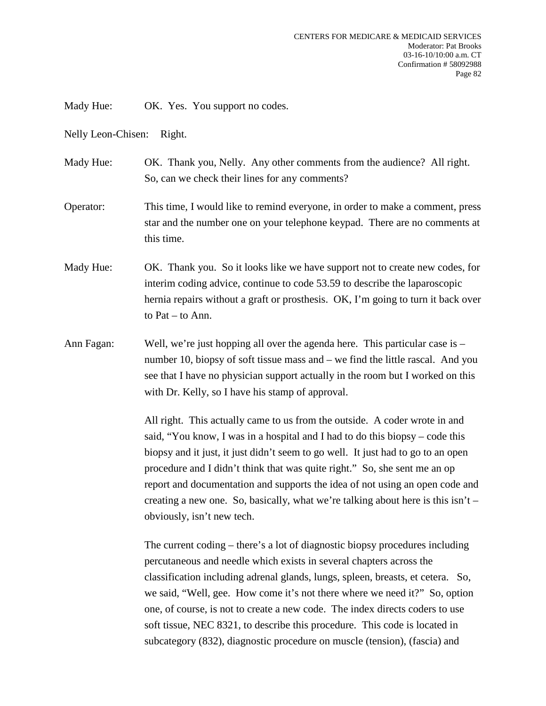Mady Hue: OK. Yes. You support no codes.

Nelly Leon-Chisen: Right.

Mady Hue: OK. Thank you, Nelly. Any other comments from the audience? All right. So, can we check their lines for any comments?

Operator: This time, I would like to remind everyone, in order to make a comment, press star and the number one on your telephone keypad. There are no comments at this time.

Mady Hue: OK. Thank you. So it looks like we have support not to create new codes, for interim coding advice, continue to code 53.59 to describe the laparoscopic hernia repairs without a graft or prosthesis. OK, I'm going to turn it back over to Pat – to Ann.

Ann Fagan: Well, we're just hopping all over the agenda here. This particular case is – number 10, biopsy of soft tissue mass and – we find the little rascal. And you see that I have no physician support actually in the room but I worked on this with Dr. Kelly, so I have his stamp of approval.

> All right. This actually came to us from the outside. A coder wrote in and said, "You know, I was in a hospital and I had to do this biopsy – code this biopsy and it just, it just didn't seem to go well. It just had to go to an open procedure and I didn't think that was quite right." So, she sent me an op report and documentation and supports the idea of not using an open code and creating a new one. So, basically, what we're talking about here is this  $\sin t$  – obviously, isn't new tech.

The current coding – there's a lot of diagnostic biopsy procedures including percutaneous and needle which exists in several chapters across the classification including adrenal glands, lungs, spleen, breasts, et cetera. So, we said, "Well, gee. How come it's not there where we need it?" So, option one, of course, is not to create a new code. The index directs coders to use soft tissue, NEC 8321, to describe this procedure. This code is located in subcategory (832), diagnostic procedure on muscle (tension), (fascia) and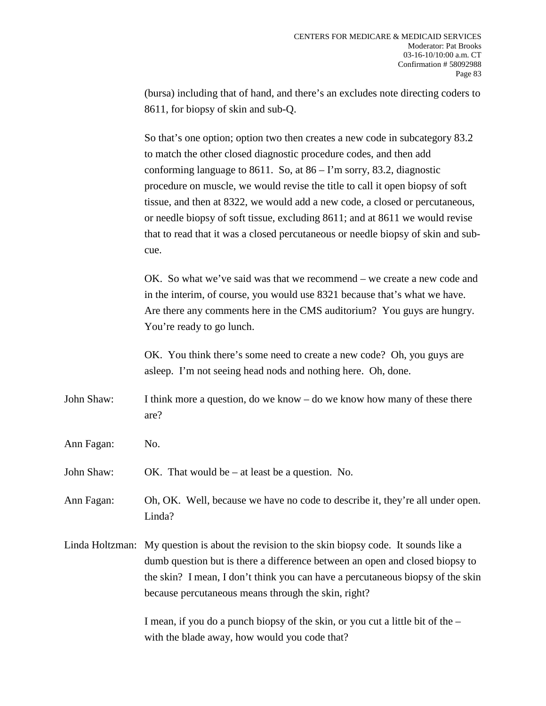(bursa) including that of hand, and there's an excludes note directing coders to 8611, for biopsy of skin and sub-Q.

So that's one option; option two then creates a new code in subcategory 83.2 to match the other closed diagnostic procedure codes, and then add conforming language to 8611. So, at  $86 - I'm$  sorry, 83.2, diagnostic procedure on muscle, we would revise the title to call it open biopsy of soft tissue, and then at 8322, we would add a new code, a closed or percutaneous, or needle biopsy of soft tissue, excluding 8611; and at 8611 we would revise that to read that it was a closed percutaneous or needle biopsy of skin and subcue.

OK. So what we've said was that we recommend – we create a new code and in the interim, of course, you would use 8321 because that's what we have. Are there any comments here in the CMS auditorium? You guys are hungry. You're ready to go lunch.

OK. You think there's some need to create a new code? Oh, you guys are asleep. I'm not seeing head nods and nothing here. Oh, done.

- John Shaw: I think more a question, do we know do we know how many of these there are?
- Ann Fagan: No.
- John Shaw: OK. That would be at least be a question. No.

Ann Fagan: Oh, OK. Well, because we have no code to describe it, they're all under open. Linda?

Linda Holtzman: My question is about the revision to the skin biopsy code. It sounds like a dumb question but is there a difference between an open and closed biopsy to the skin? I mean, I don't think you can have a percutaneous biopsy of the skin because percutaneous means through the skin, right?

> I mean, if you do a punch biopsy of the skin, or you cut a little bit of the – with the blade away, how would you code that?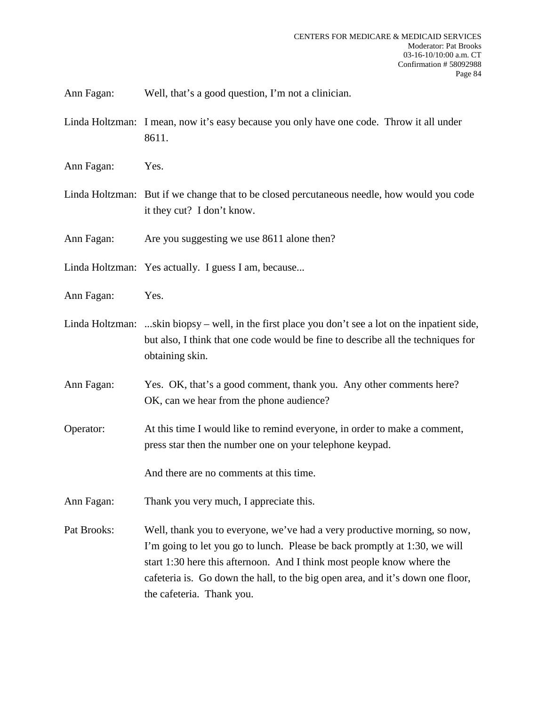Ann Fagan: Well, that's a good question, I'm not a clinician.

- Linda Holtzman: I mean, now it's easy because you only have one code. Throw it all under 8611.
- Ann Fagan: Yes.
- Linda Holtzman: But if we change that to be closed percutaneous needle, how would you code it they cut? I don't know.

Ann Fagan: Are you suggesting we use 8611 alone then?

- Linda Holtzman: Yes actually. I guess I am, because...
- Ann Fagan: Yes.
- Linda Holtzman: ...skin biopsy well, in the first place you don't see a lot on the inpatient side, but also, I think that one code would be fine to describe all the techniques for obtaining skin.
- Ann Fagan: Yes. OK, that's a good comment, thank you. Any other comments here? OK, can we hear from the phone audience?
- Operator: At this time I would like to remind everyone, in order to make a comment, press star then the number one on your telephone keypad.

And there are no comments at this time.

- Ann Fagan: Thank you very much, I appreciate this.
- Pat Brooks: Well, thank you to everyone, we've had a very productive morning, so now, I'm going to let you go to lunch. Please be back promptly at 1:30, we will start 1:30 here this afternoon. And I think most people know where the cafeteria is. Go down the hall, to the big open area, and it's down one floor, the cafeteria. Thank you.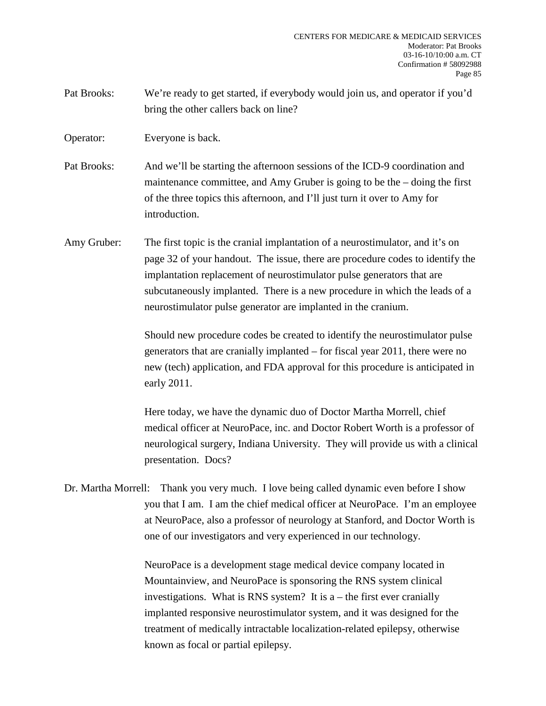Pat Brooks: We're ready to get started, if everybody would join us, and operator if you'd bring the other callers back on line?

Operator: Everyone is back.

Pat Brooks: And we'll be starting the afternoon sessions of the ICD-9 coordination and maintenance committee, and Amy Gruber is going to be the – doing the first of the three topics this afternoon, and I'll just turn it over to Amy for introduction.

Amy Gruber: The first topic is the cranial implantation of a neurostimulator, and it's on page 32 of your handout. The issue, there are procedure codes to identify the implantation replacement of neurostimulator pulse generators that are subcutaneously implanted. There is a new procedure in which the leads of a neurostimulator pulse generator are implanted in the cranium.

> Should new procedure codes be created to identify the neurostimulator pulse generators that are cranially implanted – for fiscal year 2011, there were no new (tech) application, and FDA approval for this procedure is anticipated in early 2011.

Here today, we have the dynamic duo of Doctor Martha Morrell, chief medical officer at NeuroPace, inc. and Doctor Robert Worth is a professor of neurological surgery, Indiana University. They will provide us with a clinical presentation. Docs?

Dr. Martha Morrell: Thank you very much. I love being called dynamic even before I show you that I am. I am the chief medical officer at NeuroPace. I'm an employee at NeuroPace, also a professor of neurology at Stanford, and Doctor Worth is one of our investigators and very experienced in our technology.

> NeuroPace is a development stage medical device company located in Mountainview, and NeuroPace is sponsoring the RNS system clinical investigations. What is RNS system? It is  $a$  – the first ever cranially implanted responsive neurostimulator system, and it was designed for the treatment of medically intractable localization-related epilepsy, otherwise known as focal or partial epilepsy.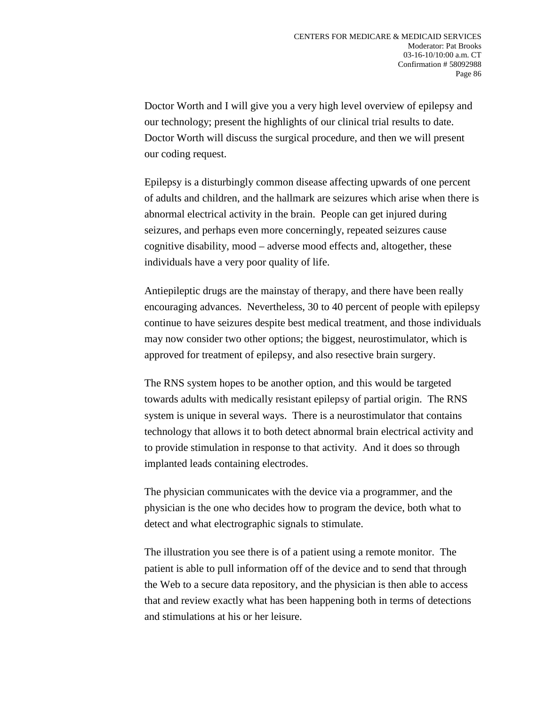Doctor Worth and I will give you a very high level overview of epilepsy and our technology; present the highlights of our clinical trial results to date. Doctor Worth will discuss the surgical procedure, and then we will present our coding request.

Epilepsy is a disturbingly common disease affecting upwards of one percent of adults and children, and the hallmark are seizures which arise when there is abnormal electrical activity in the brain. People can get injured during seizures, and perhaps even more concerningly, repeated seizures cause cognitive disability, mood – adverse mood effects and, altogether, these individuals have a very poor quality of life.

Antiepileptic drugs are the mainstay of therapy, and there have been really encouraging advances. Nevertheless, 30 to 40 percent of people with epilepsy continue to have seizures despite best medical treatment, and those individuals may now consider two other options; the biggest, neurostimulator, which is approved for treatment of epilepsy, and also resective brain surgery.

The RNS system hopes to be another option, and this would be targeted towards adults with medically resistant epilepsy of partial origin. The RNS system is unique in several ways. There is a neurostimulator that contains technology that allows it to both detect abnormal brain electrical activity and to provide stimulation in response to that activity. And it does so through implanted leads containing electrodes.

The physician communicates with the device via a programmer, and the physician is the one who decides how to program the device, both what to detect and what electrographic signals to stimulate.

The illustration you see there is of a patient using a remote monitor. The patient is able to pull information off of the device and to send that through the Web to a secure data repository, and the physician is then able to access that and review exactly what has been happening both in terms of detections and stimulations at his or her leisure.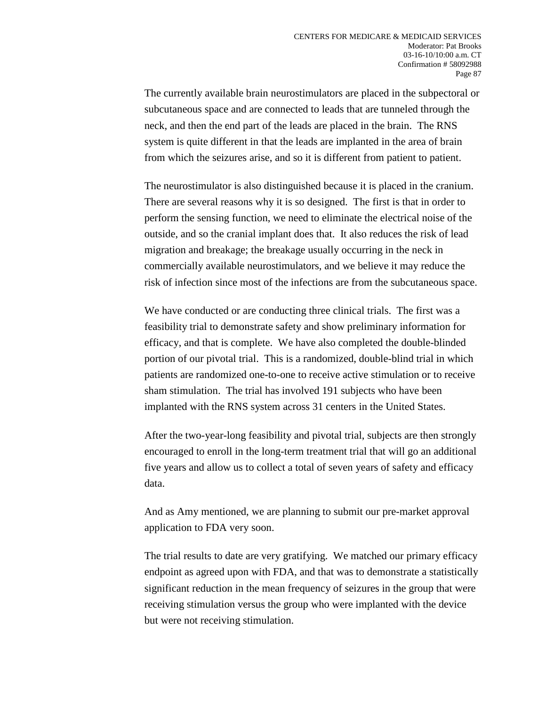The currently available brain neurostimulators are placed in the subpectoral or subcutaneous space and are connected to leads that are tunneled through the neck, and then the end part of the leads are placed in the brain. The RNS system is quite different in that the leads are implanted in the area of brain from which the seizures arise, and so it is different from patient to patient.

The neurostimulator is also distinguished because it is placed in the cranium. There are several reasons why it is so designed. The first is that in order to perform the sensing function, we need to eliminate the electrical noise of the outside, and so the cranial implant does that. It also reduces the risk of lead migration and breakage; the breakage usually occurring in the neck in commercially available neurostimulators, and we believe it may reduce the risk of infection since most of the infections are from the subcutaneous space.

We have conducted or are conducting three clinical trials. The first was a feasibility trial to demonstrate safety and show preliminary information for efficacy, and that is complete. We have also completed the double-blinded portion of our pivotal trial. This is a randomized, double-blind trial in which patients are randomized one-to-one to receive active stimulation or to receive sham stimulation. The trial has involved 191 subjects who have been implanted with the RNS system across 31 centers in the United States.

After the two-year-long feasibility and pivotal trial, subjects are then strongly encouraged to enroll in the long-term treatment trial that will go an additional five years and allow us to collect a total of seven years of safety and efficacy data.

And as Amy mentioned, we are planning to submit our pre-market approval application to FDA very soon.

The trial results to date are very gratifying. We matched our primary efficacy endpoint as agreed upon with FDA, and that was to demonstrate a statistically significant reduction in the mean frequency of seizures in the group that were receiving stimulation versus the group who were implanted with the device but were not receiving stimulation.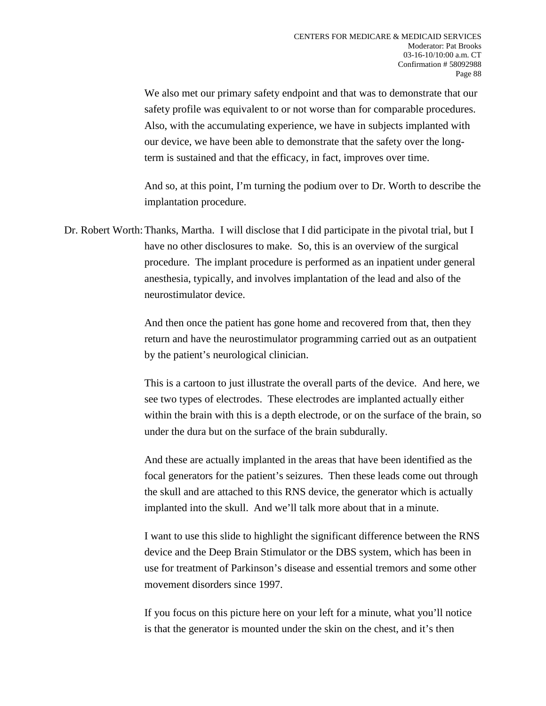We also met our primary safety endpoint and that was to demonstrate that our safety profile was equivalent to or not worse than for comparable procedures. Also, with the accumulating experience, we have in subjects implanted with our device, we have been able to demonstrate that the safety over the longterm is sustained and that the efficacy, in fact, improves over time.

And so, at this point, I'm turning the podium over to Dr. Worth to describe the implantation procedure.

Dr. Robert Worth: Thanks, Martha. I will disclose that I did participate in the pivotal trial, but I have no other disclosures to make. So, this is an overview of the surgical procedure. The implant procedure is performed as an inpatient under general anesthesia, typically, and involves implantation of the lead and also of the neurostimulator device.

> And then once the patient has gone home and recovered from that, then they return and have the neurostimulator programming carried out as an outpatient by the patient's neurological clinician.

> This is a cartoon to just illustrate the overall parts of the device. And here, we see two types of electrodes. These electrodes are implanted actually either within the brain with this is a depth electrode, or on the surface of the brain, so under the dura but on the surface of the brain subdurally.

> And these are actually implanted in the areas that have been identified as the focal generators for the patient's seizures. Then these leads come out through the skull and are attached to this RNS device, the generator which is actually implanted into the skull. And we'll talk more about that in a minute.

> I want to use this slide to highlight the significant difference between the RNS device and the Deep Brain Stimulator or the DBS system, which has been in use for treatment of Parkinson's disease and essential tremors and some other movement disorders since 1997.

If you focus on this picture here on your left for a minute, what you'll notice is that the generator is mounted under the skin on the chest, and it's then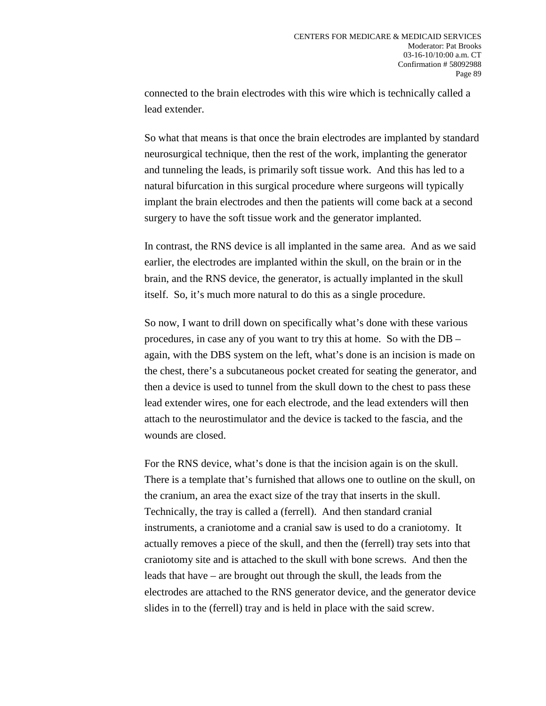connected to the brain electrodes with this wire which is technically called a lead extender.

So what that means is that once the brain electrodes are implanted by standard neurosurgical technique, then the rest of the work, implanting the generator and tunneling the leads, is primarily soft tissue work. And this has led to a natural bifurcation in this surgical procedure where surgeons will typically implant the brain electrodes and then the patients will come back at a second surgery to have the soft tissue work and the generator implanted.

In contrast, the RNS device is all implanted in the same area. And as we said earlier, the electrodes are implanted within the skull, on the brain or in the brain, and the RNS device, the generator, is actually implanted in the skull itself. So, it's much more natural to do this as a single procedure.

So now, I want to drill down on specifically what's done with these various procedures, in case any of you want to try this at home. So with the DB – again, with the DBS system on the left, what's done is an incision is made on the chest, there's a subcutaneous pocket created for seating the generator, and then a device is used to tunnel from the skull down to the chest to pass these lead extender wires, one for each electrode, and the lead extenders will then attach to the neurostimulator and the device is tacked to the fascia, and the wounds are closed.

For the RNS device, what's done is that the incision again is on the skull. There is a template that's furnished that allows one to outline on the skull, on the cranium, an area the exact size of the tray that inserts in the skull. Technically, the tray is called a (ferrell). And then standard cranial instruments, a craniotome and a cranial saw is used to do a craniotomy. It actually removes a piece of the skull, and then the (ferrell) tray sets into that craniotomy site and is attached to the skull with bone screws. And then the leads that have – are brought out through the skull, the leads from the electrodes are attached to the RNS generator device, and the generator device slides in to the (ferrell) tray and is held in place with the said screw.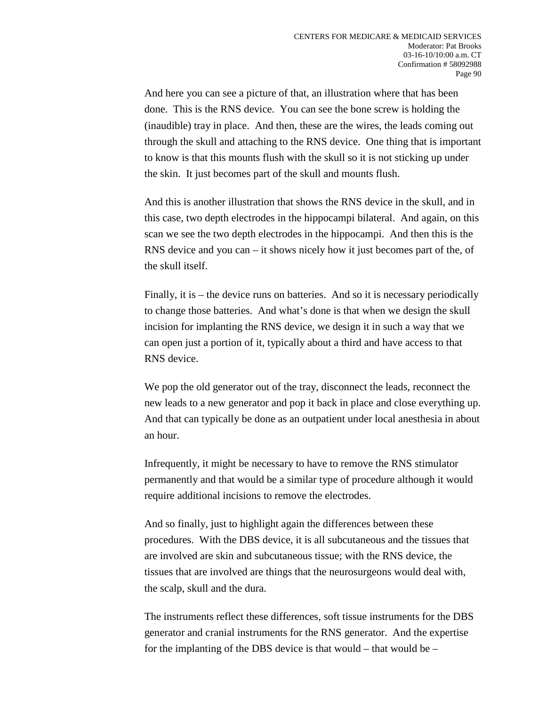And here you can see a picture of that, an illustration where that has been done. This is the RNS device. You can see the bone screw is holding the (inaudible) tray in place. And then, these are the wires, the leads coming out through the skull and attaching to the RNS device. One thing that is important to know is that this mounts flush with the skull so it is not sticking up under the skin. It just becomes part of the skull and mounts flush.

And this is another illustration that shows the RNS device in the skull, and in this case, two depth electrodes in the hippocampi bilateral. And again, on this scan we see the two depth electrodes in the hippocampi. And then this is the RNS device and you can – it shows nicely how it just becomes part of the, of the skull itself.

Finally, it is – the device runs on batteries. And so it is necessary periodically to change those batteries. And what's done is that when we design the skull incision for implanting the RNS device, we design it in such a way that we can open just a portion of it, typically about a third and have access to that RNS device.

We pop the old generator out of the tray, disconnect the leads, reconnect the new leads to a new generator and pop it back in place and close everything up. And that can typically be done as an outpatient under local anesthesia in about an hour.

Infrequently, it might be necessary to have to remove the RNS stimulator permanently and that would be a similar type of procedure although it would require additional incisions to remove the electrodes.

And so finally, just to highlight again the differences between these procedures. With the DBS device, it is all subcutaneous and the tissues that are involved are skin and subcutaneous tissue; with the RNS device, the tissues that are involved are things that the neurosurgeons would deal with, the scalp, skull and the dura.

The instruments reflect these differences, soft tissue instruments for the DBS generator and cranial instruments for the RNS generator. And the expertise for the implanting of the DBS device is that would – that would be –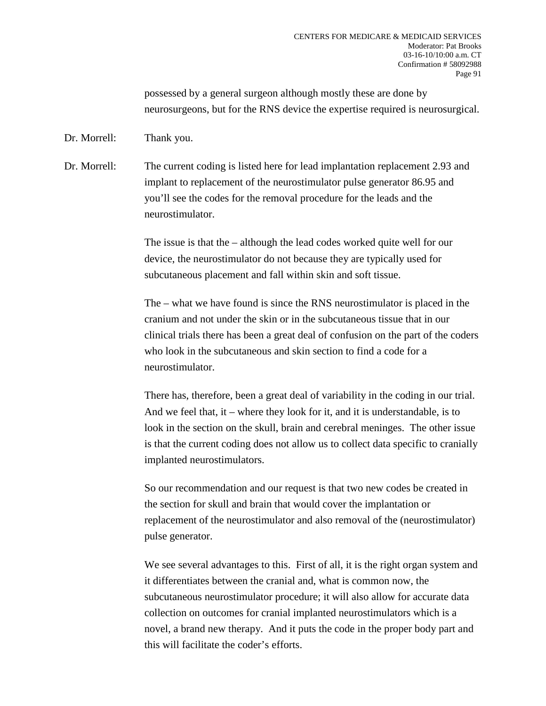possessed by a general surgeon although mostly these are done by neurosurgeons, but for the RNS device the expertise required is neurosurgical.

Dr. Morrell: Thank you.

Dr. Morrell: The current coding is listed here for lead implantation replacement 2.93 and implant to replacement of the neurostimulator pulse generator 86.95 and you'll see the codes for the removal procedure for the leads and the neurostimulator.

> The issue is that the – although the lead codes worked quite well for our device, the neurostimulator do not because they are typically used for subcutaneous placement and fall within skin and soft tissue.

The – what we have found is since the RNS neurostimulator is placed in the cranium and not under the skin or in the subcutaneous tissue that in our clinical trials there has been a great deal of confusion on the part of the coders who look in the subcutaneous and skin section to find a code for a neurostimulator.

There has, therefore, been a great deal of variability in the coding in our trial. And we feel that, it – where they look for it, and it is understandable, is to look in the section on the skull, brain and cerebral meninges. The other issue is that the current coding does not allow us to collect data specific to cranially implanted neurostimulators.

So our recommendation and our request is that two new codes be created in the section for skull and brain that would cover the implantation or replacement of the neurostimulator and also removal of the (neurostimulator) pulse generator.

We see several advantages to this. First of all, it is the right organ system and it differentiates between the cranial and, what is common now, the subcutaneous neurostimulator procedure; it will also allow for accurate data collection on outcomes for cranial implanted neurostimulators which is a novel, a brand new therapy. And it puts the code in the proper body part and this will facilitate the coder's efforts.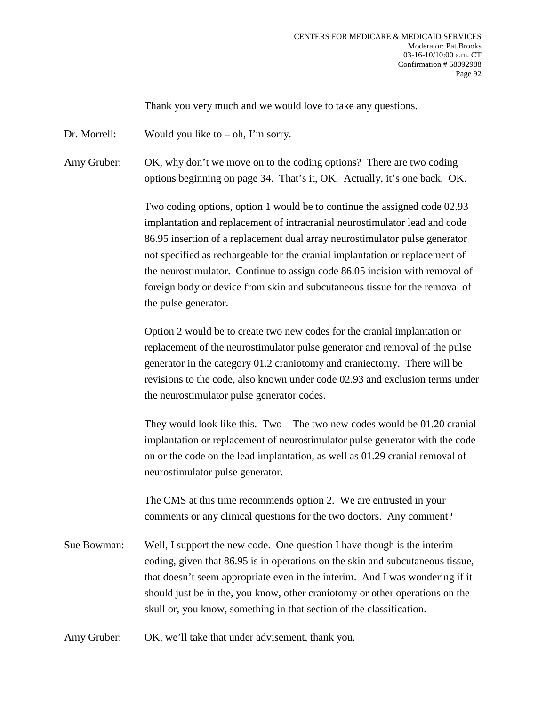Thank you very much and we would love to take any questions.

Dr. Morrell: Would you like to  $-$  oh, I'm sorry.

Amy Gruber: OK, why don't we move on to the coding options? There are two coding options beginning on page 34. That's it, OK. Actually, it's one back. OK.

> Two coding options, option 1 would be to continue the assigned code 02.93 implantation and replacement of intracranial neurostimulator lead and code 86.95 insertion of a replacement dual array neurostimulator pulse generator not specified as rechargeable for the cranial implantation or replacement of the neurostimulator. Continue to assign code 86.05 incision with removal of foreign body or device from skin and subcutaneous tissue for the removal of the pulse generator.

Option 2 would be to create two new codes for the cranial implantation or replacement of the neurostimulator pulse generator and removal of the pulse generator in the category 01.2 craniotomy and craniectomy. There will be revisions to the code, also known under code 02.93 and exclusion terms under the neurostimulator pulse generator codes.

They would look like this. Two – The two new codes would be 01.20 cranial implantation or replacement of neurostimulator pulse generator with the code on or the code on the lead implantation, as well as 01.29 cranial removal of neurostimulator pulse generator.

The CMS at this time recommends option 2. We are entrusted in your comments or any clinical questions for the two doctors. Any comment?

Sue Bowman: Well, I support the new code. One question I have though is the interim coding, given that 86.95 is in operations on the skin and subcutaneous tissue, that doesn't seem appropriate even in the interim. And I was wondering if it should just be in the, you know, other craniotomy or other operations on the skull or, you know, something in that section of the classification.

Amy Gruber: OK, we'll take that under advisement, thank you.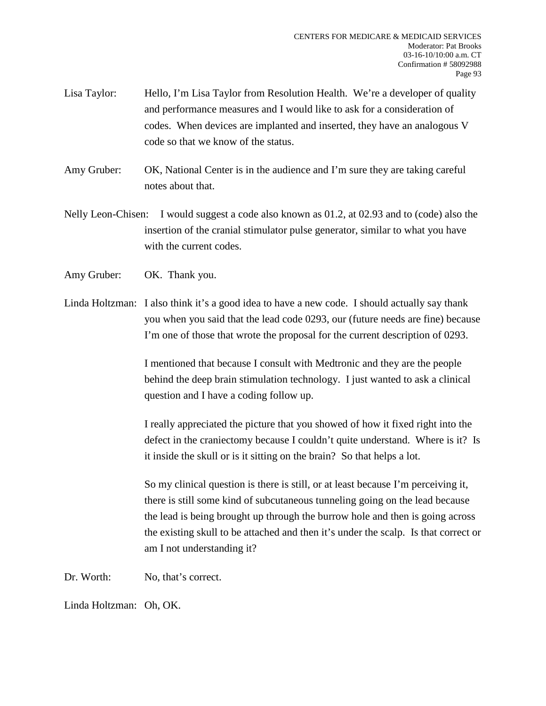- Lisa Taylor: Hello, I'm Lisa Taylor from Resolution Health. We're a developer of quality and performance measures and I would like to ask for a consideration of codes. When devices are implanted and inserted, they have an analogous V code so that we know of the status.
- Amy Gruber: OK, National Center is in the audience and I'm sure they are taking careful notes about that.
- Nelly Leon-Chisen: I would suggest a code also known as 01.2, at 02.93 and to (code) also the insertion of the cranial stimulator pulse generator, similar to what you have with the current codes.
- Amy Gruber: OK. Thank you.
- Linda Holtzman: I also think it's a good idea to have a new code. I should actually say thank you when you said that the lead code 0293, our (future needs are fine) because I'm one of those that wrote the proposal for the current description of 0293.

I mentioned that because I consult with Medtronic and they are the people behind the deep brain stimulation technology. I just wanted to ask a clinical question and I have a coding follow up.

I really appreciated the picture that you showed of how it fixed right into the defect in the craniectomy because I couldn't quite understand. Where is it? Is it inside the skull or is it sitting on the brain? So that helps a lot.

So my clinical question is there is still, or at least because I'm perceiving it, there is still some kind of subcutaneous tunneling going on the lead because the lead is being brought up through the burrow hole and then is going across the existing skull to be attached and then it's under the scalp. Is that correct or am I not understanding it?

Dr. Worth: No, that's correct.

Linda Holtzman: Oh, OK.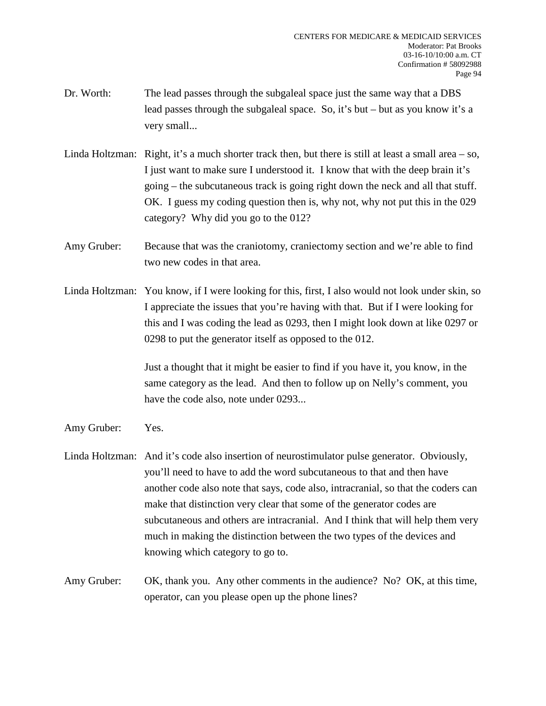- Dr. Worth: The lead passes through the subgaleal space just the same way that a DBS lead passes through the subgaleal space. So, it's but – but as you know it's a very small...
- Linda Holtzman: Right, it's a much shorter track then, but there is still at least a small area so, I just want to make sure I understood it. I know that with the deep brain it's going – the subcutaneous track is going right down the neck and all that stuff. OK. I guess my coding question then is, why not, why not put this in the 029 category? Why did you go to the 012?
- Amy Gruber: Because that was the craniotomy, craniectomy section and we're able to find two new codes in that area.
- Linda Holtzman: You know, if I were looking for this, first, I also would not look under skin, so I appreciate the issues that you're having with that. But if I were looking for this and I was coding the lead as 0293, then I might look down at like 0297 or 0298 to put the generator itself as opposed to the 012.

Just a thought that it might be easier to find if you have it, you know, in the same category as the lead. And then to follow up on Nelly's comment, you have the code also, note under 0293...

- Amy Gruber: Yes.
- Linda Holtzman: And it's code also insertion of neurostimulator pulse generator. Obviously, you'll need to have to add the word subcutaneous to that and then have another code also note that says, code also, intracranial, so that the coders can make that distinction very clear that some of the generator codes are subcutaneous and others are intracranial. And I think that will help them very much in making the distinction between the two types of the devices and knowing which category to go to.
- Amy Gruber: OK, thank you. Any other comments in the audience? No? OK, at this time, operator, can you please open up the phone lines?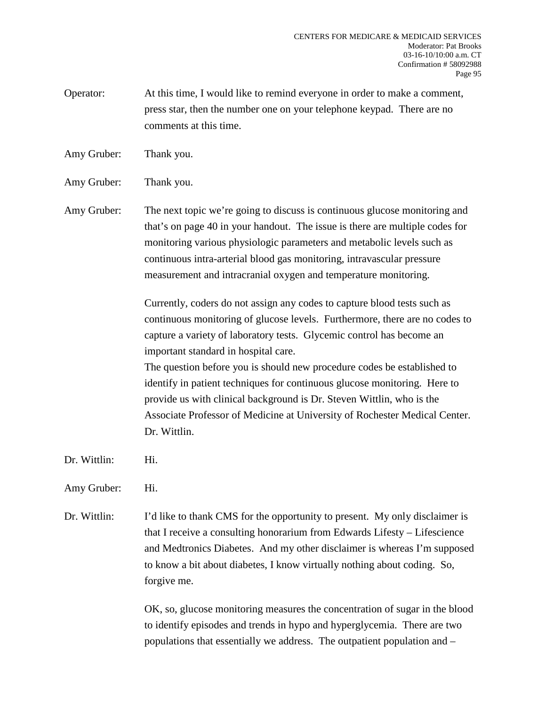Operator: At this time, I would like to remind everyone in order to make a comment, press star, then the number one on your telephone keypad. There are no comments at this time.

Amy Gruber: Thank you.

Amy Gruber: Thank you.

Amy Gruber: The next topic we're going to discuss is continuous glucose monitoring and that's on page 40 in your handout. The issue is there are multiple codes for monitoring various physiologic parameters and metabolic levels such as continuous intra-arterial blood gas monitoring, intravascular pressure measurement and intracranial oxygen and temperature monitoring.

> Currently, coders do not assign any codes to capture blood tests such as continuous monitoring of glucose levels. Furthermore, there are no codes to capture a variety of laboratory tests. Glycemic control has become an important standard in hospital care.

> The question before you is should new procedure codes be established to identify in patient techniques for continuous glucose monitoring. Here to provide us with clinical background is Dr. Steven Wittlin, who is the Associate Professor of Medicine at University of Rochester Medical Center. Dr. Wittlin.

Dr. Wittlin: Hi.

Amy Gruber: Hi.

Dr. Wittlin: I'd like to thank CMS for the opportunity to present. My only disclaimer is that I receive a consulting honorarium from Edwards Lifesty – Lifescience and Medtronics Diabetes. And my other disclaimer is whereas I'm supposed to know a bit about diabetes, I know virtually nothing about coding. So, forgive me.

> OK, so, glucose monitoring measures the concentration of sugar in the blood to identify episodes and trends in hypo and hyperglycemia. There are two populations that essentially we address. The outpatient population and –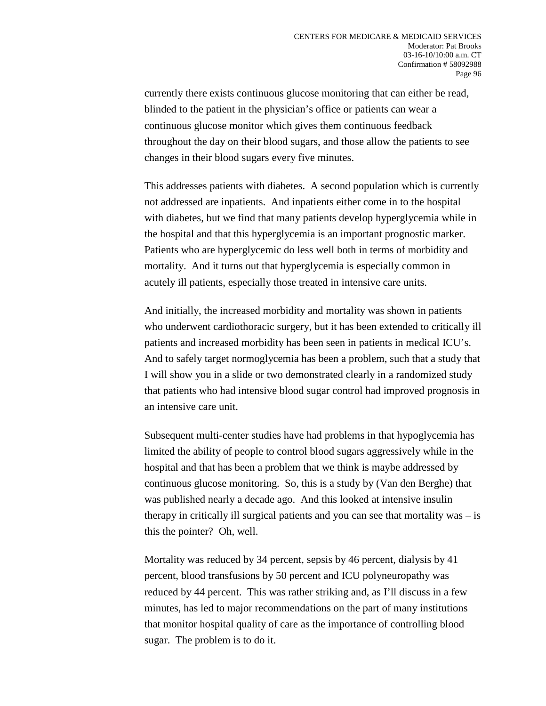currently there exists continuous glucose monitoring that can either be read, blinded to the patient in the physician's office or patients can wear a continuous glucose monitor which gives them continuous feedback throughout the day on their blood sugars, and those allow the patients to see changes in their blood sugars every five minutes.

This addresses patients with diabetes. A second population which is currently not addressed are inpatients. And inpatients either come in to the hospital with diabetes, but we find that many patients develop hyperglycemia while in the hospital and that this hyperglycemia is an important prognostic marker. Patients who are hyperglycemic do less well both in terms of morbidity and mortality. And it turns out that hyperglycemia is especially common in acutely ill patients, especially those treated in intensive care units.

And initially, the increased morbidity and mortality was shown in patients who underwent cardiothoracic surgery, but it has been extended to critically ill patients and increased morbidity has been seen in patients in medical ICU's. And to safely target normoglycemia has been a problem, such that a study that I will show you in a slide or two demonstrated clearly in a randomized study that patients who had intensive blood sugar control had improved prognosis in an intensive care unit.

Subsequent multi-center studies have had problems in that hypoglycemia has limited the ability of people to control blood sugars aggressively while in the hospital and that has been a problem that we think is maybe addressed by continuous glucose monitoring. So, this is a study by (Van den Berghe) that was published nearly a decade ago. And this looked at intensive insulin therapy in critically ill surgical patients and you can see that mortality was – is this the pointer? Oh, well.

Mortality was reduced by 34 percent, sepsis by 46 percent, dialysis by 41 percent, blood transfusions by 50 percent and ICU polyneuropathy was reduced by 44 percent. This was rather striking and, as I'll discuss in a few minutes, has led to major recommendations on the part of many institutions that monitor hospital quality of care as the importance of controlling blood sugar. The problem is to do it.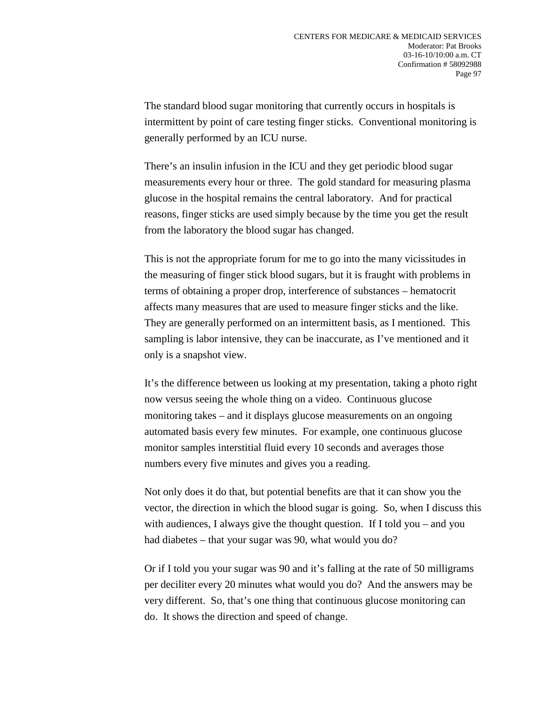The standard blood sugar monitoring that currently occurs in hospitals is intermittent by point of care testing finger sticks. Conventional monitoring is generally performed by an ICU nurse.

There's an insulin infusion in the ICU and they get periodic blood sugar measurements every hour or three. The gold standard for measuring plasma glucose in the hospital remains the central laboratory. And for practical reasons, finger sticks are used simply because by the time you get the result from the laboratory the blood sugar has changed.

This is not the appropriate forum for me to go into the many vicissitudes in the measuring of finger stick blood sugars, but it is fraught with problems in terms of obtaining a proper drop, interference of substances – hematocrit affects many measures that are used to measure finger sticks and the like. They are generally performed on an intermittent basis, as I mentioned. This sampling is labor intensive, they can be inaccurate, as I've mentioned and it only is a snapshot view.

It's the difference between us looking at my presentation, taking a photo right now versus seeing the whole thing on a video. Continuous glucose monitoring takes – and it displays glucose measurements on an ongoing automated basis every few minutes. For example, one continuous glucose monitor samples interstitial fluid every 10 seconds and averages those numbers every five minutes and gives you a reading.

Not only does it do that, but potential benefits are that it can show you the vector, the direction in which the blood sugar is going. So, when I discuss this with audiences, I always give the thought question. If I told you – and you had diabetes – that your sugar was 90, what would you do?

Or if I told you your sugar was 90 and it's falling at the rate of 50 milligrams per deciliter every 20 minutes what would you do? And the answers may be very different. So, that's one thing that continuous glucose monitoring can do. It shows the direction and speed of change.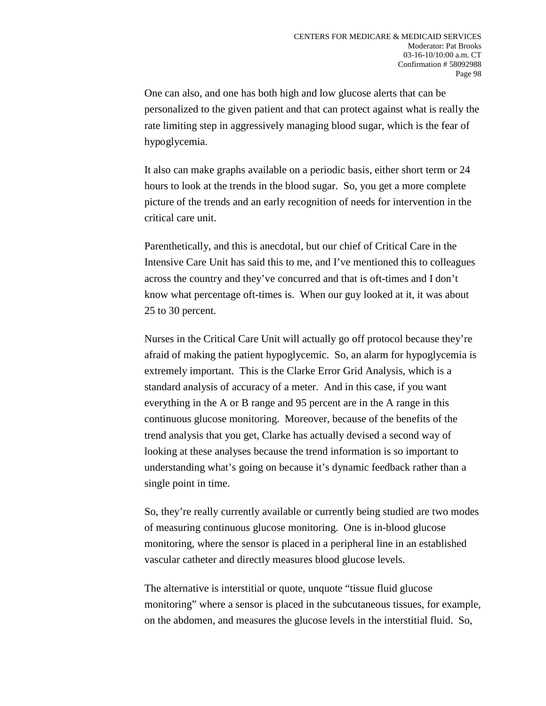One can also, and one has both high and low glucose alerts that can be personalized to the given patient and that can protect against what is really the rate limiting step in aggressively managing blood sugar, which is the fear of hypoglycemia.

It also can make graphs available on a periodic basis, either short term or 24 hours to look at the trends in the blood sugar. So, you get a more complete picture of the trends and an early recognition of needs for intervention in the critical care unit.

Parenthetically, and this is anecdotal, but our chief of Critical Care in the Intensive Care Unit has said this to me, and I've mentioned this to colleagues across the country and they've concurred and that is oft-times and I don't know what percentage oft-times is. When our guy looked at it, it was about 25 to 30 percent.

Nurses in the Critical Care Unit will actually go off protocol because they're afraid of making the patient hypoglycemic. So, an alarm for hypoglycemia is extremely important. This is the Clarke Error Grid Analysis, which is a standard analysis of accuracy of a meter. And in this case, if you want everything in the A or B range and 95 percent are in the A range in this continuous glucose monitoring. Moreover, because of the benefits of the trend analysis that you get, Clarke has actually devised a second way of looking at these analyses because the trend information is so important to understanding what's going on because it's dynamic feedback rather than a single point in time.

So, they're really currently available or currently being studied are two modes of measuring continuous glucose monitoring. One is in-blood glucose monitoring, where the sensor is placed in a peripheral line in an established vascular catheter and directly measures blood glucose levels.

The alternative is interstitial or quote, unquote "tissue fluid glucose monitoring" where a sensor is placed in the subcutaneous tissues, for example, on the abdomen, and measures the glucose levels in the interstitial fluid. So,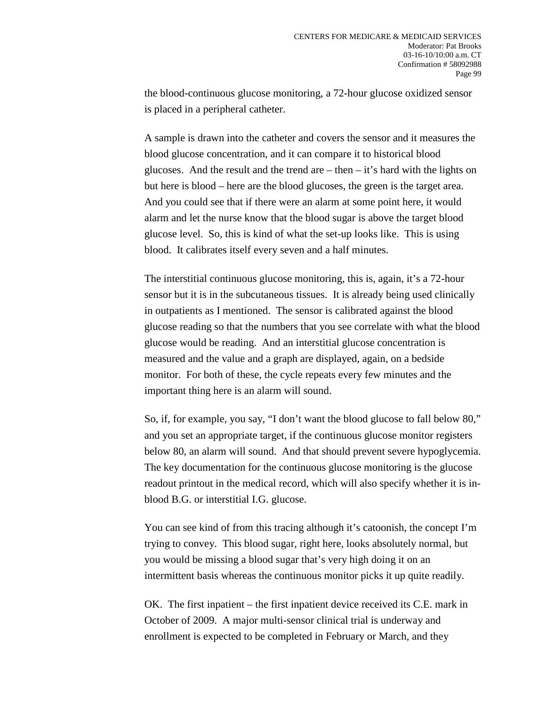the blood-continuous glucose monitoring, a 72-hour glucose oxidized sensor is placed in a peripheral catheter.

A sample is drawn into the catheter and covers the sensor and it measures the blood glucose concentration, and it can compare it to historical blood glucoses. And the result and the trend are  $-$  then  $-$  it's hard with the lights on but here is blood – here are the blood glucoses, the green is the target area. And you could see that if there were an alarm at some point here, it would alarm and let the nurse know that the blood sugar is above the target blood glucose level. So, this is kind of what the set-up looks like. This is using blood. It calibrates itself every seven and a half minutes.

The interstitial continuous glucose monitoring, this is, again, it's a 72-hour sensor but it is in the subcutaneous tissues. It is already being used clinically in outpatients as I mentioned. The sensor is calibrated against the blood glucose reading so that the numbers that you see correlate with what the blood glucose would be reading. And an interstitial glucose concentration is measured and the value and a graph are displayed, again, on a bedside monitor. For both of these, the cycle repeats every few minutes and the important thing here is an alarm will sound.

So, if, for example, you say, "I don't want the blood glucose to fall below 80," and you set an appropriate target, if the continuous glucose monitor registers below 80, an alarm will sound. And that should prevent severe hypoglycemia. The key documentation for the continuous glucose monitoring is the glucose readout printout in the medical record, which will also specify whether it is inblood B.G. or interstitial I.G. glucose.

You can see kind of from this tracing although it's catoonish, the concept I'm trying to convey. This blood sugar, right here, looks absolutely normal, but you would be missing a blood sugar that's very high doing it on an intermittent basis whereas the continuous monitor picks it up quite readily.

OK. The first inpatient – the first inpatient device received its C.E. mark in October of 2009. A major multi-sensor clinical trial is underway and enrollment is expected to be completed in February or March, and they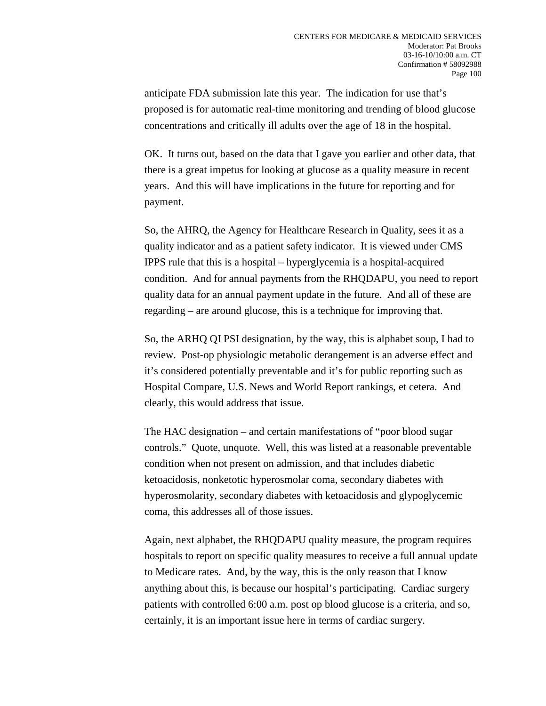anticipate FDA submission late this year. The indication for use that's proposed is for automatic real-time monitoring and trending of blood glucose concentrations and critically ill adults over the age of 18 in the hospital.

OK. It turns out, based on the data that I gave you earlier and other data, that there is a great impetus for looking at glucose as a quality measure in recent years. And this will have implications in the future for reporting and for payment.

So, the AHRQ, the Agency for Healthcare Research in Quality, sees it as a quality indicator and as a patient safety indicator. It is viewed under CMS IPPS rule that this is a hospital – hyperglycemia is a hospital-acquired condition. And for annual payments from the RHQDAPU, you need to report quality data for an annual payment update in the future. And all of these are regarding – are around glucose, this is a technique for improving that.

So, the ARHQ QI PSI designation, by the way, this is alphabet soup, I had to review. Post-op physiologic metabolic derangement is an adverse effect and it's considered potentially preventable and it's for public reporting such as Hospital Compare, U.S. News and World Report rankings, et cetera. And clearly, this would address that issue.

The HAC designation – and certain manifestations of "poor blood sugar controls." Quote, unquote. Well, this was listed at a reasonable preventable condition when not present on admission, and that includes diabetic ketoacidosis, nonketotic hyperosmolar coma, secondary diabetes with hyperosmolarity, secondary diabetes with ketoacidosis and glypoglycemic coma, this addresses all of those issues.

Again, next alphabet, the RHQDAPU quality measure, the program requires hospitals to report on specific quality measures to receive a full annual update to Medicare rates. And, by the way, this is the only reason that I know anything about this, is because our hospital's participating. Cardiac surgery patients with controlled 6:00 a.m. post op blood glucose is a criteria, and so, certainly, it is an important issue here in terms of cardiac surgery.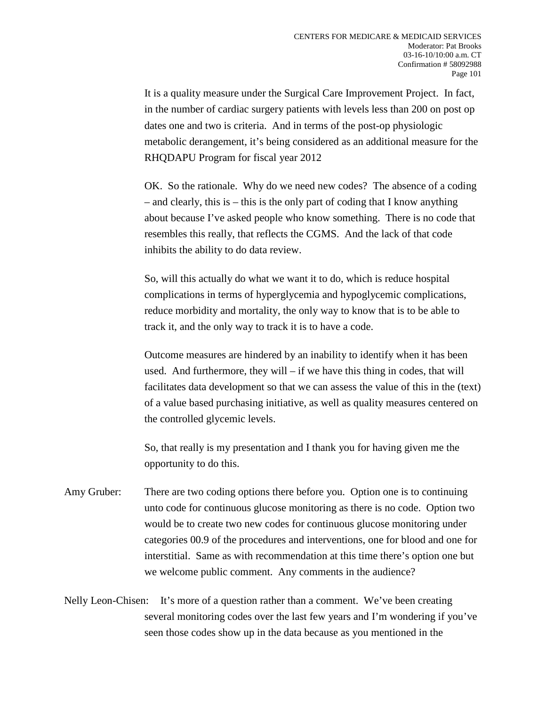It is a quality measure under the Surgical Care Improvement Project. In fact, in the number of cardiac surgery patients with levels less than 200 on post op dates one and two is criteria. And in terms of the post-op physiologic metabolic derangement, it's being considered as an additional measure for the RHQDAPU Program for fiscal year 2012

OK. So the rationale. Why do we need new codes? The absence of a coding – and clearly, this is – this is the only part of coding that I know anything about because I've asked people who know something. There is no code that resembles this really, that reflects the CGMS. And the lack of that code inhibits the ability to do data review.

So, will this actually do what we want it to do, which is reduce hospital complications in terms of hyperglycemia and hypoglycemic complications, reduce morbidity and mortality, the only way to know that is to be able to track it, and the only way to track it is to have a code.

Outcome measures are hindered by an inability to identify when it has been used. And furthermore, they will – if we have this thing in codes, that will facilitates data development so that we can assess the value of this in the (text) of a value based purchasing initiative, as well as quality measures centered on the controlled glycemic levels.

So, that really is my presentation and I thank you for having given me the opportunity to do this.

Amy Gruber: There are two coding options there before you. Option one is to continuing unto code for continuous glucose monitoring as there is no code. Option two would be to create two new codes for continuous glucose monitoring under categories 00.9 of the procedures and interventions, one for blood and one for interstitial. Same as with recommendation at this time there's option one but we welcome public comment. Any comments in the audience?

Nelly Leon-Chisen: It's more of a question rather than a comment. We've been creating several monitoring codes over the last few years and I'm wondering if you've seen those codes show up in the data because as you mentioned in the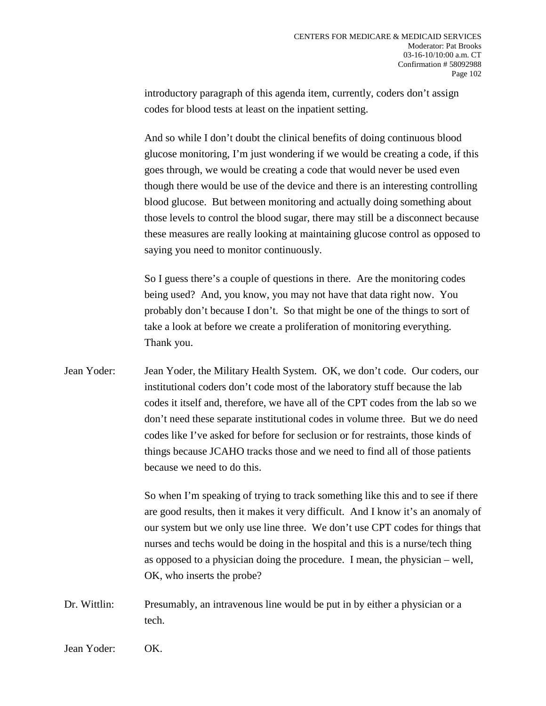introductory paragraph of this agenda item, currently, coders don't assign codes for blood tests at least on the inpatient setting.

And so while I don't doubt the clinical benefits of doing continuous blood glucose monitoring, I'm just wondering if we would be creating a code, if this goes through, we would be creating a code that would never be used even though there would be use of the device and there is an interesting controlling blood glucose. But between monitoring and actually doing something about those levels to control the blood sugar, there may still be a disconnect because these measures are really looking at maintaining glucose control as opposed to saying you need to monitor continuously.

So I guess there's a couple of questions in there. Are the monitoring codes being used? And, you know, you may not have that data right now. You probably don't because I don't. So that might be one of the things to sort of take a look at before we create a proliferation of monitoring everything. Thank you.

Jean Yoder: Jean Yoder, the Military Health System. OK, we don't code. Our coders, our institutional coders don't code most of the laboratory stuff because the lab codes it itself and, therefore, we have all of the CPT codes from the lab so we don't need these separate institutional codes in volume three. But we do need codes like I've asked for before for seclusion or for restraints, those kinds of things because JCAHO tracks those and we need to find all of those patients because we need to do this.

> So when I'm speaking of trying to track something like this and to see if there are good results, then it makes it very difficult. And I know it's an anomaly of our system but we only use line three. We don't use CPT codes for things that nurses and techs would be doing in the hospital and this is a nurse/tech thing as opposed to a physician doing the procedure. I mean, the physician – well, OK, who inserts the probe?

Dr. Wittlin: Presumably, an intravenous line would be put in by either a physician or a tech.

Jean Yoder: OK.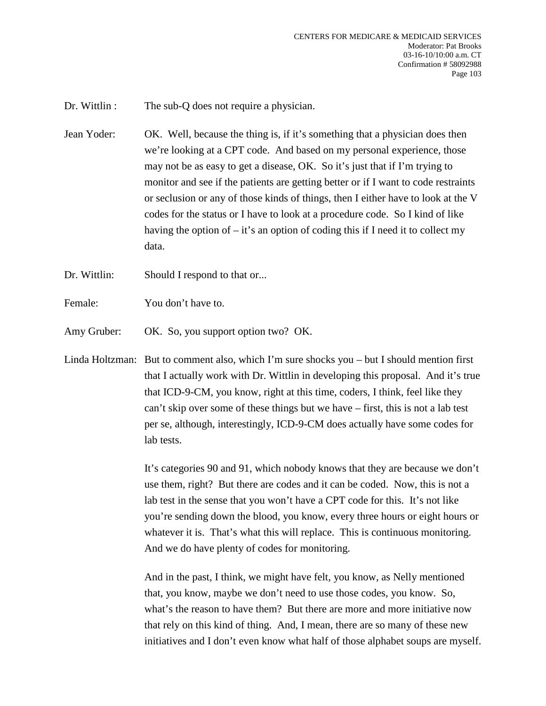Dr. Wittlin : The sub-Q does not require a physician.

- Jean Yoder: OK. Well, because the thing is, if it's something that a physician does then we're looking at a CPT code. And based on my personal experience, those may not be as easy to get a disease, OK. So it's just that if I'm trying to monitor and see if the patients are getting better or if I want to code restraints or seclusion or any of those kinds of things, then I either have to look at the V codes for the status or I have to look at a procedure code. So I kind of like having the option of – it's an option of coding this if I need it to collect my data.
- Dr. Wittlin: Should I respond to that or...
- Female: You don't have to.
- Amy Gruber: OK. So, you support option two? OK.
- Linda Holtzman: But to comment also, which I'm sure shocks you but I should mention first that I actually work with Dr. Wittlin in developing this proposal. And it's true that ICD-9-CM, you know, right at this time, coders, I think, feel like they can't skip over some of these things but we have – first, this is not a lab test per se, although, interestingly, ICD-9-CM does actually have some codes for lab tests.

It's categories 90 and 91, which nobody knows that they are because we don't use them, right? But there are codes and it can be coded. Now, this is not a lab test in the sense that you won't have a CPT code for this. It's not like you're sending down the blood, you know, every three hours or eight hours or whatever it is. That's what this will replace. This is continuous monitoring. And we do have plenty of codes for monitoring.

And in the past, I think, we might have felt, you know, as Nelly mentioned that, you know, maybe we don't need to use those codes, you know. So, what's the reason to have them? But there are more and more initiative now that rely on this kind of thing. And, I mean, there are so many of these new initiatives and I don't even know what half of those alphabet soups are myself.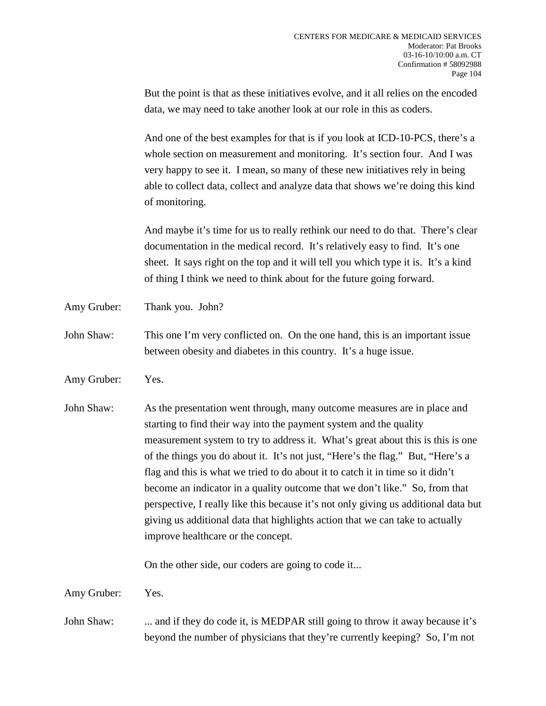But the point is that as these initiatives evolve, and it all relies on the encoded data, we may need to take another look at our role in this as coders.

And one of the best examples for that is if you look at ICD-10-PCS, there's a whole section on measurement and monitoring. It's section four. And I was very happy to see it. I mean, so many of these new initiatives rely in being able to collect data, collect and analyze data that shows we're doing this kind of monitoring.

And maybe it's time for us to really rethink our need to do that. There's clear documentation in the medical record. It's relatively easy to find. It's one sheet. It says right on the top and it will tell you which type it is. It's a kind of thing I think we need to think about for the future going forward.

- Amy Gruber: Thank you. John?
- John Shaw: This one I'm very conflicted on. On the one hand, this is an important issue between obesity and diabetes in this country. It's a huge issue.
- Amy Gruber: Yes.
- John Shaw: As the presentation went through, many outcome measures are in place and starting to find their way into the payment system and the quality measurement system to try to address it. What's great about this is this is one of the things you do about it. It's not just, "Here's the flag." But, "Here's a flag and this is what we tried to do about it to catch it in time so it didn't become an indicator in a quality outcome that we don't like." So, from that perspective, I really like this because it's not only giving us additional data but giving us additional data that highlights action that we can take to actually improve healthcare or the concept.

On the other side, our coders are going to code it...

Amy Gruber: Yes.

John Shaw: ... and if they do code it, is MEDPAR still going to throw it away because it's beyond the number of physicians that they're currently keeping? So, I'm not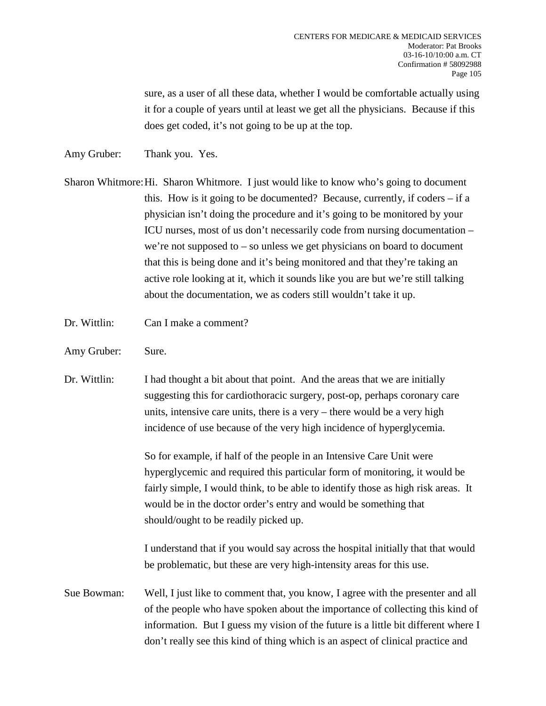sure, as a user of all these data, whether I would be comfortable actually using it for a couple of years until at least we get all the physicians. Because if this does get coded, it's not going to be up at the top.

- Amy Gruber: Thank you. Yes.
- Sharon Whitmore:Hi. Sharon Whitmore. I just would like to know who's going to document this. How is it going to be documented? Because, currently, if coders – if a physician isn't doing the procedure and it's going to be monitored by your ICU nurses, most of us don't necessarily code from nursing documentation – we're not supposed to – so unless we get physicians on board to document that this is being done and it's being monitored and that they're taking an active role looking at it, which it sounds like you are but we're still talking about the documentation, we as coders still wouldn't take it up.
- Dr. Wittlin: Can I make a comment?
- Amy Gruber: Sure.
- Dr. Wittlin: I had thought a bit about that point. And the areas that we are initially suggesting this for cardiothoracic surgery, post-op, perhaps coronary care units, intensive care units, there is a very – there would be a very high incidence of use because of the very high incidence of hyperglycemia.

So for example, if half of the people in an Intensive Care Unit were hyperglycemic and required this particular form of monitoring, it would be fairly simple, I would think, to be able to identify those as high risk areas. It would be in the doctor order's entry and would be something that should/ought to be readily picked up.

I understand that if you would say across the hospital initially that that would be problematic, but these are very high-intensity areas for this use.

Sue Bowman: Well, I just like to comment that, you know, I agree with the presenter and all of the people who have spoken about the importance of collecting this kind of information. But I guess my vision of the future is a little bit different where I don't really see this kind of thing which is an aspect of clinical practice and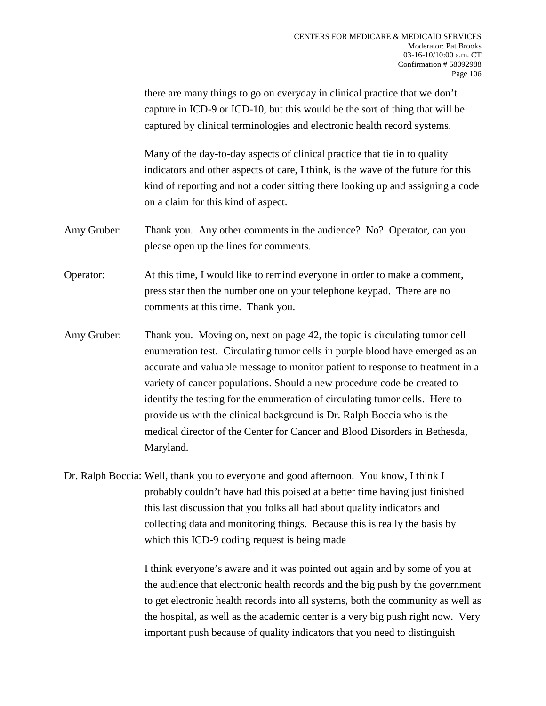there are many things to go on everyday in clinical practice that we don't capture in ICD-9 or ICD-10, but this would be the sort of thing that will be captured by clinical terminologies and electronic health record systems.

Many of the day-to-day aspects of clinical practice that tie in to quality indicators and other aspects of care, I think, is the wave of the future for this kind of reporting and not a coder sitting there looking up and assigning a code on a claim for this kind of aspect.

- Amy Gruber: Thank you. Any other comments in the audience? No? Operator, can you please open up the lines for comments.
- Operator: At this time, I would like to remind everyone in order to make a comment, press star then the number one on your telephone keypad. There are no comments at this time. Thank you.
- Amy Gruber: Thank you. Moving on, next on page 42, the topic is circulating tumor cell enumeration test. Circulating tumor cells in purple blood have emerged as an accurate and valuable message to monitor patient to response to treatment in a variety of cancer populations. Should a new procedure code be created to identify the testing for the enumeration of circulating tumor cells. Here to provide us with the clinical background is Dr. Ralph Boccia who is the medical director of the Center for Cancer and Blood Disorders in Bethesda, Maryland.

Dr. Ralph Boccia: Well, thank you to everyone and good afternoon. You know, I think I probably couldn't have had this poised at a better time having just finished this last discussion that you folks all had about quality indicators and collecting data and monitoring things. Because this is really the basis by which this ICD-9 coding request is being made

> I think everyone's aware and it was pointed out again and by some of you at the audience that electronic health records and the big push by the government to get electronic health records into all systems, both the community as well as the hospital, as well as the academic center is a very big push right now. Very important push because of quality indicators that you need to distinguish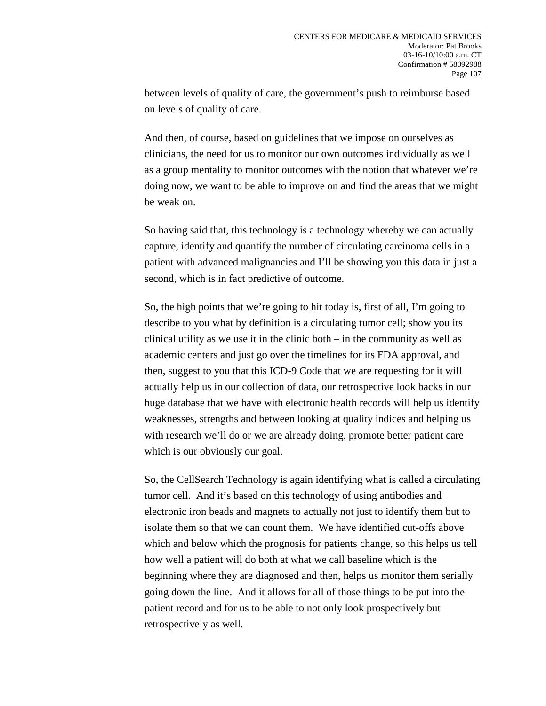between levels of quality of care, the government's push to reimburse based on levels of quality of care.

And then, of course, based on guidelines that we impose on ourselves as clinicians, the need for us to monitor our own outcomes individually as well as a group mentality to monitor outcomes with the notion that whatever we're doing now, we want to be able to improve on and find the areas that we might be weak on.

So having said that, this technology is a technology whereby we can actually capture, identify and quantify the number of circulating carcinoma cells in a patient with advanced malignancies and I'll be showing you this data in just a second, which is in fact predictive of outcome.

So, the high points that we're going to hit today is, first of all, I'm going to describe to you what by definition is a circulating tumor cell; show you its clinical utility as we use it in the clinic both – in the community as well as academic centers and just go over the timelines for its FDA approval, and then, suggest to you that this ICD-9 Code that we are requesting for it will actually help us in our collection of data, our retrospective look backs in our huge database that we have with electronic health records will help us identify weaknesses, strengths and between looking at quality indices and helping us with research we'll do or we are already doing, promote better patient care which is our obviously our goal.

So, the CellSearch Technology is again identifying what is called a circulating tumor cell. And it's based on this technology of using antibodies and electronic iron beads and magnets to actually not just to identify them but to isolate them so that we can count them. We have identified cut-offs above which and below which the prognosis for patients change, so this helps us tell how well a patient will do both at what we call baseline which is the beginning where they are diagnosed and then, helps us monitor them serially going down the line. And it allows for all of those things to be put into the patient record and for us to be able to not only look prospectively but retrospectively as well.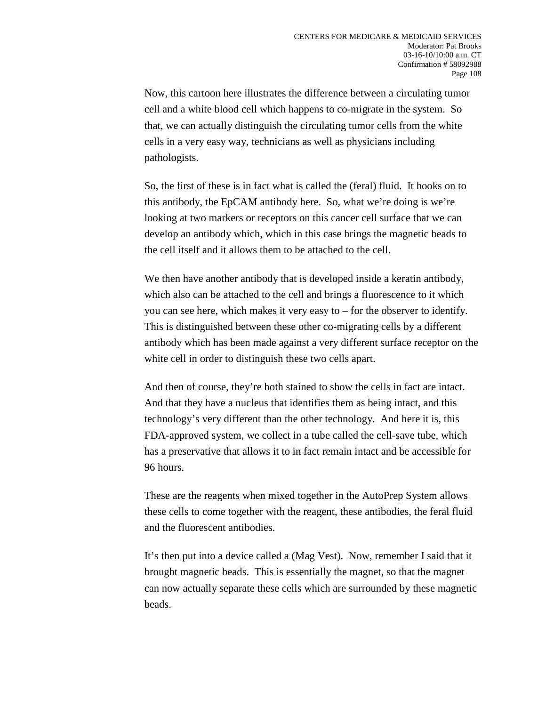Now, this cartoon here illustrates the difference between a circulating tumor cell and a white blood cell which happens to co-migrate in the system. So that, we can actually distinguish the circulating tumor cells from the white cells in a very easy way, technicians as well as physicians including pathologists.

So, the first of these is in fact what is called the (feral) fluid. It hooks on to this antibody, the EpCAM antibody here. So, what we're doing is we're looking at two markers or receptors on this cancer cell surface that we can develop an antibody which, which in this case brings the magnetic beads to the cell itself and it allows them to be attached to the cell.

We then have another antibody that is developed inside a keratin antibody, which also can be attached to the cell and brings a fluorescence to it which you can see here, which makes it very easy to – for the observer to identify. This is distinguished between these other co-migrating cells by a different antibody which has been made against a very different surface receptor on the white cell in order to distinguish these two cells apart.

And then of course, they're both stained to show the cells in fact are intact. And that they have a nucleus that identifies them as being intact, and this technology's very different than the other technology. And here it is, this FDA-approved system, we collect in a tube called the cell-save tube, which has a preservative that allows it to in fact remain intact and be accessible for 96 hours.

These are the reagents when mixed together in the AutoPrep System allows these cells to come together with the reagent, these antibodies, the feral fluid and the fluorescent antibodies.

It's then put into a device called a (Mag Vest). Now, remember I said that it brought magnetic beads. This is essentially the magnet, so that the magnet can now actually separate these cells which are surrounded by these magnetic beads.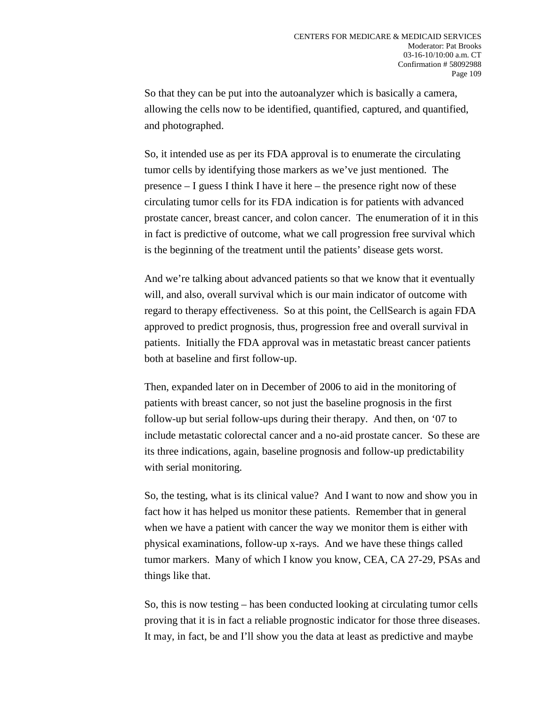So that they can be put into the autoanalyzer which is basically a camera, allowing the cells now to be identified, quantified, captured, and quantified, and photographed.

So, it intended use as per its FDA approval is to enumerate the circulating tumor cells by identifying those markers as we've just mentioned. The presence – I guess I think I have it here – the presence right now of these circulating tumor cells for its FDA indication is for patients with advanced prostate cancer, breast cancer, and colon cancer. The enumeration of it in this in fact is predictive of outcome, what we call progression free survival which is the beginning of the treatment until the patients' disease gets worst.

And we're talking about advanced patients so that we know that it eventually will, and also, overall survival which is our main indicator of outcome with regard to therapy effectiveness. So at this point, the CellSearch is again FDA approved to predict prognosis, thus, progression free and overall survival in patients. Initially the FDA approval was in metastatic breast cancer patients both at baseline and first follow-up.

Then, expanded later on in December of 2006 to aid in the monitoring of patients with breast cancer, so not just the baseline prognosis in the first follow-up but serial follow-ups during their therapy. And then, on '07 to include metastatic colorectal cancer and a no-aid prostate cancer. So these are its three indications, again, baseline prognosis and follow-up predictability with serial monitoring.

So, the testing, what is its clinical value? And I want to now and show you in fact how it has helped us monitor these patients. Remember that in general when we have a patient with cancer the way we monitor them is either with physical examinations, follow-up x-rays. And we have these things called tumor markers. Many of which I know you know, CEA, CA 27-29, PSAs and things like that.

So, this is now testing – has been conducted looking at circulating tumor cells proving that it is in fact a reliable prognostic indicator for those three diseases. It may, in fact, be and I'll show you the data at least as predictive and maybe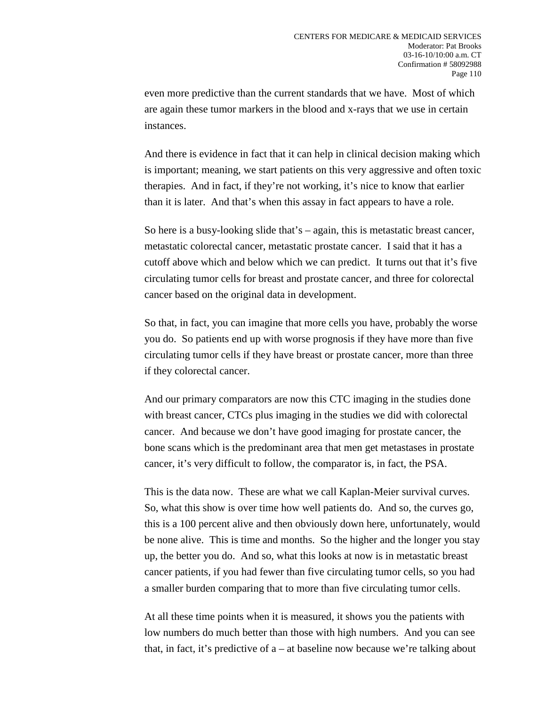even more predictive than the current standards that we have. Most of which are again these tumor markers in the blood and x-rays that we use in certain instances.

And there is evidence in fact that it can help in clinical decision making which is important; meaning, we start patients on this very aggressive and often toxic therapies. And in fact, if they're not working, it's nice to know that earlier than it is later. And that's when this assay in fact appears to have a role.

So here is a busy-looking slide that's – again, this is metastatic breast cancer, metastatic colorectal cancer, metastatic prostate cancer. I said that it has a cutoff above which and below which we can predict. It turns out that it's five circulating tumor cells for breast and prostate cancer, and three for colorectal cancer based on the original data in development.

So that, in fact, you can imagine that more cells you have, probably the worse you do. So patients end up with worse prognosis if they have more than five circulating tumor cells if they have breast or prostate cancer, more than three if they colorectal cancer.

And our primary comparators are now this CTC imaging in the studies done with breast cancer, CTCs plus imaging in the studies we did with colorectal cancer. And because we don't have good imaging for prostate cancer, the bone scans which is the predominant area that men get metastases in prostate cancer, it's very difficult to follow, the comparator is, in fact, the PSA.

This is the data now. These are what we call Kaplan-Meier survival curves. So, what this show is over time how well patients do. And so, the curves go, this is a 100 percent alive and then obviously down here, unfortunately, would be none alive. This is time and months. So the higher and the longer you stay up, the better you do. And so, what this looks at now is in metastatic breast cancer patients, if you had fewer than five circulating tumor cells, so you had a smaller burden comparing that to more than five circulating tumor cells.

At all these time points when it is measured, it shows you the patients with low numbers do much better than those with high numbers. And you can see that, in fact, it's predictive of a – at baseline now because we're talking about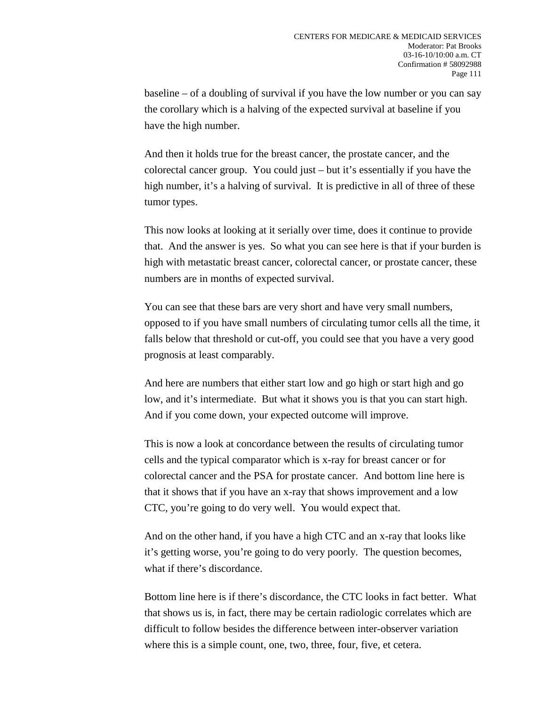baseline – of a doubling of survival if you have the low number or you can say the corollary which is a halving of the expected survival at baseline if you have the high number.

And then it holds true for the breast cancer, the prostate cancer, and the colorectal cancer group. You could just – but it's essentially if you have the high number, it's a halving of survival. It is predictive in all of three of these tumor types.

This now looks at looking at it serially over time, does it continue to provide that. And the answer is yes. So what you can see here is that if your burden is high with metastatic breast cancer, colorectal cancer, or prostate cancer, these numbers are in months of expected survival.

You can see that these bars are very short and have very small numbers, opposed to if you have small numbers of circulating tumor cells all the time, it falls below that threshold or cut-off, you could see that you have a very good prognosis at least comparably.

And here are numbers that either start low and go high or start high and go low, and it's intermediate. But what it shows you is that you can start high. And if you come down, your expected outcome will improve.

This is now a look at concordance between the results of circulating tumor cells and the typical comparator which is x-ray for breast cancer or for colorectal cancer and the PSA for prostate cancer. And bottom line here is that it shows that if you have an x-ray that shows improvement and a low CTC, you're going to do very well. You would expect that.

And on the other hand, if you have a high CTC and an x-ray that looks like it's getting worse, you're going to do very poorly. The question becomes, what if there's discordance.

Bottom line here is if there's discordance, the CTC looks in fact better. What that shows us is, in fact, there may be certain radiologic correlates which are difficult to follow besides the difference between inter-observer variation where this is a simple count, one, two, three, four, five, et cetera.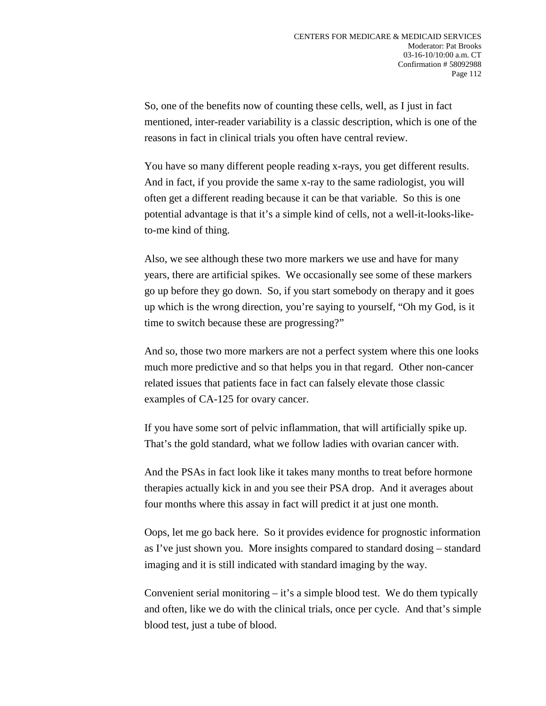So, one of the benefits now of counting these cells, well, as I just in fact mentioned, inter-reader variability is a classic description, which is one of the reasons in fact in clinical trials you often have central review.

You have so many different people reading x-rays, you get different results. And in fact, if you provide the same x-ray to the same radiologist, you will often get a different reading because it can be that variable. So this is one potential advantage is that it's a simple kind of cells, not a well-it-looks-liketo-me kind of thing.

Also, we see although these two more markers we use and have for many years, there are artificial spikes. We occasionally see some of these markers go up before they go down. So, if you start somebody on therapy and it goes up which is the wrong direction, you're saying to yourself, "Oh my God, is it time to switch because these are progressing?"

And so, those two more markers are not a perfect system where this one looks much more predictive and so that helps you in that regard. Other non-cancer related issues that patients face in fact can falsely elevate those classic examples of CA-125 for ovary cancer.

If you have some sort of pelvic inflammation, that will artificially spike up. That's the gold standard, what we follow ladies with ovarian cancer with.

And the PSAs in fact look like it takes many months to treat before hormone therapies actually kick in and you see their PSA drop. And it averages about four months where this assay in fact will predict it at just one month.

Oops, let me go back here. So it provides evidence for prognostic information as I've just shown you. More insights compared to standard dosing – standard imaging and it is still indicated with standard imaging by the way.

Convenient serial monitoring  $-$  it's a simple blood test. We do them typically and often, like we do with the clinical trials, once per cycle. And that's simple blood test, just a tube of blood.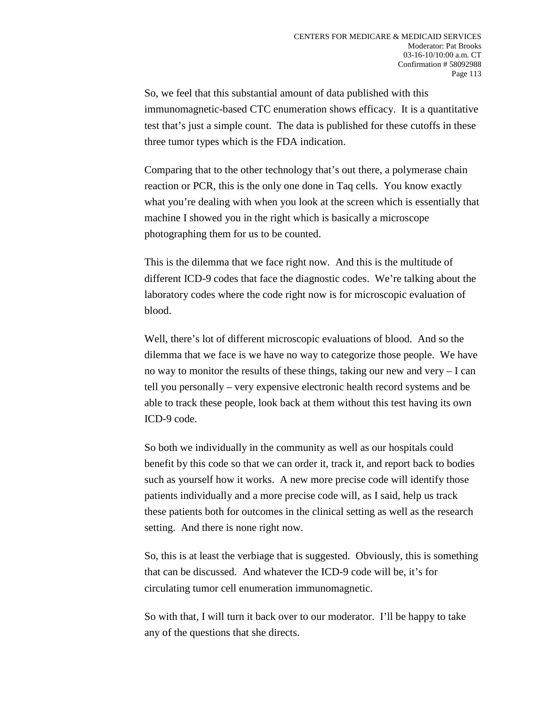So, we feel that this substantial amount of data published with this immunomagnetic-based CTC enumeration shows efficacy. It is a quantitative test that's just a simple count. The data is published for these cutoffs in these three tumor types which is the FDA indication.

Comparing that to the other technology that's out there, a polymerase chain reaction or PCR, this is the only one done in Taq cells. You know exactly what you're dealing with when you look at the screen which is essentially that machine I showed you in the right which is basically a microscope photographing them for us to be counted.

This is the dilemma that we face right now. And this is the multitude of different ICD-9 codes that face the diagnostic codes. We're talking about the laboratory codes where the code right now is for microscopic evaluation of blood.

Well, there's lot of different microscopic evaluations of blood. And so the dilemma that we face is we have no way to categorize those people. We have no way to monitor the results of these things, taking our new and very – I can tell you personally – very expensive electronic health record systems and be able to track these people, look back at them without this test having its own ICD-9 code.

So both we individually in the community as well as our hospitals could benefit by this code so that we can order it, track it, and report back to bodies such as yourself how it works. A new more precise code will identify those patients individually and a more precise code will, as I said, help us track these patients both for outcomes in the clinical setting as well as the research setting. And there is none right now.

So, this is at least the verbiage that is suggested. Obviously, this is something that can be discussed. And whatever the ICD-9 code will be, it's for circulating tumor cell enumeration immunomagnetic.

So with that, I will turn it back over to our moderator. I'll be happy to take any of the questions that she directs.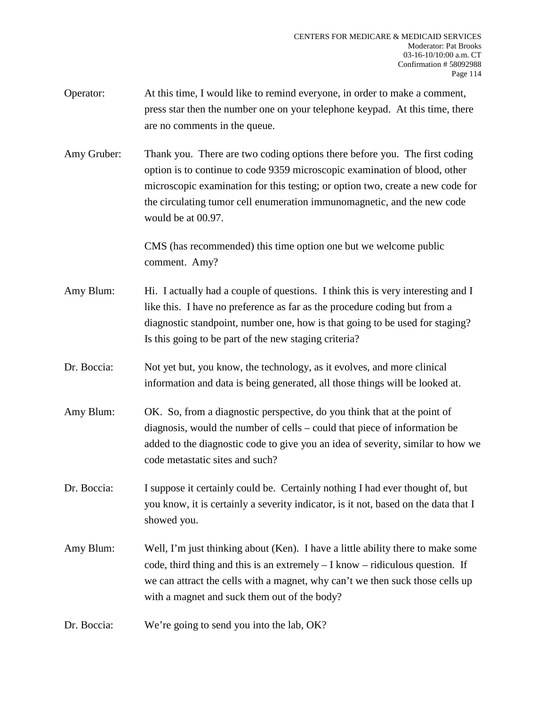- Operator: At this time, I would like to remind everyone, in order to make a comment, press star then the number one on your telephone keypad. At this time, there are no comments in the queue.
- Amy Gruber: Thank you. There are two coding options there before you. The first coding option is to continue to code 9359 microscopic examination of blood, other microscopic examination for this testing; or option two, create a new code for the circulating tumor cell enumeration immunomagnetic, and the new code would be at 00.97.

CMS (has recommended) this time option one but we welcome public comment. Amy?

- Amy Blum: Hi. I actually had a couple of questions. I think this is very interesting and I like this. I have no preference as far as the procedure coding but from a diagnostic standpoint, number one, how is that going to be used for staging? Is this going to be part of the new staging criteria?
- Dr. Boccia: Not yet but, you know, the technology, as it evolves, and more clinical information and data is being generated, all those things will be looked at.
- Amy Blum: OK. So, from a diagnostic perspective, do you think that at the point of diagnosis, would the number of cells – could that piece of information be added to the diagnostic code to give you an idea of severity, similar to how we code metastatic sites and such?
- Dr. Boccia: I suppose it certainly could be. Certainly nothing I had ever thought of, but you know, it is certainly a severity indicator, is it not, based on the data that I showed you.
- Amy Blum: Well, I'm just thinking about (Ken). I have a little ability there to make some code, third thing and this is an extremely – I know – ridiculous question. If we can attract the cells with a magnet, why can't we then suck those cells up with a magnet and suck them out of the body?
- Dr. Boccia: We're going to send you into the lab, OK?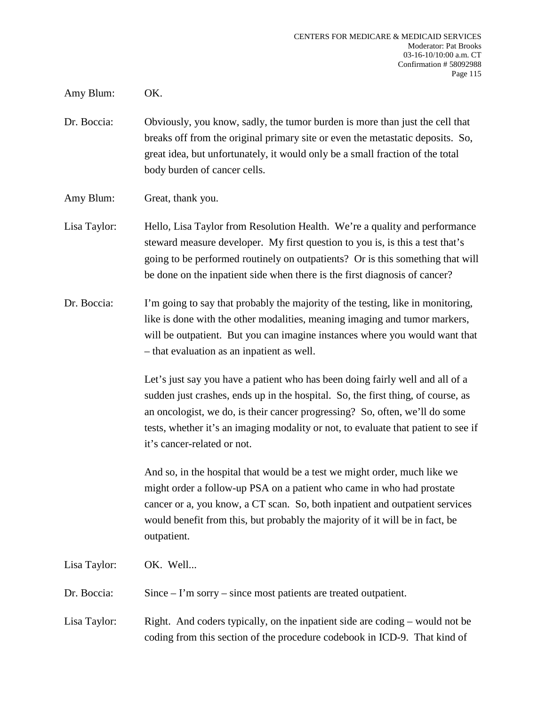Amy Blum: OK.

- Dr. Boccia: Obviously, you know, sadly, the tumor burden is more than just the cell that breaks off from the original primary site or even the metastatic deposits. So, great idea, but unfortunately, it would only be a small fraction of the total body burden of cancer cells.
- Amy Blum: Great, thank you.
- Lisa Taylor: Hello, Lisa Taylor from Resolution Health. We're a quality and performance steward measure developer. My first question to you is, is this a test that's going to be performed routinely on outpatients? Or is this something that will be done on the inpatient side when there is the first diagnosis of cancer?
- Dr. Boccia: I'm going to say that probably the majority of the testing, like in monitoring, like is done with the other modalities, meaning imaging and tumor markers, will be outpatient. But you can imagine instances where you would want that – that evaluation as an inpatient as well.

Let's just say you have a patient who has been doing fairly well and all of a sudden just crashes, ends up in the hospital. So, the first thing, of course, as an oncologist, we do, is their cancer progressing? So, often, we'll do some tests, whether it's an imaging modality or not, to evaluate that patient to see if it's cancer-related or not.

And so, in the hospital that would be a test we might order, much like we might order a follow-up PSA on a patient who came in who had prostate cancer or a, you know, a CT scan. So, both inpatient and outpatient services would benefit from this, but probably the majority of it will be in fact, be outpatient.

Lisa Taylor: OK. Well...

Dr. Boccia: Since – I'm sorry – since most patients are treated outpatient.

Lisa Taylor: Right. And coders typically, on the inpatient side are coding – would not be coding from this section of the procedure codebook in ICD-9. That kind of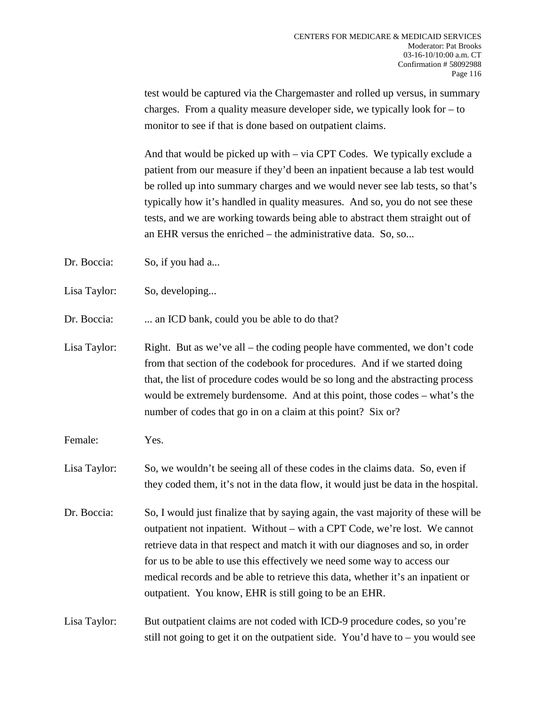test would be captured via the Chargemaster and rolled up versus, in summary charges. From a quality measure developer side, we typically look for – to monitor to see if that is done based on outpatient claims.

And that would be picked up with – via CPT Codes. We typically exclude a patient from our measure if they'd been an inpatient because a lab test would be rolled up into summary charges and we would never see lab tests, so that's typically how it's handled in quality measures. And so, you do not see these tests, and we are working towards being able to abstract them straight out of an EHR versus the enriched – the administrative data. So, so...

- Dr. Boccia: So, if you had a...
- Lisa Taylor: So, developing...

Dr. Boccia: ... an ICD bank, could you be able to do that?

- Lisa Taylor: Right. But as we've all the coding people have commented, we don't code from that section of the codebook for procedures. And if we started doing that, the list of procedure codes would be so long and the abstracting process would be extremely burdensome. And at this point, those codes – what's the number of codes that go in on a claim at this point? Six or?
- Female: Yes.
- Lisa Taylor: So, we wouldn't be seeing all of these codes in the claims data. So, even if they coded them, it's not in the data flow, it would just be data in the hospital.
- Dr. Boccia: So, I would just finalize that by saying again, the vast majority of these will be outpatient not inpatient. Without – with a CPT Code, we're lost. We cannot retrieve data in that respect and match it with our diagnoses and so, in order for us to be able to use this effectively we need some way to access our medical records and be able to retrieve this data, whether it's an inpatient or outpatient. You know, EHR is still going to be an EHR.

Lisa Taylor: But outpatient claims are not coded with ICD-9 procedure codes, so you're still not going to get it on the outpatient side. You'd have to – you would see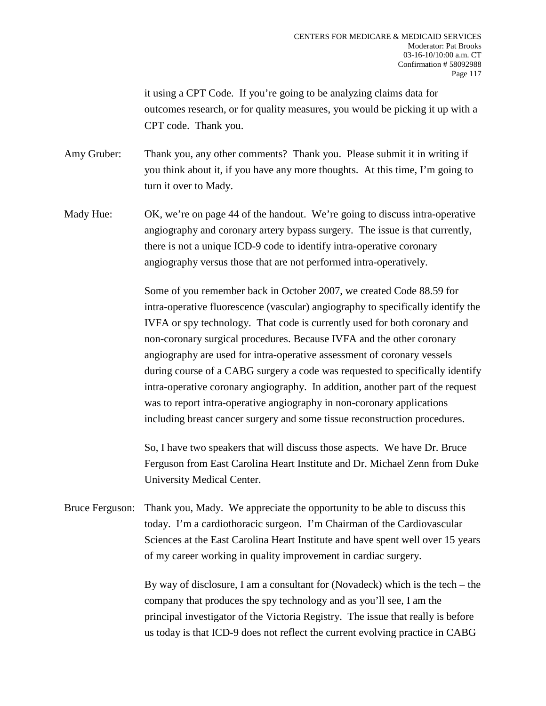it using a CPT Code. If you're going to be analyzing claims data for outcomes research, or for quality measures, you would be picking it up with a CPT code. Thank you.

Amy Gruber: Thank you, any other comments? Thank you. Please submit it in writing if you think about it, if you have any more thoughts. At this time, I'm going to turn it over to Mady.

Mady Hue: OK, we're on page 44 of the handout. We're going to discuss intra-operative angiography and coronary artery bypass surgery. The issue is that currently, there is not a unique ICD-9 code to identify intra-operative coronary angiography versus those that are not performed intra-operatively.

> Some of you remember back in October 2007, we created Code 88.59 for intra-operative fluorescence (vascular) angiography to specifically identify the IVFA or spy technology. That code is currently used for both coronary and non-coronary surgical procedures. Because IVFA and the other coronary angiography are used for intra-operative assessment of coronary vessels during course of a CABG surgery a code was requested to specifically identify intra-operative coronary angiography. In addition, another part of the request was to report intra-operative angiography in non-coronary applications including breast cancer surgery and some tissue reconstruction procedures.

> So, I have two speakers that will discuss those aspects. We have Dr. Bruce Ferguson from East Carolina Heart Institute and Dr. Michael Zenn from Duke University Medical Center.

Bruce Ferguson: Thank you, Mady. We appreciate the opportunity to be able to discuss this today. I'm a cardiothoracic surgeon. I'm Chairman of the Cardiovascular Sciences at the East Carolina Heart Institute and have spent well over 15 years of my career working in quality improvement in cardiac surgery.

> By way of disclosure, I am a consultant for (Novadeck) which is the tech – the company that produces the spy technology and as you'll see, I am the principal investigator of the Victoria Registry. The issue that really is before us today is that ICD-9 does not reflect the current evolving practice in CABG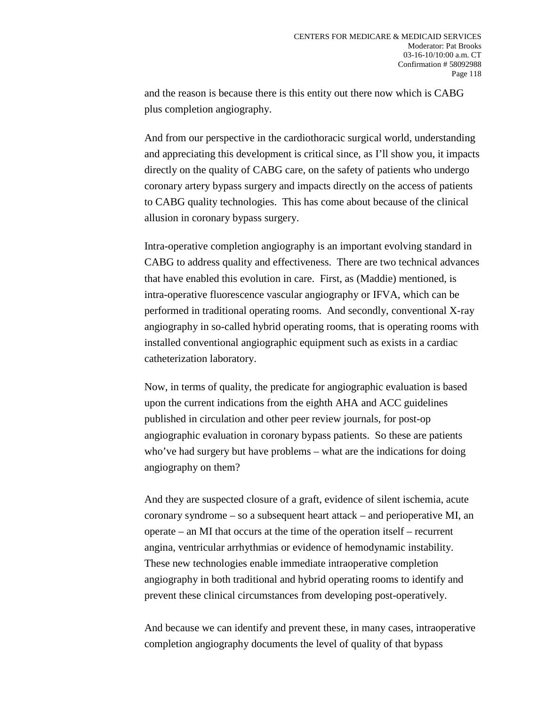and the reason is because there is this entity out there now which is CABG plus completion angiography.

And from our perspective in the cardiothoracic surgical world, understanding and appreciating this development is critical since, as I'll show you, it impacts directly on the quality of CABG care, on the safety of patients who undergo coronary artery bypass surgery and impacts directly on the access of patients to CABG quality technologies. This has come about because of the clinical allusion in coronary bypass surgery.

Intra-operative completion angiography is an important evolving standard in CABG to address quality and effectiveness. There are two technical advances that have enabled this evolution in care. First, as (Maddie) mentioned, is intra-operative fluorescence vascular angiography or IFVA, which can be performed in traditional operating rooms. And secondly, conventional X-ray angiography in so-called hybrid operating rooms, that is operating rooms with installed conventional angiographic equipment such as exists in a cardiac catheterization laboratory.

Now, in terms of quality, the predicate for angiographic evaluation is based upon the current indications from the eighth AHA and ACC guidelines published in circulation and other peer review journals, for post-op angiographic evaluation in coronary bypass patients. So these are patients who've had surgery but have problems – what are the indications for doing angiography on them?

And they are suspected closure of a graft, evidence of silent ischemia, acute coronary syndrome – so a subsequent heart attack – and perioperative MI, an operate – an MI that occurs at the time of the operation itself – recurrent angina, ventricular arrhythmias or evidence of hemodynamic instability. These new technologies enable immediate intraoperative completion angiography in both traditional and hybrid operating rooms to identify and prevent these clinical circumstances from developing post-operatively.

And because we can identify and prevent these, in many cases, intraoperative completion angiography documents the level of quality of that bypass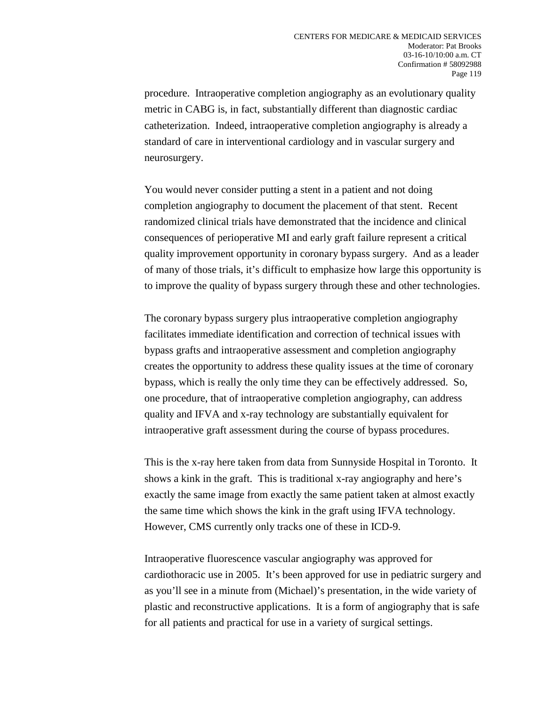procedure. Intraoperative completion angiography as an evolutionary quality metric in CABG is, in fact, substantially different than diagnostic cardiac catheterization. Indeed, intraoperative completion angiography is already a standard of care in interventional cardiology and in vascular surgery and neurosurgery.

You would never consider putting a stent in a patient and not doing completion angiography to document the placement of that stent. Recent randomized clinical trials have demonstrated that the incidence and clinical consequences of perioperative MI and early graft failure represent a critical quality improvement opportunity in coronary bypass surgery. And as a leader of many of those trials, it's difficult to emphasize how large this opportunity is to improve the quality of bypass surgery through these and other technologies.

The coronary bypass surgery plus intraoperative completion angiography facilitates immediate identification and correction of technical issues with bypass grafts and intraoperative assessment and completion angiography creates the opportunity to address these quality issues at the time of coronary bypass, which is really the only time they can be effectively addressed. So, one procedure, that of intraoperative completion angiography, can address quality and IFVA and x-ray technology are substantially equivalent for intraoperative graft assessment during the course of bypass procedures.

This is the x-ray here taken from data from Sunnyside Hospital in Toronto. It shows a kink in the graft. This is traditional x-ray angiography and here's exactly the same image from exactly the same patient taken at almost exactly the same time which shows the kink in the graft using IFVA technology. However, CMS currently only tracks one of these in ICD-9.

Intraoperative fluorescence vascular angiography was approved for cardiothoracic use in 2005. It's been approved for use in pediatric surgery and as you'll see in a minute from (Michael)'s presentation, in the wide variety of plastic and reconstructive applications. It is a form of angiography that is safe for all patients and practical for use in a variety of surgical settings.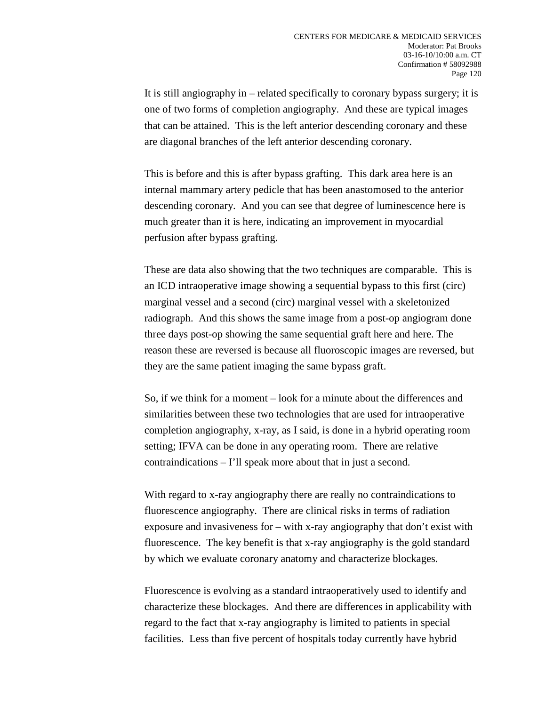It is still angiography in – related specifically to coronary bypass surgery; it is one of two forms of completion angiography. And these are typical images that can be attained. This is the left anterior descending coronary and these are diagonal branches of the left anterior descending coronary.

This is before and this is after bypass grafting. This dark area here is an internal mammary artery pedicle that has been anastomosed to the anterior descending coronary. And you can see that degree of luminescence here is much greater than it is here, indicating an improvement in myocardial perfusion after bypass grafting.

These are data also showing that the two techniques are comparable. This is an ICD intraoperative image showing a sequential bypass to this first (circ) marginal vessel and a second (circ) marginal vessel with a skeletonized radiograph. And this shows the same image from a post-op angiogram done three days post-op showing the same sequential graft here and here. The reason these are reversed is because all fluoroscopic images are reversed, but they are the same patient imaging the same bypass graft.

So, if we think for a moment – look for a minute about the differences and similarities between these two technologies that are used for intraoperative completion angiography, x-ray, as I said, is done in a hybrid operating room setting; IFVA can be done in any operating room. There are relative contraindications – I'll speak more about that in just a second.

With regard to x-ray angiography there are really no contraindications to fluorescence angiography. There are clinical risks in terms of radiation exposure and invasiveness for – with x-ray angiography that don't exist with fluorescence. The key benefit is that x-ray angiography is the gold standard by which we evaluate coronary anatomy and characterize blockages.

Fluorescence is evolving as a standard intraoperatively used to identify and characterize these blockages. And there are differences in applicability with regard to the fact that x-ray angiography is limited to patients in special facilities. Less than five percent of hospitals today currently have hybrid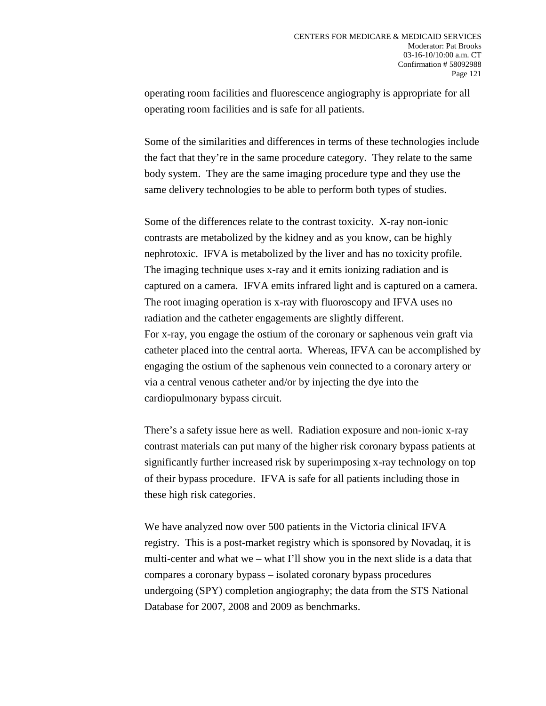operating room facilities and fluorescence angiography is appropriate for all operating room facilities and is safe for all patients.

Some of the similarities and differences in terms of these technologies include the fact that they're in the same procedure category. They relate to the same body system. They are the same imaging procedure type and they use the same delivery technologies to be able to perform both types of studies.

Some of the differences relate to the contrast toxicity. X-ray non-ionic contrasts are metabolized by the kidney and as you know, can be highly nephrotoxic. IFVA is metabolized by the liver and has no toxicity profile. The imaging technique uses x-ray and it emits ionizing radiation and is captured on a camera. IFVA emits infrared light and is captured on a camera. The root imaging operation is x-ray with fluoroscopy and IFVA uses no radiation and the catheter engagements are slightly different. For x-ray, you engage the ostium of the coronary or saphenous vein graft via catheter placed into the central aorta. Whereas, IFVA can be accomplished by engaging the ostium of the saphenous vein connected to a coronary artery or via a central venous catheter and/or by injecting the dye into the cardiopulmonary bypass circuit.

There's a safety issue here as well. Radiation exposure and non-ionic x-ray contrast materials can put many of the higher risk coronary bypass patients at significantly further increased risk by superimposing x-ray technology on top of their bypass procedure. IFVA is safe for all patients including those in these high risk categories.

We have analyzed now over 500 patients in the Victoria clinical IFVA registry. This is a post-market registry which is sponsored by Novadaq, it is multi-center and what we – what I'll show you in the next slide is a data that compares a coronary bypass – isolated coronary bypass procedures undergoing (SPY) completion angiography; the data from the STS National Database for 2007, 2008 and 2009 as benchmarks.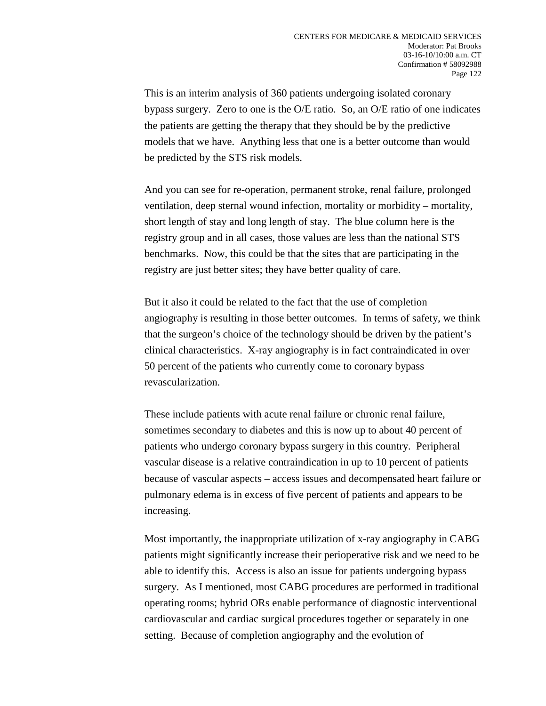This is an interim analysis of 360 patients undergoing isolated coronary bypass surgery. Zero to one is the O/E ratio. So, an O/E ratio of one indicates the patients are getting the therapy that they should be by the predictive models that we have. Anything less that one is a better outcome than would be predicted by the STS risk models.

And you can see for re-operation, permanent stroke, renal failure, prolonged ventilation, deep sternal wound infection, mortality or morbidity – mortality, short length of stay and long length of stay. The blue column here is the registry group and in all cases, those values are less than the national STS benchmarks. Now, this could be that the sites that are participating in the registry are just better sites; they have better quality of care.

But it also it could be related to the fact that the use of completion angiography is resulting in those better outcomes. In terms of safety, we think that the surgeon's choice of the technology should be driven by the patient's clinical characteristics. X-ray angiography is in fact contraindicated in over 50 percent of the patients who currently come to coronary bypass revascularization.

These include patients with acute renal failure or chronic renal failure, sometimes secondary to diabetes and this is now up to about 40 percent of patients who undergo coronary bypass surgery in this country. Peripheral vascular disease is a relative contraindication in up to 10 percent of patients because of vascular aspects – access issues and decompensated heart failure or pulmonary edema is in excess of five percent of patients and appears to be increasing.

Most importantly, the inappropriate utilization of x-ray angiography in CABG patients might significantly increase their perioperative risk and we need to be able to identify this. Access is also an issue for patients undergoing bypass surgery. As I mentioned, most CABG procedures are performed in traditional operating rooms; hybrid ORs enable performance of diagnostic interventional cardiovascular and cardiac surgical procedures together or separately in one setting. Because of completion angiography and the evolution of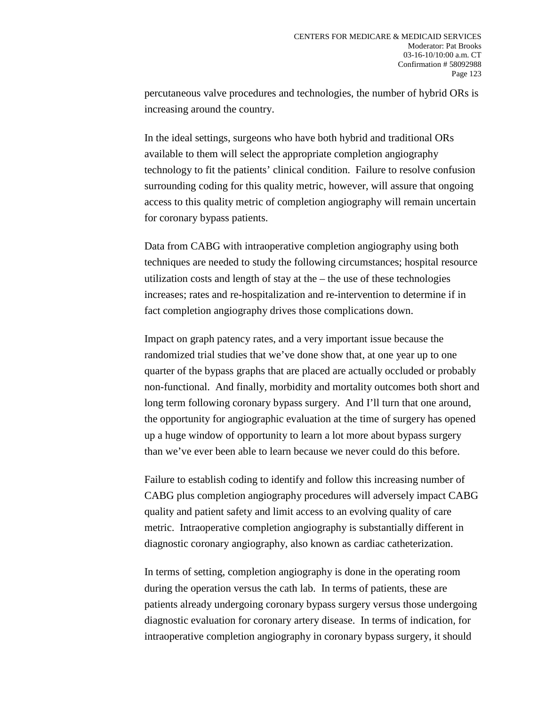percutaneous valve procedures and technologies, the number of hybrid ORs is increasing around the country.

In the ideal settings, surgeons who have both hybrid and traditional ORs available to them will select the appropriate completion angiography technology to fit the patients' clinical condition. Failure to resolve confusion surrounding coding for this quality metric, however, will assure that ongoing access to this quality metric of completion angiography will remain uncertain for coronary bypass patients.

Data from CABG with intraoperative completion angiography using both techniques are needed to study the following circumstances; hospital resource utilization costs and length of stay at the – the use of these technologies increases; rates and re-hospitalization and re-intervention to determine if in fact completion angiography drives those complications down.

Impact on graph patency rates, and a very important issue because the randomized trial studies that we've done show that, at one year up to one quarter of the bypass graphs that are placed are actually occluded or probably non-functional. And finally, morbidity and mortality outcomes both short and long term following coronary bypass surgery. And I'll turn that one around, the opportunity for angiographic evaluation at the time of surgery has opened up a huge window of opportunity to learn a lot more about bypass surgery than we've ever been able to learn because we never could do this before.

Failure to establish coding to identify and follow this increasing number of CABG plus completion angiography procedures will adversely impact CABG quality and patient safety and limit access to an evolving quality of care metric. Intraoperative completion angiography is substantially different in diagnostic coronary angiography, also known as cardiac catheterization.

In terms of setting, completion angiography is done in the operating room during the operation versus the cath lab. In terms of patients, these are patients already undergoing coronary bypass surgery versus those undergoing diagnostic evaluation for coronary artery disease. In terms of indication, for intraoperative completion angiography in coronary bypass surgery, it should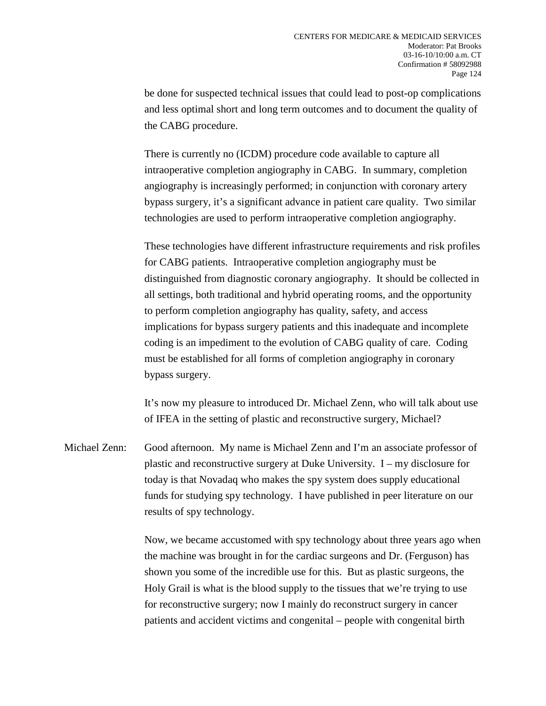be done for suspected technical issues that could lead to post-op complications and less optimal short and long term outcomes and to document the quality of the CABG procedure.

There is currently no (ICDM) procedure code available to capture all intraoperative completion angiography in CABG. In summary, completion angiography is increasingly performed; in conjunction with coronary artery bypass surgery, it's a significant advance in patient care quality. Two similar technologies are used to perform intraoperative completion angiography.

These technologies have different infrastructure requirements and risk profiles for CABG patients. Intraoperative completion angiography must be distinguished from diagnostic coronary angiography. It should be collected in all settings, both traditional and hybrid operating rooms, and the opportunity to perform completion angiography has quality, safety, and access implications for bypass surgery patients and this inadequate and incomplete coding is an impediment to the evolution of CABG quality of care. Coding must be established for all forms of completion angiography in coronary bypass surgery.

It's now my pleasure to introduced Dr. Michael Zenn, who will talk about use of IFEA in the setting of plastic and reconstructive surgery, Michael?

Michael Zenn: Good afternoon. My name is Michael Zenn and I'm an associate professor of plastic and reconstructive surgery at Duke University. I – my disclosure for today is that Novadaq who makes the spy system does supply educational funds for studying spy technology. I have published in peer literature on our results of spy technology.

> Now, we became accustomed with spy technology about three years ago when the machine was brought in for the cardiac surgeons and Dr. (Ferguson) has shown you some of the incredible use for this. But as plastic surgeons, the Holy Grail is what is the blood supply to the tissues that we're trying to use for reconstructive surgery; now I mainly do reconstruct surgery in cancer patients and accident victims and congenital – people with congenital birth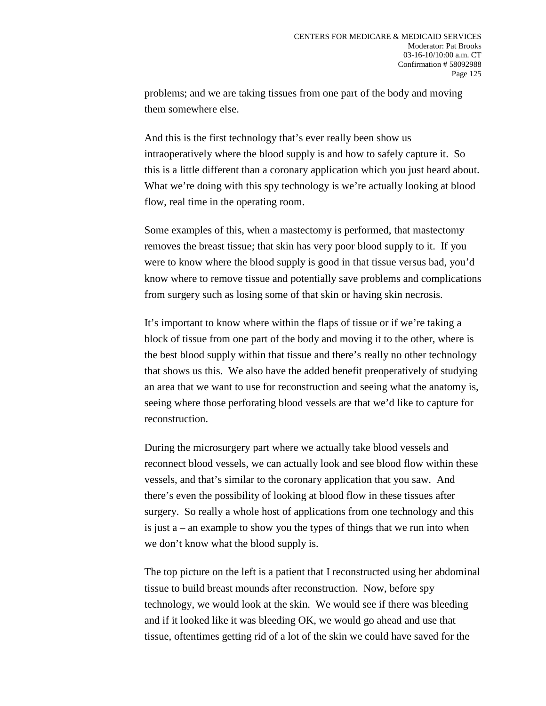problems; and we are taking tissues from one part of the body and moving them somewhere else.

And this is the first technology that's ever really been show us intraoperatively where the blood supply is and how to safely capture it. So this is a little different than a coronary application which you just heard about. What we're doing with this spy technology is we're actually looking at blood flow, real time in the operating room.

Some examples of this, when a mastectomy is performed, that mastectomy removes the breast tissue; that skin has very poor blood supply to it. If you were to know where the blood supply is good in that tissue versus bad, you'd know where to remove tissue and potentially save problems and complications from surgery such as losing some of that skin or having skin necrosis.

It's important to know where within the flaps of tissue or if we're taking a block of tissue from one part of the body and moving it to the other, where is the best blood supply within that tissue and there's really no other technology that shows us this. We also have the added benefit preoperatively of studying an area that we want to use for reconstruction and seeing what the anatomy is, seeing where those perforating blood vessels are that we'd like to capture for reconstruction.

During the microsurgery part where we actually take blood vessels and reconnect blood vessels, we can actually look and see blood flow within these vessels, and that's similar to the coronary application that you saw. And there's even the possibility of looking at blood flow in these tissues after surgery. So really a whole host of applications from one technology and this is just a – an example to show you the types of things that we run into when we don't know what the blood supply is.

The top picture on the left is a patient that I reconstructed using her abdominal tissue to build breast mounds after reconstruction. Now, before spy technology, we would look at the skin. We would see if there was bleeding and if it looked like it was bleeding OK, we would go ahead and use that tissue, oftentimes getting rid of a lot of the skin we could have saved for the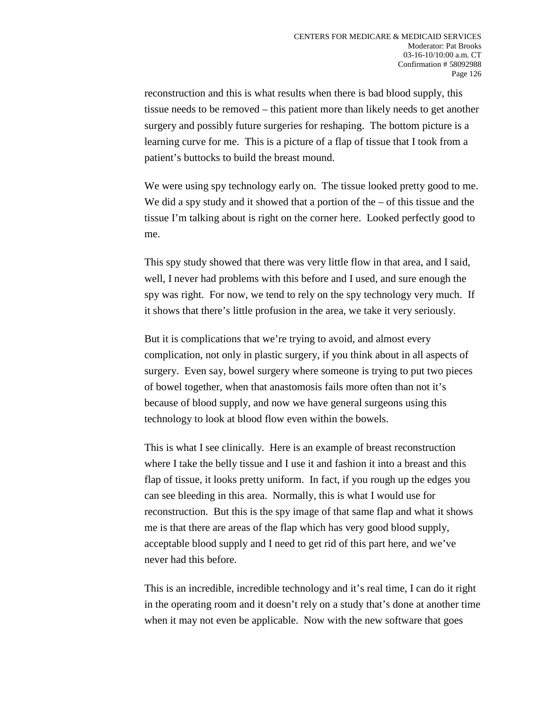reconstruction and this is what results when there is bad blood supply, this tissue needs to be removed – this patient more than likely needs to get another surgery and possibly future surgeries for reshaping. The bottom picture is a learning curve for me. This is a picture of a flap of tissue that I took from a patient's buttocks to build the breast mound.

We were using spy technology early on. The tissue looked pretty good to me. We did a spy study and it showed that a portion of the  $-$  of this tissue and the tissue I'm talking about is right on the corner here. Looked perfectly good to me.

This spy study showed that there was very little flow in that area, and I said, well, I never had problems with this before and I used, and sure enough the spy was right. For now, we tend to rely on the spy technology very much. If it shows that there's little profusion in the area, we take it very seriously.

But it is complications that we're trying to avoid, and almost every complication, not only in plastic surgery, if you think about in all aspects of surgery. Even say, bowel surgery where someone is trying to put two pieces of bowel together, when that anastomosis fails more often than not it's because of blood supply, and now we have general surgeons using this technology to look at blood flow even within the bowels.

This is what I see clinically. Here is an example of breast reconstruction where I take the belly tissue and I use it and fashion it into a breast and this flap of tissue, it looks pretty uniform. In fact, if you rough up the edges you can see bleeding in this area. Normally, this is what I would use for reconstruction. But this is the spy image of that same flap and what it shows me is that there are areas of the flap which has very good blood supply, acceptable blood supply and I need to get rid of this part here, and we've never had this before.

This is an incredible, incredible technology and it's real time, I can do it right in the operating room and it doesn't rely on a study that's done at another time when it may not even be applicable. Now with the new software that goes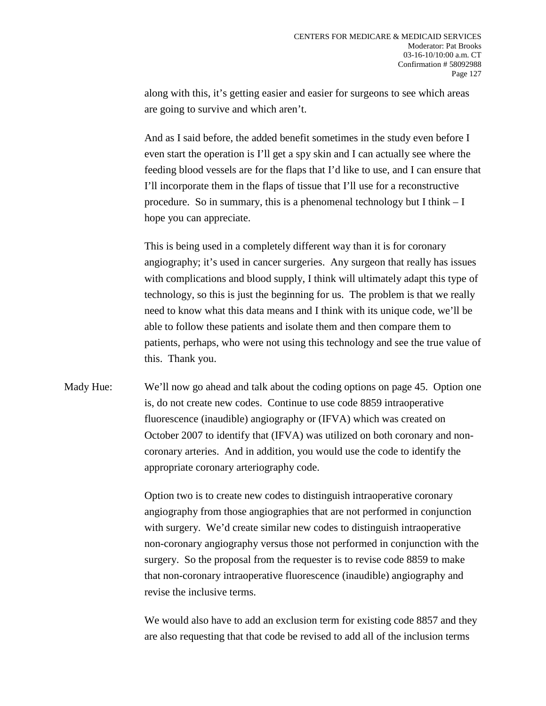along with this, it's getting easier and easier for surgeons to see which areas are going to survive and which aren't.

And as I said before, the added benefit sometimes in the study even before I even start the operation is I'll get a spy skin and I can actually see where the feeding blood vessels are for the flaps that I'd like to use, and I can ensure that I'll incorporate them in the flaps of tissue that I'll use for a reconstructive procedure. So in summary, this is a phenomenal technology but I think  $-I$ hope you can appreciate.

This is being used in a completely different way than it is for coronary angiography; it's used in cancer surgeries. Any surgeon that really has issues with complications and blood supply, I think will ultimately adapt this type of technology, so this is just the beginning for us. The problem is that we really need to know what this data means and I think with its unique code, we'll be able to follow these patients and isolate them and then compare them to patients, perhaps, who were not using this technology and see the true value of this. Thank you.

Mady Hue: We'll now go ahead and talk about the coding options on page 45. Option one is, do not create new codes. Continue to use code 8859 intraoperative fluorescence (inaudible) angiography or (IFVA) which was created on October 2007 to identify that (IFVA) was utilized on both coronary and noncoronary arteries. And in addition, you would use the code to identify the appropriate coronary arteriography code.

> Option two is to create new codes to distinguish intraoperative coronary angiography from those angiographies that are not performed in conjunction with surgery. We'd create similar new codes to distinguish intraoperative non-coronary angiography versus those not performed in conjunction with the surgery. So the proposal from the requester is to revise code 8859 to make that non-coronary intraoperative fluorescence (inaudible) angiography and revise the inclusive terms.

> We would also have to add an exclusion term for existing code 8857 and they are also requesting that that code be revised to add all of the inclusion terms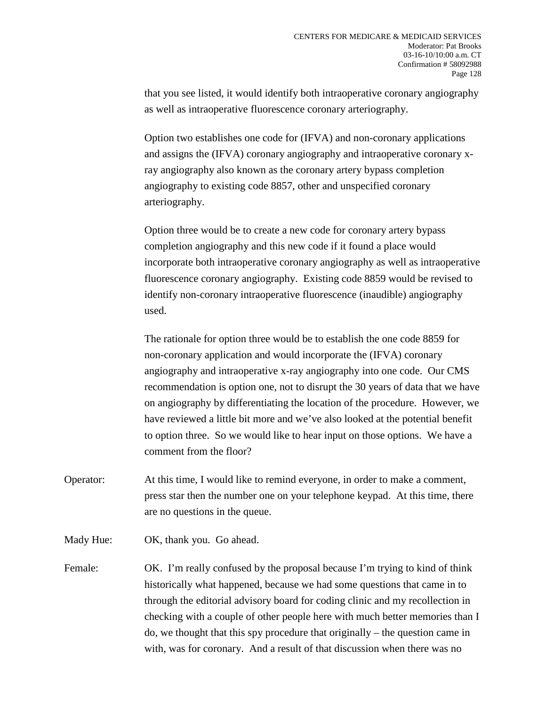that you see listed, it would identify both intraoperative coronary angiography as well as intraoperative fluorescence coronary arteriography.

Option two establishes one code for (IFVA) and non-coronary applications and assigns the (IFVA) coronary angiography and intraoperative coronary xray angiography also known as the coronary artery bypass completion angiography to existing code 8857, other and unspecified coronary arteriography.

Option three would be to create a new code for coronary artery bypass completion angiography and this new code if it found a place would incorporate both intraoperative coronary angiography as well as intraoperative fluorescence coronary angiography. Existing code 8859 would be revised to identify non-coronary intraoperative fluorescence (inaudible) angiography used.

The rationale for option three would be to establish the one code 8859 for non-coronary application and would incorporate the (IFVA) coronary angiography and intraoperative x-ray angiography into one code. Our CMS recommendation is option one, not to disrupt the 30 years of data that we have on angiography by differentiating the location of the procedure. However, we have reviewed a little bit more and we've also looked at the potential benefit to option three. So we would like to hear input on those options. We have a comment from the floor?

- Operator: At this time, I would like to remind everyone, in order to make a comment, press star then the number one on your telephone keypad. At this time, there are no questions in the queue.
- Mady Hue: OK, thank you. Go ahead.
- Female: OK. I'm really confused by the proposal because I'm trying to kind of think historically what happened, because we had some questions that came in to through the editorial advisory board for coding clinic and my recollection in checking with a couple of other people here with much better memories than I do, we thought that this spy procedure that originally – the question came in with, was for coronary. And a result of that discussion when there was no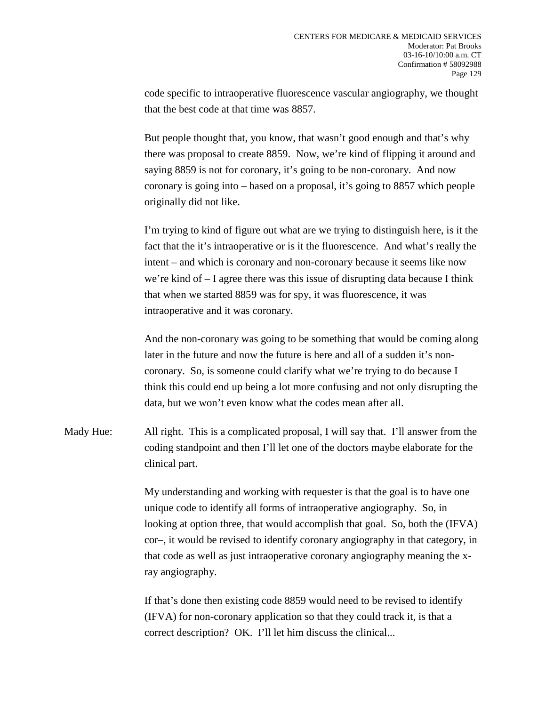code specific to intraoperative fluorescence vascular angiography, we thought that the best code at that time was 8857.

But people thought that, you know, that wasn't good enough and that's why there was proposal to create 8859. Now, we're kind of flipping it around and saying 8859 is not for coronary, it's going to be non-coronary. And now coronary is going into – based on a proposal, it's going to 8857 which people originally did not like.

I'm trying to kind of figure out what are we trying to distinguish here, is it the fact that the it's intraoperative or is it the fluorescence. And what's really the intent – and which is coronary and non-coronary because it seems like now we're kind of – I agree there was this issue of disrupting data because I think that when we started 8859 was for spy, it was fluorescence, it was intraoperative and it was coronary.

And the non-coronary was going to be something that would be coming along later in the future and now the future is here and all of a sudden it's noncoronary. So, is someone could clarify what we're trying to do because I think this could end up being a lot more confusing and not only disrupting the data, but we won't even know what the codes mean after all.

Mady Hue: All right. This is a complicated proposal, I will say that. I'll answer from the coding standpoint and then I'll let one of the doctors maybe elaborate for the clinical part.

> My understanding and working with requester is that the goal is to have one unique code to identify all forms of intraoperative angiography. So, in looking at option three, that would accomplish that goal. So, both the (IFVA) cor–, it would be revised to identify coronary angiography in that category, in that code as well as just intraoperative coronary angiography meaning the xray angiography.

If that's done then existing code 8859 would need to be revised to identify (IFVA) for non-coronary application so that they could track it, is that a correct description? OK. I'll let him discuss the clinical...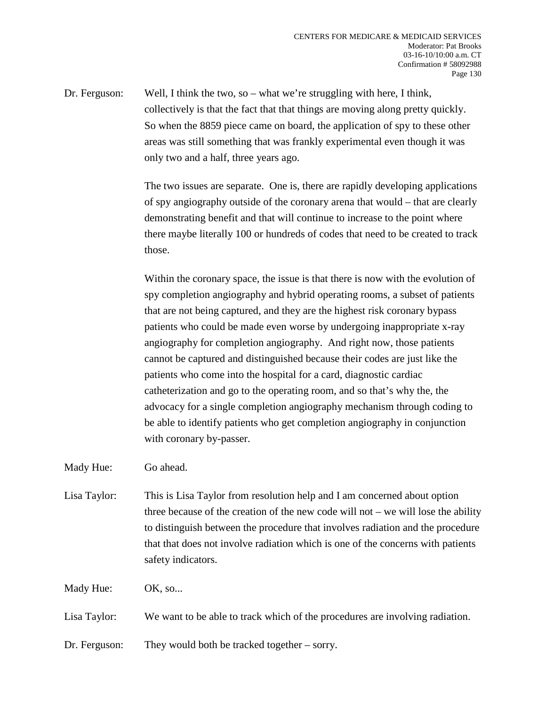Dr. Ferguson: Well, I think the two, so – what we're struggling with here, I think, collectively is that the fact that that things are moving along pretty quickly. So when the 8859 piece came on board, the application of spy to these other areas was still something that was frankly experimental even though it was only two and a half, three years ago.

> The two issues are separate. One is, there are rapidly developing applications of spy angiography outside of the coronary arena that would – that are clearly demonstrating benefit and that will continue to increase to the point where there maybe literally 100 or hundreds of codes that need to be created to track those.

> Within the coronary space, the issue is that there is now with the evolution of spy completion angiography and hybrid operating rooms, a subset of patients that are not being captured, and they are the highest risk coronary bypass patients who could be made even worse by undergoing inappropriate x-ray angiography for completion angiography. And right now, those patients cannot be captured and distinguished because their codes are just like the patients who come into the hospital for a card, diagnostic cardiac catheterization and go to the operating room, and so that's why the, the advocacy for a single completion angiography mechanism through coding to be able to identify patients who get completion angiography in conjunction with coronary by-passer.

Mady Hue: Go ahead.

Lisa Taylor: This is Lisa Taylor from resolution help and I am concerned about option three because of the creation of the new code will not – we will lose the ability to distinguish between the procedure that involves radiation and the procedure that that does not involve radiation which is one of the concerns with patients safety indicators.

Mady Hue: OK, so...

Lisa Taylor: We want to be able to track which of the procedures are involving radiation.

Dr. Ferguson: They would both be tracked together – sorry.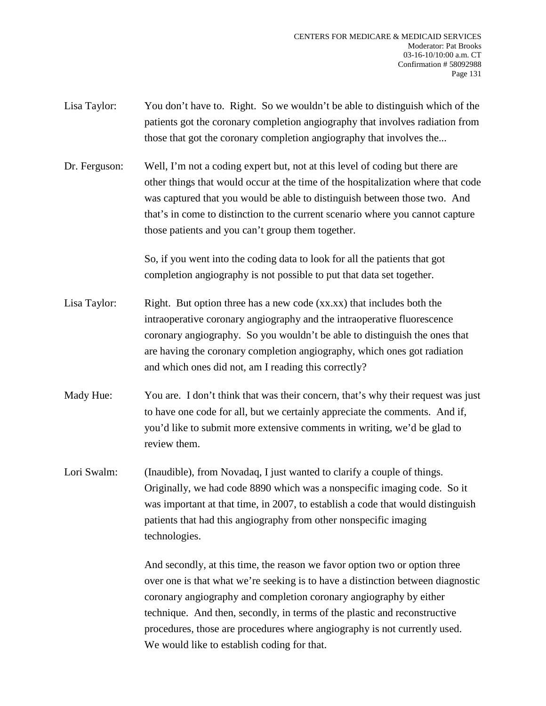- Lisa Taylor: You don't have to. Right. So we wouldn't be able to distinguish which of the patients got the coronary completion angiography that involves radiation from those that got the coronary completion angiography that involves the...
- Dr. Ferguson: Well, I'm not a coding expert but, not at this level of coding but there are other things that would occur at the time of the hospitalization where that code was captured that you would be able to distinguish between those two. And that's in come to distinction to the current scenario where you cannot capture those patients and you can't group them together.

So, if you went into the coding data to look for all the patients that got completion angiography is not possible to put that data set together.

- Lisa Taylor: Right. But option three has a new code (xx.xx) that includes both the intraoperative coronary angiography and the intraoperative fluorescence coronary angiography. So you wouldn't be able to distinguish the ones that are having the coronary completion angiography, which ones got radiation and which ones did not, am I reading this correctly?
- Mady Hue: You are. I don't think that was their concern, that's why their request was just to have one code for all, but we certainly appreciate the comments. And if, you'd like to submit more extensive comments in writing, we'd be glad to review them.
- Lori Swalm: (Inaudible), from Novadaq, I just wanted to clarify a couple of things. Originally, we had code 8890 which was a nonspecific imaging code. So it was important at that time, in 2007, to establish a code that would distinguish patients that had this angiography from other nonspecific imaging technologies.

And secondly, at this time, the reason we favor option two or option three over one is that what we're seeking is to have a distinction between diagnostic coronary angiography and completion coronary angiography by either technique. And then, secondly, in terms of the plastic and reconstructive procedures, those are procedures where angiography is not currently used. We would like to establish coding for that.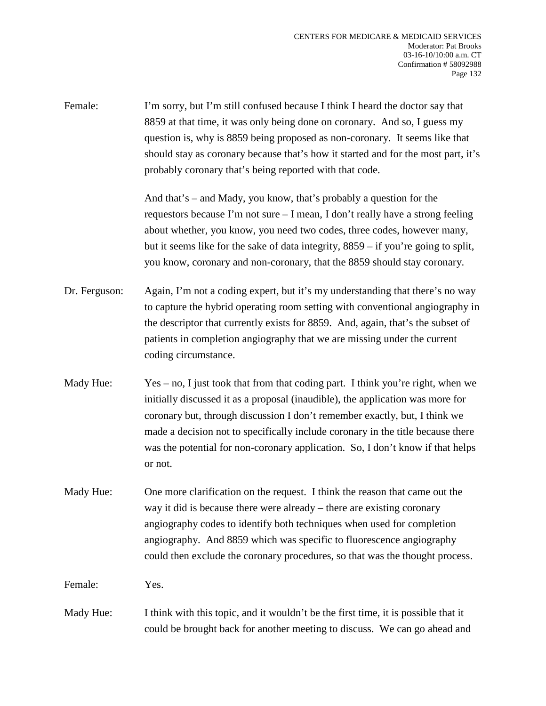Female: I'm sorry, but I'm still confused because I think I heard the doctor say that 8859 at that time, it was only being done on coronary. And so, I guess my question is, why is 8859 being proposed as non-coronary. It seems like that should stay as coronary because that's how it started and for the most part, it's probably coronary that's being reported with that code.

> And that's – and Mady, you know, that's probably a question for the requestors because I'm not sure – I mean, I don't really have a strong feeling about whether, you know, you need two codes, three codes, however many, but it seems like for the sake of data integrity, 8859 – if you're going to split, you know, coronary and non-coronary, that the 8859 should stay coronary.

- Dr. Ferguson: Again, I'm not a coding expert, but it's my understanding that there's no way to capture the hybrid operating room setting with conventional angiography in the descriptor that currently exists for 8859. And, again, that's the subset of patients in completion angiography that we are missing under the current coding circumstance.
- Mady Hue: Yes no, I just took that from that coding part. I think you're right, when we initially discussed it as a proposal (inaudible), the application was more for coronary but, through discussion I don't remember exactly, but, I think we made a decision not to specifically include coronary in the title because there was the potential for non-coronary application. So, I don't know if that helps or not.
- Mady Hue: One more clarification on the request. I think the reason that came out the way it did is because there were already – there are existing coronary angiography codes to identify both techniques when used for completion angiography. And 8859 which was specific to fluorescence angiography could then exclude the coronary procedures, so that was the thought process.

Female: Yes.

Mady Hue: I think with this topic, and it wouldn't be the first time, it is possible that it could be brought back for another meeting to discuss. We can go ahead and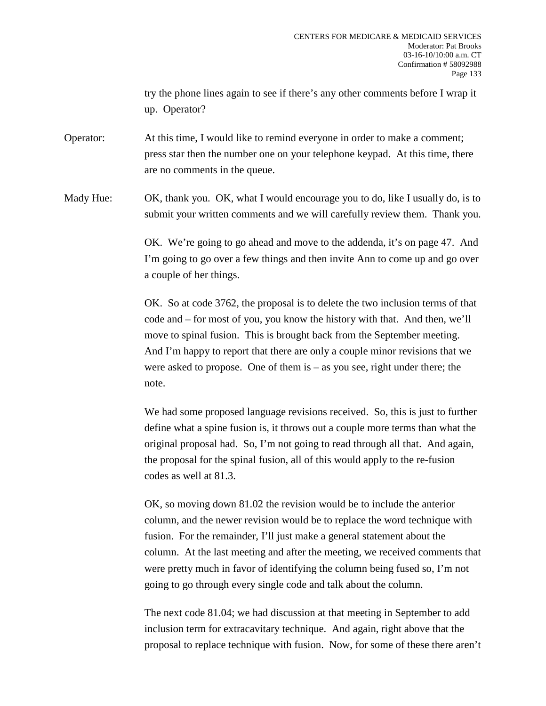try the phone lines again to see if there's any other comments before I wrap it up. Operator?

Operator: At this time, I would like to remind everyone in order to make a comment; press star then the number one on your telephone keypad. At this time, there are no comments in the queue.

Mady Hue: OK, thank you. OK, what I would encourage you to do, like I usually do, is to submit your written comments and we will carefully review them. Thank you.

> OK. We're going to go ahead and move to the addenda, it's on page 47. And I'm going to go over a few things and then invite Ann to come up and go over a couple of her things.

> OK. So at code 3762, the proposal is to delete the two inclusion terms of that code and – for most of you, you know the history with that. And then, we'll move to spinal fusion. This is brought back from the September meeting. And I'm happy to report that there are only a couple minor revisions that we were asked to propose. One of them is  $-$  as you see, right under there; the note.

> We had some proposed language revisions received. So, this is just to further define what a spine fusion is, it throws out a couple more terms than what the original proposal had. So, I'm not going to read through all that. And again, the proposal for the spinal fusion, all of this would apply to the re-fusion codes as well at 81.3.

> OK, so moving down 81.02 the revision would be to include the anterior column, and the newer revision would be to replace the word technique with fusion. For the remainder, I'll just make a general statement about the column. At the last meeting and after the meeting, we received comments that were pretty much in favor of identifying the column being fused so, I'm not going to go through every single code and talk about the column.

> The next code 81.04; we had discussion at that meeting in September to add inclusion term for extracavitary technique. And again, right above that the proposal to replace technique with fusion. Now, for some of these there aren't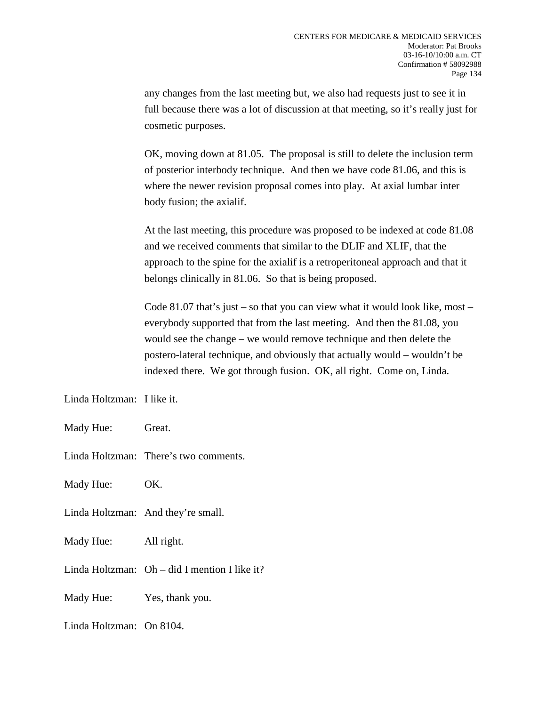any changes from the last meeting but, we also had requests just to see it in full because there was a lot of discussion at that meeting, so it's really just for cosmetic purposes.

OK, moving down at 81.05. The proposal is still to delete the inclusion term of posterior interbody technique. And then we have code 81.06, and this is where the newer revision proposal comes into play. At axial lumbar inter body fusion; the axialif.

At the last meeting, this procedure was proposed to be indexed at code 81.08 and we received comments that similar to the DLIF and XLIF, that the approach to the spine for the axialif is a retroperitoneal approach and that it belongs clinically in 81.06. So that is being proposed.

Code 81.07 that's just – so that you can view what it would look like, most – everybody supported that from the last meeting. And then the 81.08, you would see the change – we would remove technique and then delete the postero-lateral technique, and obviously that actually would – wouldn't be indexed there. We got through fusion. OK, all right. Come on, Linda.

Linda Holtzman: I like it.

Mady Hue: Great.

Linda Holtzman: There's two comments.

Mady Hue: OK.

Linda Holtzman: And they're small.

Mady Hue: All right.

Linda Holtzman: Oh – did I mention I like it?

Mady Hue: Yes, thank you.

Linda Holtzman: On 8104.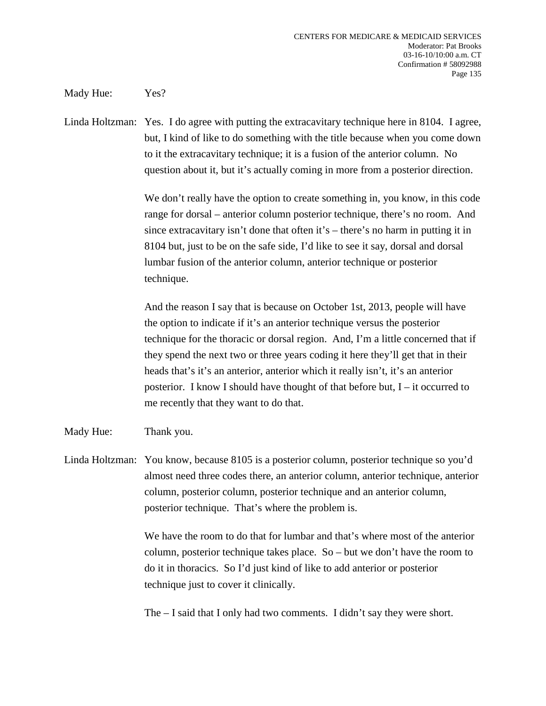Mady Hue: Yes?

Linda Holtzman: Yes. I do agree with putting the extracavitary technique here in 8104. I agree, but, I kind of like to do something with the title because when you come down to it the extracavitary technique; it is a fusion of the anterior column. No question about it, but it's actually coming in more from a posterior direction.

> We don't really have the option to create something in, you know, in this code range for dorsal – anterior column posterior technique, there's no room. And since extracavitary isn't done that often it's – there's no harm in putting it in 8104 but, just to be on the safe side, I'd like to see it say, dorsal and dorsal lumbar fusion of the anterior column, anterior technique or posterior technique.

> And the reason I say that is because on October 1st, 2013, people will have the option to indicate if it's an anterior technique versus the posterior technique for the thoracic or dorsal region. And, I'm a little concerned that if they spend the next two or three years coding it here they'll get that in their heads that's it's an anterior, anterior which it really isn't, it's an anterior posterior. I know I should have thought of that before but, I – it occurred to me recently that they want to do that.

Mady Hue: Thank you.

Linda Holtzman: You know, because 8105 is a posterior column, posterior technique so you'd almost need three codes there, an anterior column, anterior technique, anterior column, posterior column, posterior technique and an anterior column, posterior technique. That's where the problem is.

> We have the room to do that for lumbar and that's where most of the anterior column, posterior technique takes place. So – but we don't have the room to do it in thoracics. So I'd just kind of like to add anterior or posterior technique just to cover it clinically.

The – I said that I only had two comments. I didn't say they were short.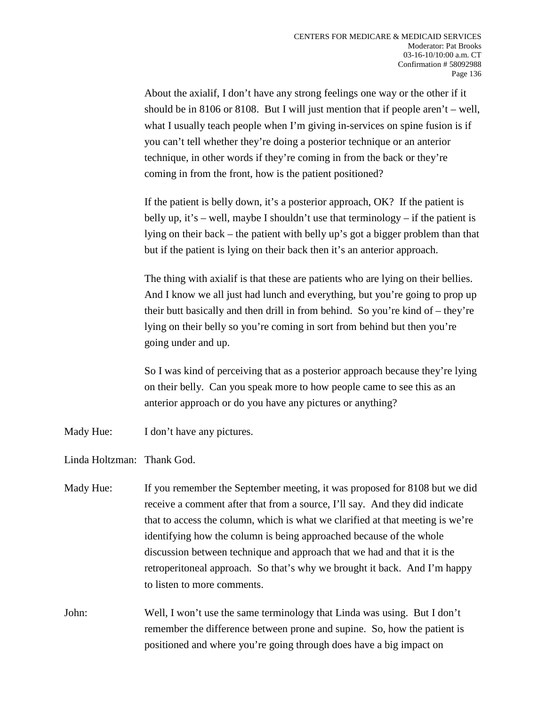About the axialif, I don't have any strong feelings one way or the other if it should be in 8106 or 8108. But I will just mention that if people aren't – well, what I usually teach people when I'm giving in-services on spine fusion is if you can't tell whether they're doing a posterior technique or an anterior technique, in other words if they're coming in from the back or they're coming in from the front, how is the patient positioned?

If the patient is belly down, it's a posterior approach, OK? If the patient is belly up, it's – well, maybe I shouldn't use that terminology – if the patient is lying on their back – the patient with belly up's got a bigger problem than that but if the patient is lying on their back then it's an anterior approach.

The thing with axialif is that these are patients who are lying on their bellies. And I know we all just had lunch and everything, but you're going to prop up their butt basically and then drill in from behind. So you're kind of – they're lying on their belly so you're coming in sort from behind but then you're going under and up.

So I was kind of perceiving that as a posterior approach because they're lying on their belly. Can you speak more to how people came to see this as an anterior approach or do you have any pictures or anything?

Mady Hue: I don't have any pictures.

Linda Holtzman: Thank God.

- Mady Hue: If you remember the September meeting, it was proposed for 8108 but we did receive a comment after that from a source, I'll say. And they did indicate that to access the column, which is what we clarified at that meeting is we're identifying how the column is being approached because of the whole discussion between technique and approach that we had and that it is the retroperitoneal approach. So that's why we brought it back. And I'm happy to listen to more comments.
- John: Well, I won't use the same terminology that Linda was using. But I don't remember the difference between prone and supine. So, how the patient is positioned and where you're going through does have a big impact on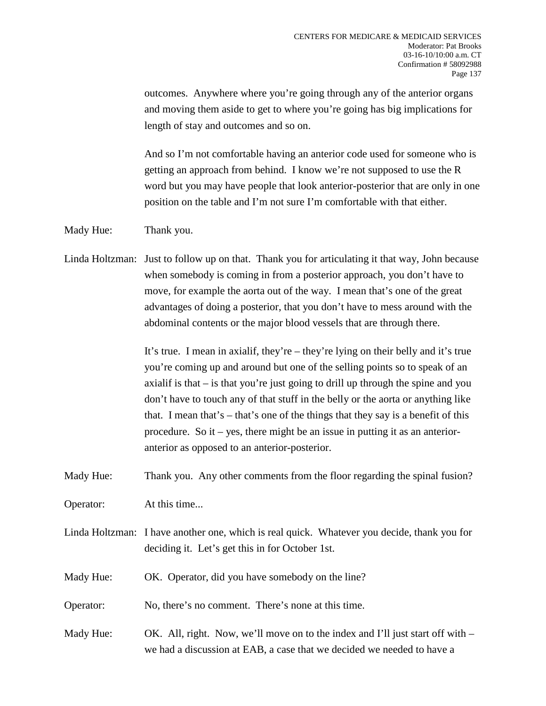outcomes. Anywhere where you're going through any of the anterior organs and moving them aside to get to where you're going has big implications for length of stay and outcomes and so on.

And so I'm not comfortable having an anterior code used for someone who is getting an approach from behind. I know we're not supposed to use the R word but you may have people that look anterior-posterior that are only in one position on the table and I'm not sure I'm comfortable with that either.

Mady Hue: Thank you.

Linda Holtzman: Just to follow up on that. Thank you for articulating it that way, John because when somebody is coming in from a posterior approach, you don't have to move, for example the aorta out of the way. I mean that's one of the great advantages of doing a posterior, that you don't have to mess around with the abdominal contents or the major blood vessels that are through there.

> It's true. I mean in axialif, they're – they're lying on their belly and it's true you're coming up and around but one of the selling points so to speak of an axialif is that – is that you're just going to drill up through the spine and you don't have to touch any of that stuff in the belly or the aorta or anything like that. I mean that's – that's one of the things that they say is a benefit of this procedure. So it – yes, there might be an issue in putting it as an anterioranterior as opposed to an anterior-posterior.

Mady Hue: Thank you. Any other comments from the floor regarding the spinal fusion?

Operator: At this time...

Linda Holtzman: I have another one, which is real quick. Whatever you decide, thank you for deciding it. Let's get this in for October 1st.

Mady Hue: OK. Operator, did you have somebody on the line?

Operator: No, there's no comment. There's none at this time.

Mady Hue: OK. All, right. Now, we'll move on to the index and I'll just start off with – we had a discussion at EAB, a case that we decided we needed to have a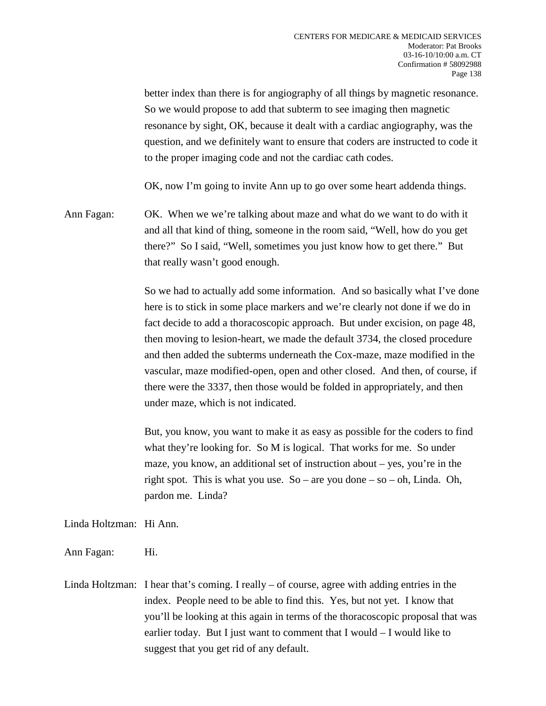better index than there is for angiography of all things by magnetic resonance. So we would propose to add that subterm to see imaging then magnetic resonance by sight, OK, because it dealt with a cardiac angiography, was the question, and we definitely want to ensure that coders are instructed to code it to the proper imaging code and not the cardiac cath codes.

OK, now I'm going to invite Ann up to go over some heart addenda things.

Ann Fagan: OK. When we we're talking about maze and what do we want to do with it and all that kind of thing, someone in the room said, "Well, how do you get there?" So I said, "Well, sometimes you just know how to get there." But that really wasn't good enough.

> So we had to actually add some information. And so basically what I've done here is to stick in some place markers and we're clearly not done if we do in fact decide to add a thoracoscopic approach. But under excision, on page 48, then moving to lesion-heart, we made the default 3734, the closed procedure and then added the subterms underneath the Cox-maze, maze modified in the vascular, maze modified-open, open and other closed. And then, of course, if there were the 3337, then those would be folded in appropriately, and then under maze, which is not indicated.

But, you know, you want to make it as easy as possible for the coders to find what they're looking for. So M is logical. That works for me. So under maze, you know, an additional set of instruction about – yes, you're in the right spot. This is what you use. So – are you done – so – oh, Linda. Oh, pardon me. Linda?

Linda Holtzman: Hi Ann.

- Ann Fagan: Hi.
- Linda Holtzman: I hear that's coming. I really of course, agree with adding entries in the index. People need to be able to find this. Yes, but not yet. I know that you'll be looking at this again in terms of the thoracoscopic proposal that was earlier today. But I just want to comment that I would – I would like to suggest that you get rid of any default.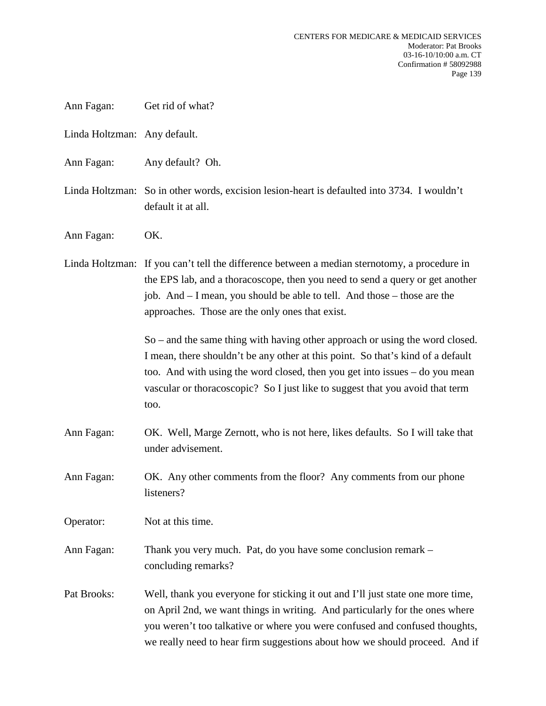| Get rid of what? |
|------------------|
|                  |

- Linda Holtzman: Any default.
- Ann Fagan: Any default? Oh.
- Linda Holtzman: So in other words, excision lesion-heart is defaulted into 3734. I wouldn't default it at all.
- Ann Fagan: OK.

Linda Holtzman: If you can't tell the difference between a median sternotomy, a procedure in the EPS lab, and a thoracoscope, then you need to send a query or get another job. And – I mean, you should be able to tell. And those – those are the approaches. Those are the only ones that exist.

> So – and the same thing with having other approach or using the word closed. I mean, there shouldn't be any other at this point. So that's kind of a default too. And with using the word closed, then you get into issues – do you mean vascular or thoracoscopic? So I just like to suggest that you avoid that term too.

- Ann Fagan: OK. Well, Marge Zernott, who is not here, likes defaults. So I will take that under advisement.
- Ann Fagan: OK. Any other comments from the floor? Any comments from our phone listeners?

Operator: Not at this time.

Ann Fagan: Thank you very much. Pat, do you have some conclusion remark – concluding remarks?

Pat Brooks: Well, thank you everyone for sticking it out and I'll just state one more time, on April 2nd, we want things in writing. And particularly for the ones where you weren't too talkative or where you were confused and confused thoughts, we really need to hear firm suggestions about how we should proceed. And if